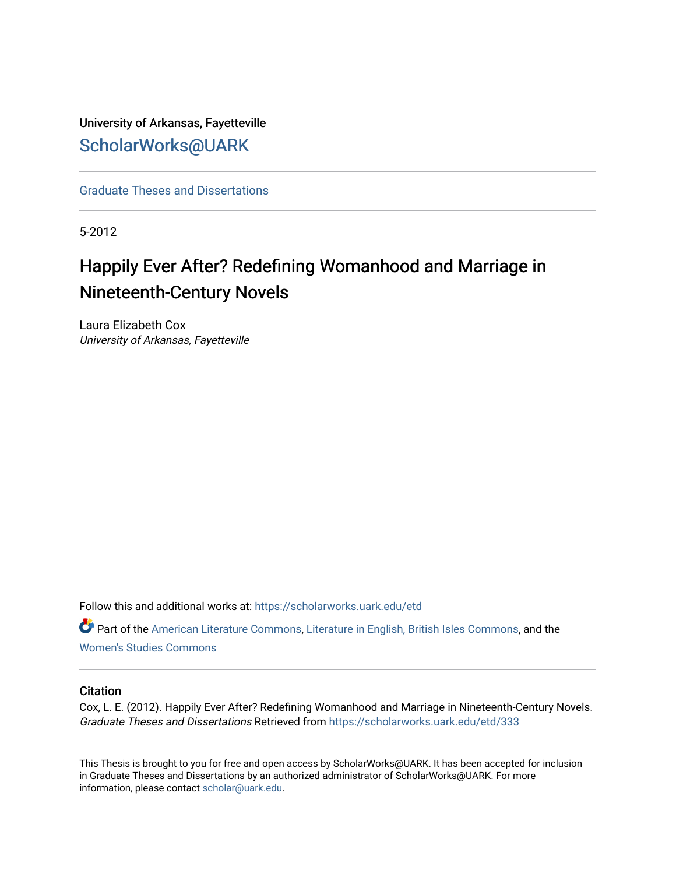University of Arkansas, Fayetteville [ScholarWorks@UARK](https://scholarworks.uark.edu/) 

[Graduate Theses and Dissertations](https://scholarworks.uark.edu/etd) 

5-2012

# Happily Ever After? Redefining Womanhood and Marriage in Nineteenth-Century Novels

Laura Elizabeth Cox University of Arkansas, Fayetteville

Follow this and additional works at: [https://scholarworks.uark.edu/etd](https://scholarworks.uark.edu/etd?utm_source=scholarworks.uark.edu%2Fetd%2F333&utm_medium=PDF&utm_campaign=PDFCoverPages)

**Part of the [American Literature Commons](http://network.bepress.com/hgg/discipline/441?utm_source=scholarworks.uark.edu%2Fetd%2F333&utm_medium=PDF&utm_campaign=PDFCoverPages), [Literature in English, British Isles Commons,](http://network.bepress.com/hgg/discipline/456?utm_source=scholarworks.uark.edu%2Fetd%2F333&utm_medium=PDF&utm_campaign=PDFCoverPages) and the** [Women's Studies Commons](http://network.bepress.com/hgg/discipline/561?utm_source=scholarworks.uark.edu%2Fetd%2F333&utm_medium=PDF&utm_campaign=PDFCoverPages)

#### **Citation**

Cox, L. E. (2012). Happily Ever After? Redefining Womanhood and Marriage in Nineteenth-Century Novels. Graduate Theses and Dissertations Retrieved from [https://scholarworks.uark.edu/etd/333](https://scholarworks.uark.edu/etd/333?utm_source=scholarworks.uark.edu%2Fetd%2F333&utm_medium=PDF&utm_campaign=PDFCoverPages) 

This Thesis is brought to you for free and open access by ScholarWorks@UARK. It has been accepted for inclusion in Graduate Theses and Dissertations by an authorized administrator of ScholarWorks@UARK. For more information, please contact [scholar@uark.edu.](mailto:scholar@uark.edu)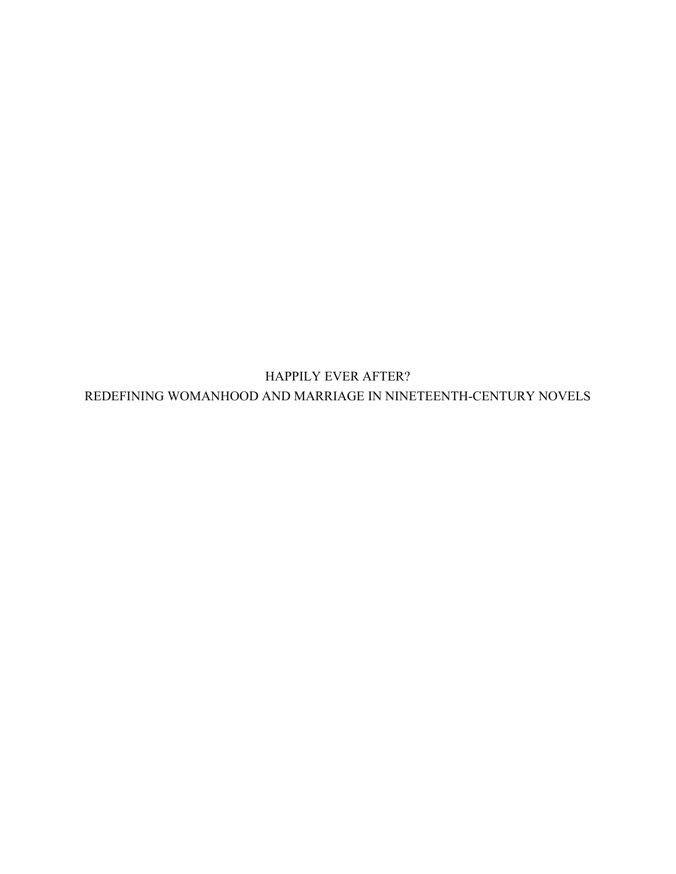HAPPILY EVER AFTER? REDEFINING WOMANHOOD AND MARRIAGE IN NINETEENTH-CENTURY NOVELS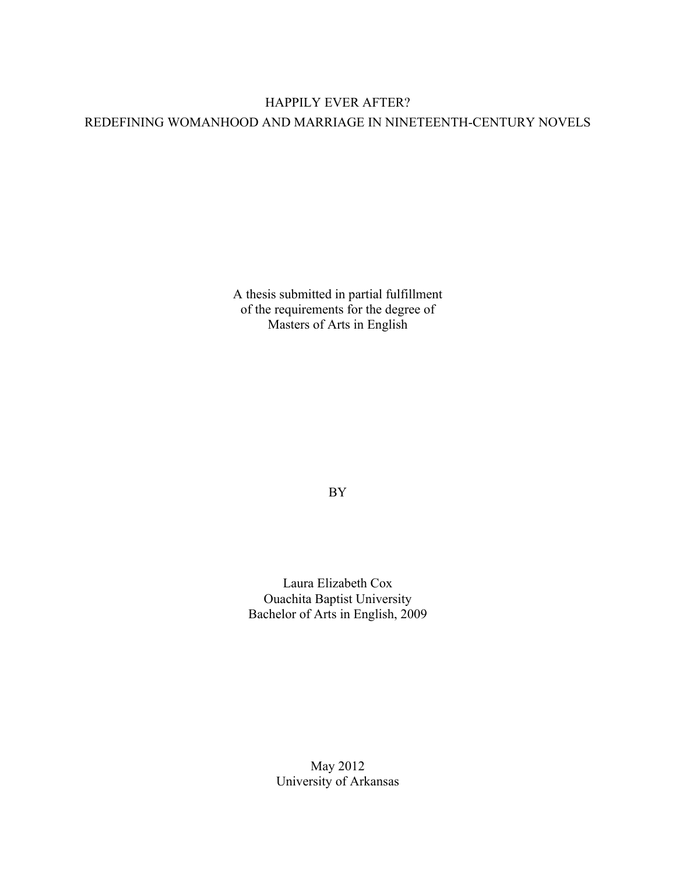## HAPPILY EVER AFTER? REDEFINING WOMANHOOD AND MARRIAGE IN NINETEENTH-CENTURY NOVELS

A thesis submitted in partial fulfillment of the requirements for the degree of Masters of Arts in English

BY

Laura Elizabeth Cox Ouachita Baptist University Bachelor of Arts in English, 2009

> May 2012 University of Arkansas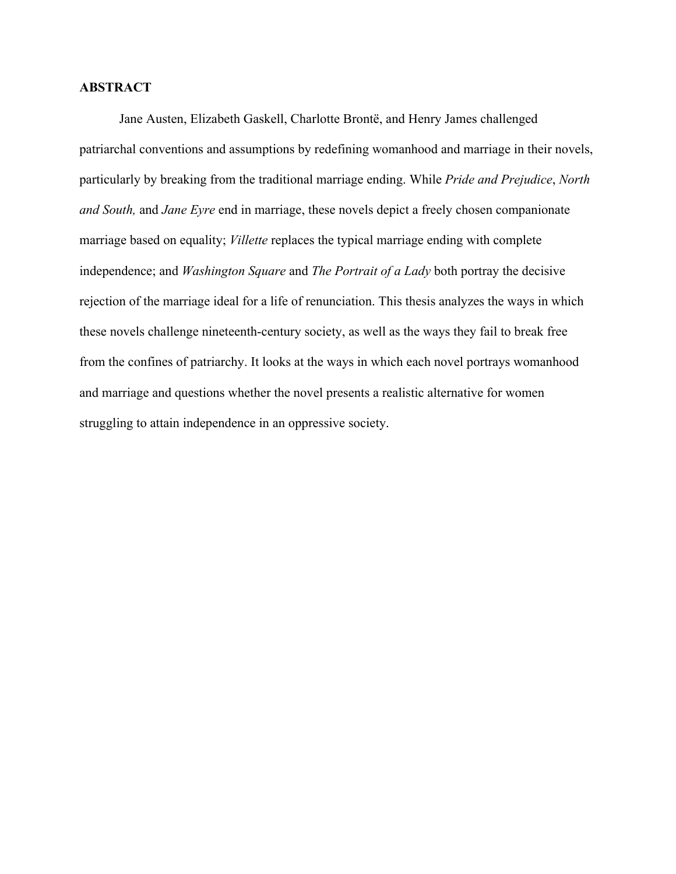#### **ABSTRACT**

Jane Austen, Elizabeth Gaskell, Charlotte Brontë, and Henry James challenged patriarchal conventions and assumptions by redefining womanhood and marriage in their novels, particularly by breaking from the traditional marriage ending. While *Pride and Prejudice*, *North and South,* and *Jane Eyre* end in marriage, these novels depict a freely chosen companionate marriage based on equality; *Villette* replaces the typical marriage ending with complete independence; and *Washington Square* and *The Portrait of a Lady* both portray the decisive rejection of the marriage ideal for a life of renunciation. This thesis analyzes the ways in which these novels challenge nineteenth-century society, as well as the ways they fail to break free from the confines of patriarchy. It looks at the ways in which each novel portrays womanhood and marriage and questions whether the novel presents a realistic alternative for women struggling to attain independence in an oppressive society.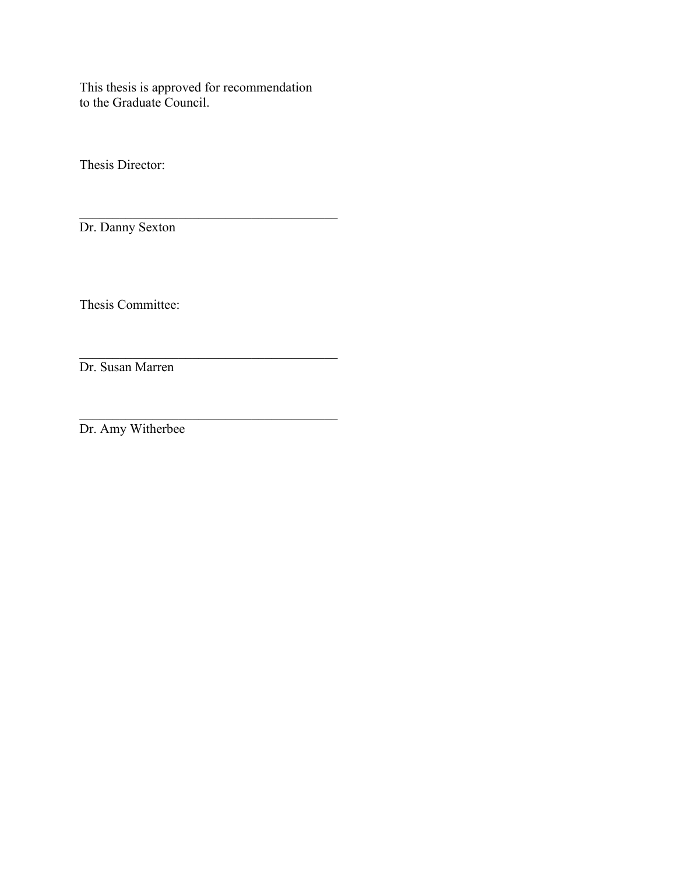This thesis is approved for recommendation to the Graduate Council.

\_\_\_\_\_\_\_\_\_\_\_\_\_\_\_\_\_\_\_\_\_\_\_\_\_\_\_\_\_\_\_\_\_\_\_\_\_\_\_

 $\mathcal{L}_\text{max}$ 

 $\mathcal{L}_\text{max}$  , and the set of the set of the set of the set of the set of the set of the set of the set of the set of the set of the set of the set of the set of the set of the set of the set of the set of the set of the

Thesis Director:

Dr. Danny Sexton

Thesis Committee:

Dr. Susan Marren

Dr. Amy Witherbee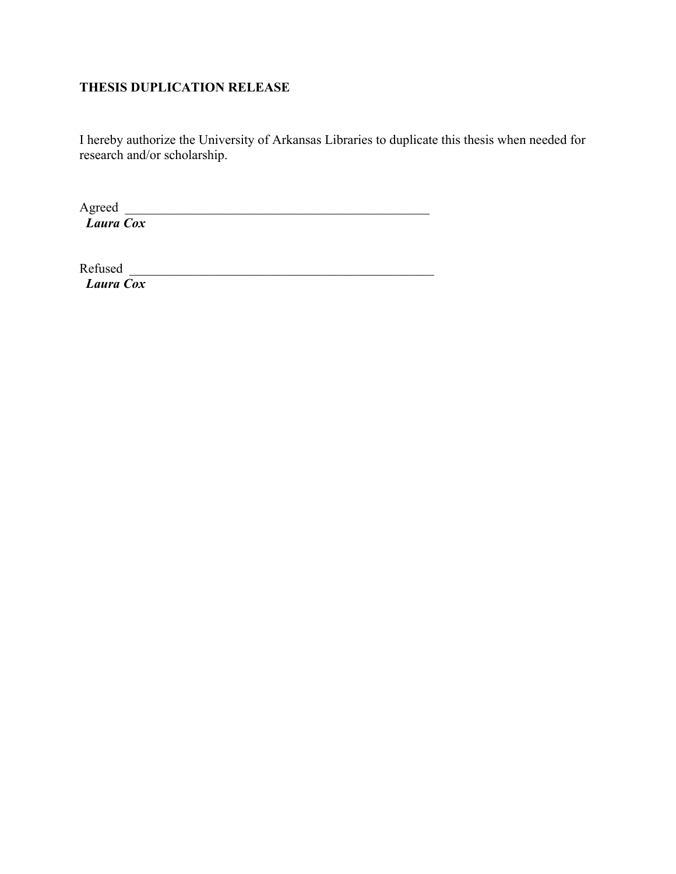### **THESIS DUPLICATION RELEASE**

I hereby authorize the University of Arkansas Libraries to duplicate this thesis when needed for research and/or scholarship.

Agreed *Laura Cox* 

Refused \_\_\_\_\_\_\_\_\_\_\_\_\_\_\_\_\_\_\_\_\_\_\_\_\_\_\_\_\_\_\_\_\_\_\_\_\_\_\_\_\_\_\_\_\_\_ *Laura Cox*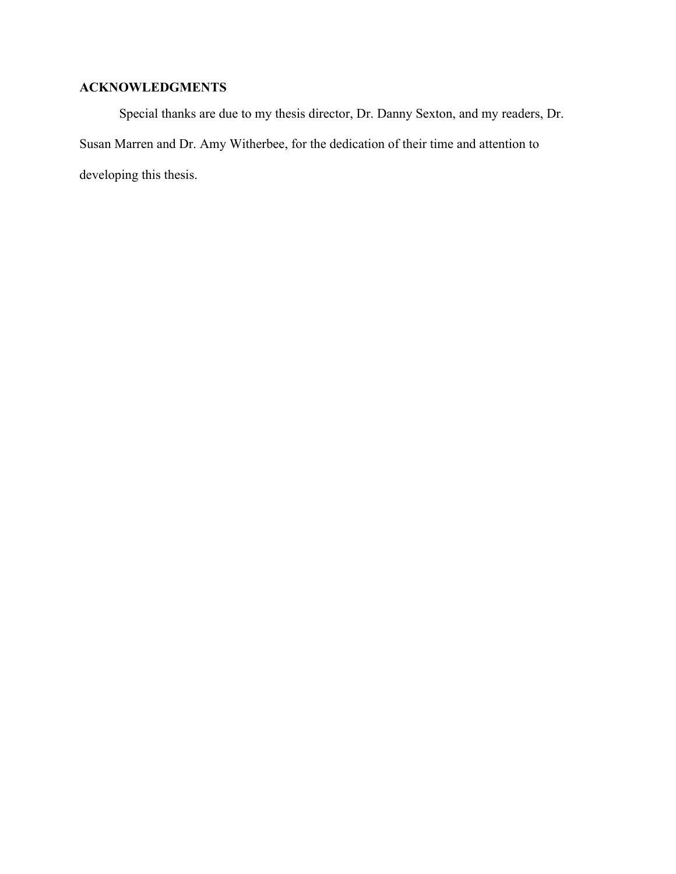### **ACKNOWLEDGMENTS**

Special thanks are due to my thesis director, Dr. Danny Sexton, and my readers, Dr. Susan Marren and Dr. Amy Witherbee, for the dedication of their time and attention to developing this thesis.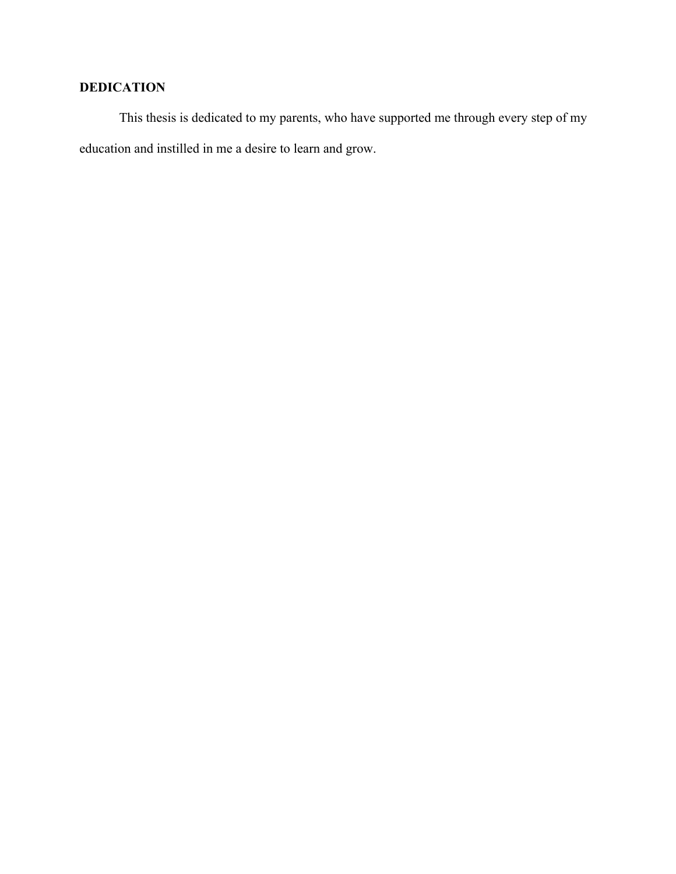### **DEDICATION**

This thesis is dedicated to my parents, who have supported me through every step of my education and instilled in me a desire to learn and grow.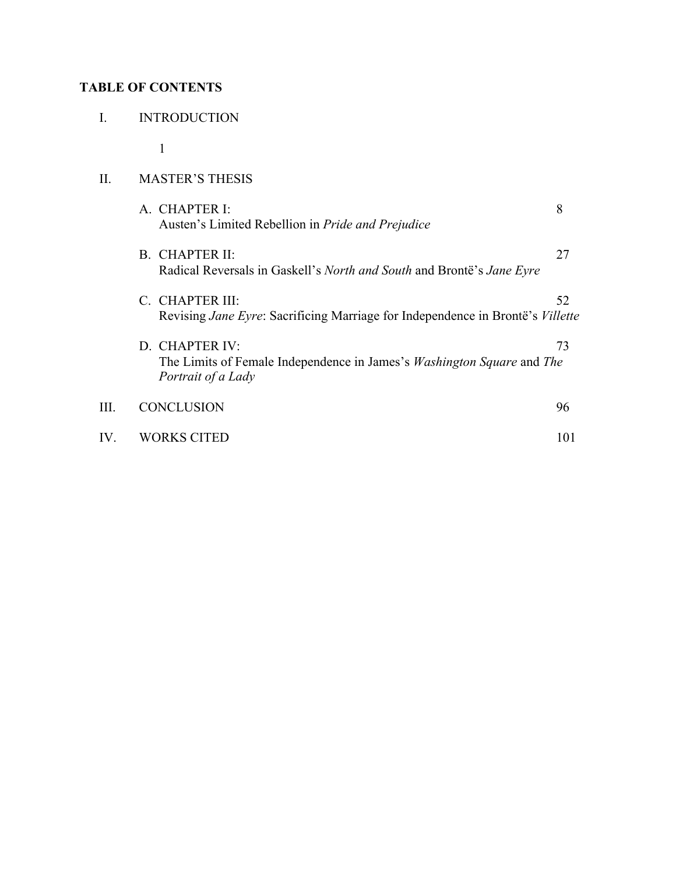### **TABLE OF CONTENTS**

|  | <b>INTRODUCTION</b> |  |
|--|---------------------|--|
|--|---------------------|--|

1

#### II. MASTER'S THESIS

|      | A. CHAPTER I:<br>Austen's Limited Rebellion in <i>Pride and Prejudice</i>                                                    | 8   |
|------|------------------------------------------------------------------------------------------------------------------------------|-----|
|      | B. CHAPTER II:<br>Radical Reversals in Gaskell's North and South and Brontë's Jane Eyre                                      | 27  |
|      | C. CHAPTER III:<br>Revising <i>Jane Eyre:</i> Sacrificing Marriage for Independence in Brontë's <i>Villette</i>              | 52  |
|      | D. CHAPTER IV:<br>The Limits of Female Independence in James's <i>Washington Square</i> and <i>The</i><br>Portrait of a Lady | 73  |
| III. | <b>CONCLUSION</b>                                                                                                            | 96  |
| IV.  | <b>WORKS CITED</b>                                                                                                           | 101 |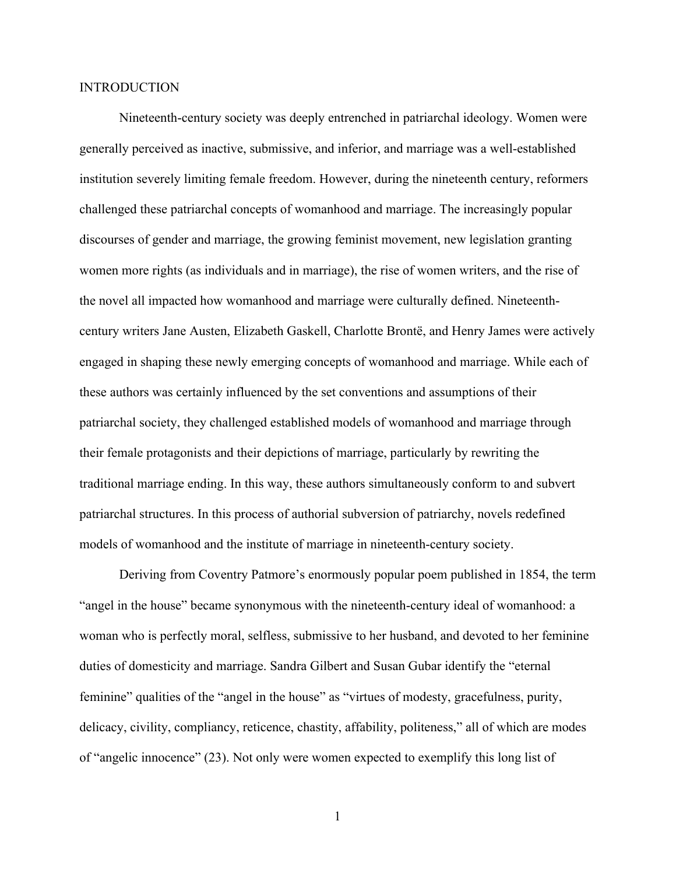#### **INTRODUCTION**

Nineteenth-century society was deeply entrenched in patriarchal ideology. Women were generally perceived as inactive, submissive, and inferior, and marriage was a well-established institution severely limiting female freedom. However, during the nineteenth century, reformers challenged these patriarchal concepts of womanhood and marriage. The increasingly popular discourses of gender and marriage, the growing feminist movement, new legislation granting women more rights (as individuals and in marriage), the rise of women writers, and the rise of the novel all impacted how womanhood and marriage were culturally defined. Nineteenthcentury writers Jane Austen, Elizabeth Gaskell, Charlotte Brontë, and Henry James were actively engaged in shaping these newly emerging concepts of womanhood and marriage. While each of these authors was certainly influenced by the set conventions and assumptions of their patriarchal society, they challenged established models of womanhood and marriage through their female protagonists and their depictions of marriage, particularly by rewriting the traditional marriage ending. In this way, these authors simultaneously conform to and subvert patriarchal structures. In this process of authorial subversion of patriarchy, novels redefined models of womanhood and the institute of marriage in nineteenth-century society.

Deriving from Coventry Patmore's enormously popular poem published in 1854, the term "angel in the house" became synonymous with the nineteenth-century ideal of womanhood: a woman who is perfectly moral, selfless, submissive to her husband, and devoted to her feminine duties of domesticity and marriage. Sandra Gilbert and Susan Gubar identify the "eternal feminine" qualities of the "angel in the house" as "virtues of modesty, gracefulness, purity, delicacy, civility, compliancy, reticence, chastity, affability, politeness," all of which are modes of "angelic innocence" (23). Not only were women expected to exemplify this long list of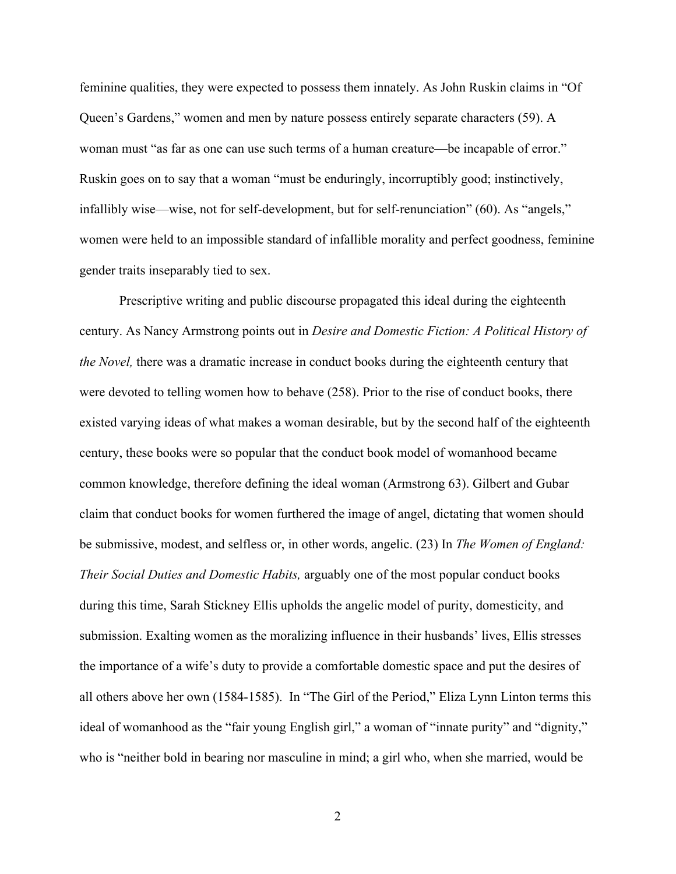feminine qualities, they were expected to possess them innately. As John Ruskin claims in "Of Queen's Gardens," women and men by nature possess entirely separate characters (59). A woman must "as far as one can use such terms of a human creature—be incapable of error." Ruskin goes on to say that a woman "must be enduringly, incorruptibly good; instinctively, infallibly wise—wise, not for self-development, but for self-renunciation" (60). As "angels," women were held to an impossible standard of infallible morality and perfect goodness, feminine gender traits inseparably tied to sex.

Prescriptive writing and public discourse propagated this ideal during the eighteenth century. As Nancy Armstrong points out in *Desire and Domestic Fiction: A Political History of the Novel,* there was a dramatic increase in conduct books during the eighteenth century that were devoted to telling women how to behave (258). Prior to the rise of conduct books, there existed varying ideas of what makes a woman desirable, but by the second half of the eighteenth century, these books were so popular that the conduct book model of womanhood became common knowledge, therefore defining the ideal woman (Armstrong 63). Gilbert and Gubar claim that conduct books for women furthered the image of angel, dictating that women should be submissive, modest, and selfless or, in other words, angelic. (23) In *The Women of England: Their Social Duties and Domestic Habits,* arguably one of the most popular conduct books during this time, Sarah Stickney Ellis upholds the angelic model of purity, domesticity, and submission. Exalting women as the moralizing influence in their husbands' lives, Ellis stresses the importance of a wife's duty to provide a comfortable domestic space and put the desires of all others above her own (1584-1585). In "The Girl of the Period," Eliza Lynn Linton terms this ideal of womanhood as the "fair young English girl," a woman of "innate purity" and "dignity," who is "neither bold in bearing nor masculine in mind; a girl who, when she married, would be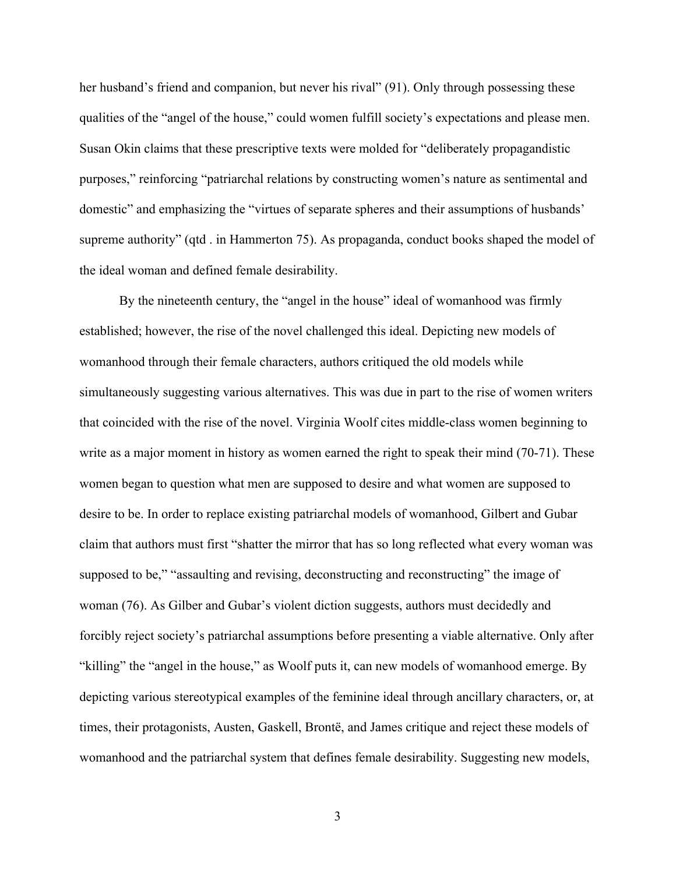her husband's friend and companion, but never his rival" (91). Only through possessing these qualities of the "angel of the house," could women fulfill society's expectations and please men. Susan Okin claims that these prescriptive texts were molded for "deliberately propagandistic purposes," reinforcing "patriarchal relations by constructing women's nature as sentimental and domestic" and emphasizing the "virtues of separate spheres and their assumptions of husbands' supreme authority" (qtd . in Hammerton 75). As propaganda, conduct books shaped the model of the ideal woman and defined female desirability.

By the nineteenth century, the "angel in the house" ideal of womanhood was firmly established; however, the rise of the novel challenged this ideal. Depicting new models of womanhood through their female characters, authors critiqued the old models while simultaneously suggesting various alternatives. This was due in part to the rise of women writers that coincided with the rise of the novel. Virginia Woolf cites middle-class women beginning to write as a major moment in history as women earned the right to speak their mind (70-71). These women began to question what men are supposed to desire and what women are supposed to desire to be. In order to replace existing patriarchal models of womanhood, Gilbert and Gubar claim that authors must first "shatter the mirror that has so long reflected what every woman was supposed to be," "assaulting and revising, deconstructing and reconstructing" the image of woman (76). As Gilber and Gubar's violent diction suggests, authors must decidedly and forcibly reject society's patriarchal assumptions before presenting a viable alternative. Only after "killing" the "angel in the house," as Woolf puts it, can new models of womanhood emerge. By depicting various stereotypical examples of the feminine ideal through ancillary characters, or, at times, their protagonists, Austen, Gaskell, Brontë, and James critique and reject these models of womanhood and the patriarchal system that defines female desirability. Suggesting new models,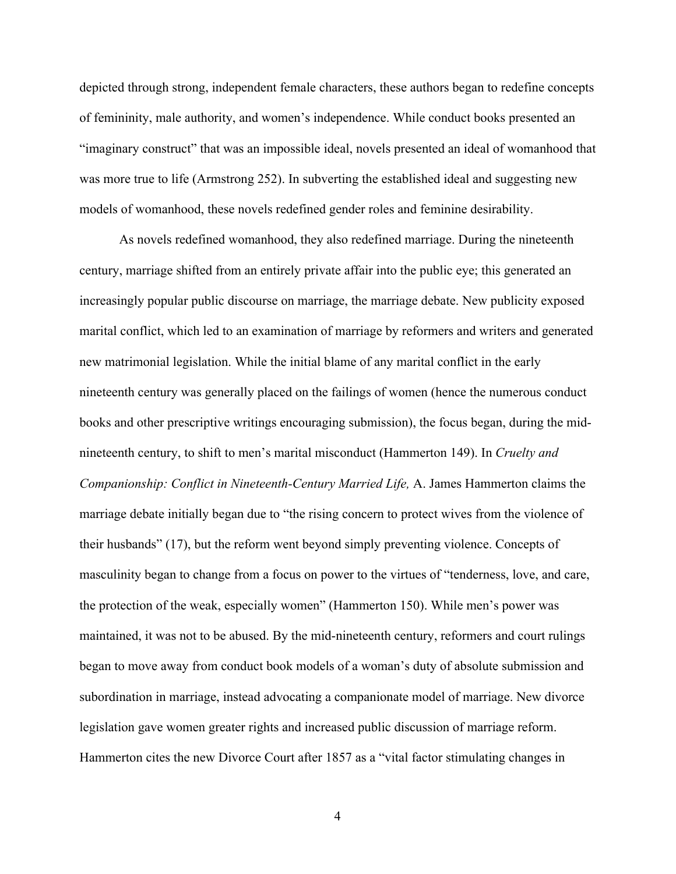depicted through strong, independent female characters, these authors began to redefine concepts of femininity, male authority, and women's independence. While conduct books presented an "imaginary construct" that was an impossible ideal, novels presented an ideal of womanhood that was more true to life (Armstrong 252). In subverting the established ideal and suggesting new models of womanhood, these novels redefined gender roles and feminine desirability.

As novels redefined womanhood, they also redefined marriage. During the nineteenth century, marriage shifted from an entirely private affair into the public eye; this generated an increasingly popular public discourse on marriage, the marriage debate. New publicity exposed marital conflict, which led to an examination of marriage by reformers and writers and generated new matrimonial legislation. While the initial blame of any marital conflict in the early nineteenth century was generally placed on the failings of women (hence the numerous conduct books and other prescriptive writings encouraging submission), the focus began, during the midnineteenth century, to shift to men's marital misconduct (Hammerton 149). In *Cruelty and Companionship: Conflict in Nineteenth-Century Married Life,* A. James Hammerton claims the marriage debate initially began due to "the rising concern to protect wives from the violence of their husbands" (17), but the reform went beyond simply preventing violence. Concepts of masculinity began to change from a focus on power to the virtues of "tenderness, love, and care, the protection of the weak, especially women" (Hammerton 150). While men's power was maintained, it was not to be abused. By the mid-nineteenth century, reformers and court rulings began to move away from conduct book models of a woman's duty of absolute submission and subordination in marriage, instead advocating a companionate model of marriage. New divorce legislation gave women greater rights and increased public discussion of marriage reform. Hammerton cites the new Divorce Court after 1857 as a "vital factor stimulating changes in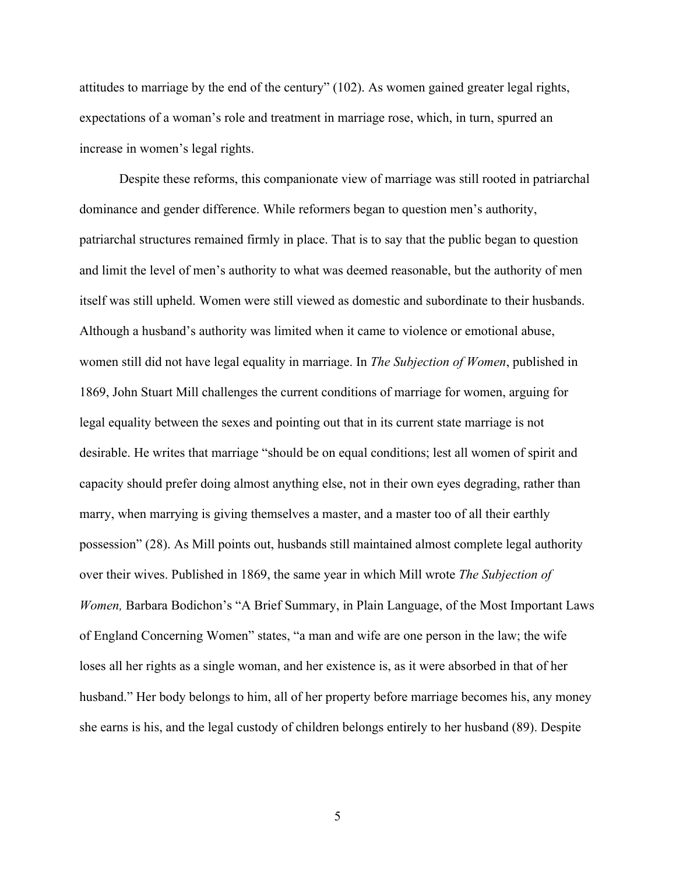attitudes to marriage by the end of the century" (102). As women gained greater legal rights, expectations of a woman's role and treatment in marriage rose, which, in turn, spurred an increase in women's legal rights.

Despite these reforms, this companionate view of marriage was still rooted in patriarchal dominance and gender difference. While reformers began to question men's authority, patriarchal structures remained firmly in place. That is to say that the public began to question and limit the level of men's authority to what was deemed reasonable, but the authority of men itself was still upheld. Women were still viewed as domestic and subordinate to their husbands. Although a husband's authority was limited when it came to violence or emotional abuse, women still did not have legal equality in marriage. In *The Subjection of Women*, published in 1869, John Stuart Mill challenges the current conditions of marriage for women, arguing for legal equality between the sexes and pointing out that in its current state marriage is not desirable. He writes that marriage "should be on equal conditions; lest all women of spirit and capacity should prefer doing almost anything else, not in their own eyes degrading, rather than marry, when marrying is giving themselves a master, and a master too of all their earthly possession" (28). As Mill points out, husbands still maintained almost complete legal authority over their wives. Published in 1869, the same year in which Mill wrote *The Subjection of Women, Barbara Bodichon's* "A Brief Summary, in Plain Language, of the Most Important Laws of England Concerning Women" states, "a man and wife are one person in the law; the wife loses all her rights as a single woman, and her existence is, as it were absorbed in that of her husband." Her body belongs to him, all of her property before marriage becomes his, any money she earns is his, and the legal custody of children belongs entirely to her husband (89). Despite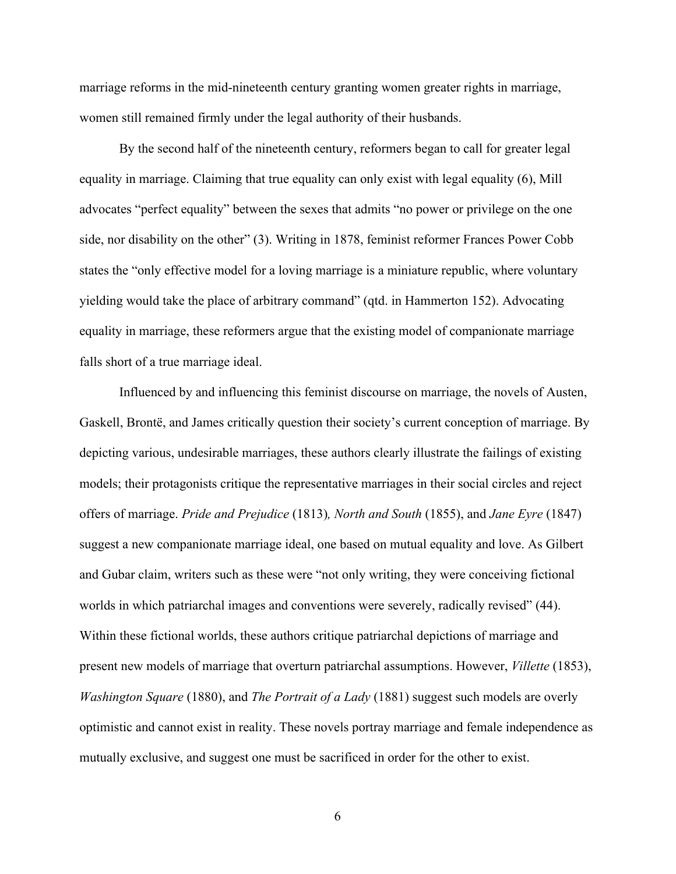marriage reforms in the mid-nineteenth century granting women greater rights in marriage, women still remained firmly under the legal authority of their husbands.

By the second half of the nineteenth century, reformers began to call for greater legal equality in marriage. Claiming that true equality can only exist with legal equality (6), Mill advocates "perfect equality" between the sexes that admits "no power or privilege on the one side, nor disability on the other" (3). Writing in 1878, feminist reformer Frances Power Cobb states the "only effective model for a loving marriage is a miniature republic, where voluntary yielding would take the place of arbitrary command" (qtd. in Hammerton 152). Advocating equality in marriage, these reformers argue that the existing model of companionate marriage falls short of a true marriage ideal.

Influenced by and influencing this feminist discourse on marriage, the novels of Austen, Gaskell, Brontë, and James critically question their society's current conception of marriage. By depicting various, undesirable marriages, these authors clearly illustrate the failings of existing models; their protagonists critique the representative marriages in their social circles and reject offers of marriage. *Pride and Prejudice* (1813)*, North and South* (1855), and *Jane Eyre* (1847) suggest a new companionate marriage ideal, one based on mutual equality and love. As Gilbert and Gubar claim, writers such as these were "not only writing, they were conceiving fictional worlds in which patriarchal images and conventions were severely, radically revised" (44). Within these fictional worlds, these authors critique patriarchal depictions of marriage and present new models of marriage that overturn patriarchal assumptions. However, *Villette* (1853), *Washington Square* (1880), and *The Portrait of a Lady* (1881) suggest such models are overly optimistic and cannot exist in reality. These novels portray marriage and female independence as mutually exclusive, and suggest one must be sacrificed in order for the other to exist.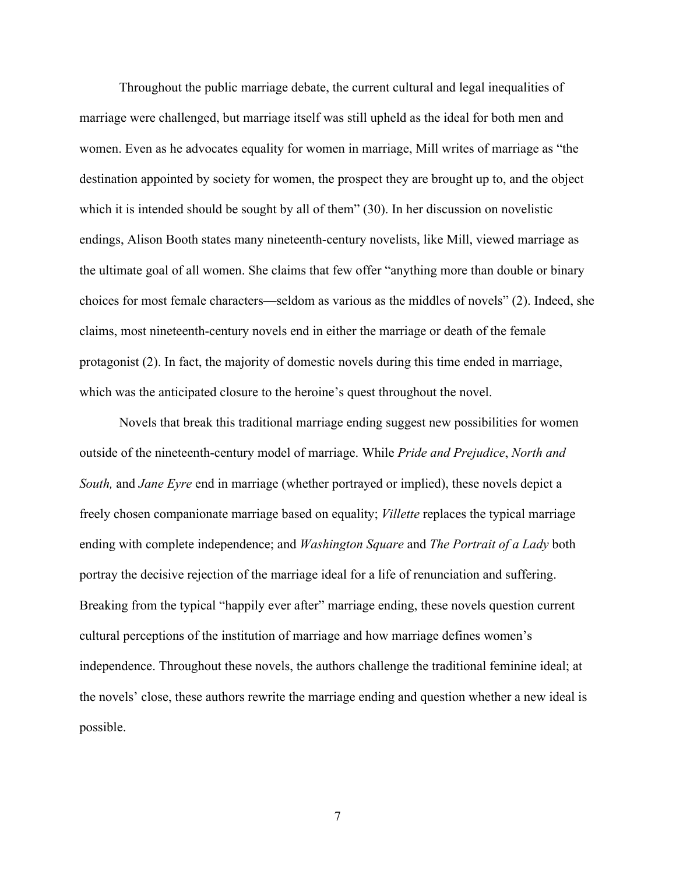Throughout the public marriage debate, the current cultural and legal inequalities of marriage were challenged, but marriage itself was still upheld as the ideal for both men and women. Even as he advocates equality for women in marriage, Mill writes of marriage as "the destination appointed by society for women, the prospect they are brought up to, and the object which it is intended should be sought by all of them" (30). In her discussion on novelistic endings, Alison Booth states many nineteenth-century novelists, like Mill, viewed marriage as the ultimate goal of all women. She claims that few offer "anything more than double or binary choices for most female characters—seldom as various as the middles of novels" (2). Indeed, she claims, most nineteenth-century novels end in either the marriage or death of the female protagonist (2). In fact, the majority of domestic novels during this time ended in marriage, which was the anticipated closure to the heroine's quest throughout the novel.

Novels that break this traditional marriage ending suggest new possibilities for women outside of the nineteenth-century model of marriage. While *Pride and Prejudice*, *North and South,* and *Jane Eyre* end in marriage (whether portrayed or implied), these novels depict a freely chosen companionate marriage based on equality; *Villette* replaces the typical marriage ending with complete independence; and *Washington Square* and *The Portrait of a Lady* both portray the decisive rejection of the marriage ideal for a life of renunciation and suffering. Breaking from the typical "happily ever after" marriage ending, these novels question current cultural perceptions of the institution of marriage and how marriage defines women's independence. Throughout these novels, the authors challenge the traditional feminine ideal; at the novels' close, these authors rewrite the marriage ending and question whether a new ideal is possible.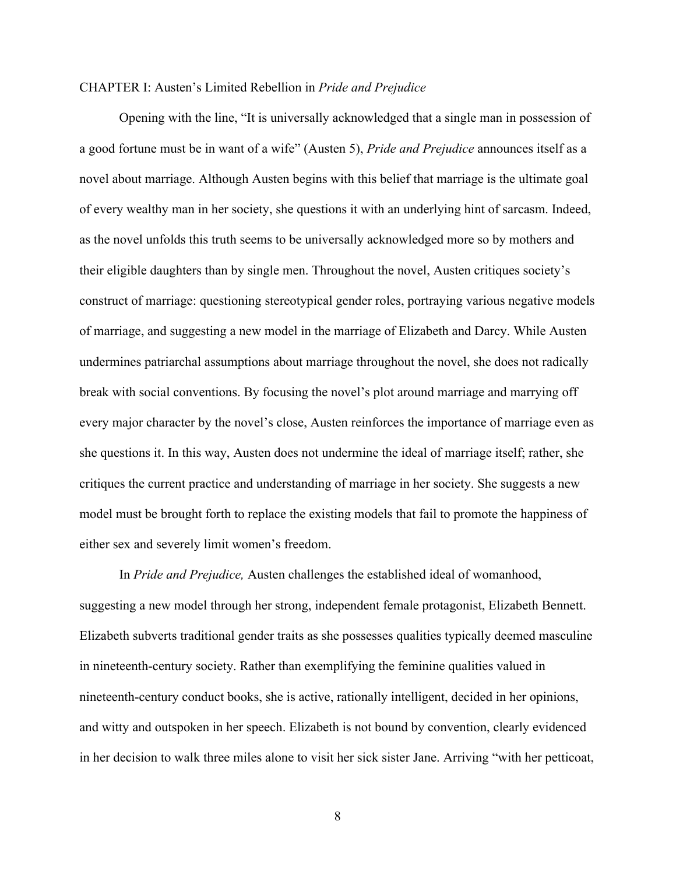#### CHAPTER I: Austen's Limited Rebellion in *Pride and Prejudice*

Opening with the line, "It is universally acknowledged that a single man in possession of a good fortune must be in want of a wife" (Austen 5), *Pride and Prejudice* announces itself as a novel about marriage. Although Austen begins with this belief that marriage is the ultimate goal of every wealthy man in her society, she questions it with an underlying hint of sarcasm. Indeed, as the novel unfolds this truth seems to be universally acknowledged more so by mothers and their eligible daughters than by single men. Throughout the novel, Austen critiques society's construct of marriage: questioning stereotypical gender roles, portraying various negative models of marriage, and suggesting a new model in the marriage of Elizabeth and Darcy. While Austen undermines patriarchal assumptions about marriage throughout the novel, she does not radically break with social conventions. By focusing the novel's plot around marriage and marrying off every major character by the novel's close, Austen reinforces the importance of marriage even as she questions it. In this way, Austen does not undermine the ideal of marriage itself; rather, she critiques the current practice and understanding of marriage in her society. She suggests a new model must be brought forth to replace the existing models that fail to promote the happiness of either sex and severely limit women's freedom.

In *Pride and Prejudice,* Austen challenges the established ideal of womanhood, suggesting a new model through her strong, independent female protagonist, Elizabeth Bennett. Elizabeth subverts traditional gender traits as she possesses qualities typically deemed masculine in nineteenth-century society. Rather than exemplifying the feminine qualities valued in nineteenth-century conduct books, she is active, rationally intelligent, decided in her opinions, and witty and outspoken in her speech. Elizabeth is not bound by convention, clearly evidenced in her decision to walk three miles alone to visit her sick sister Jane. Arriving "with her petticoat,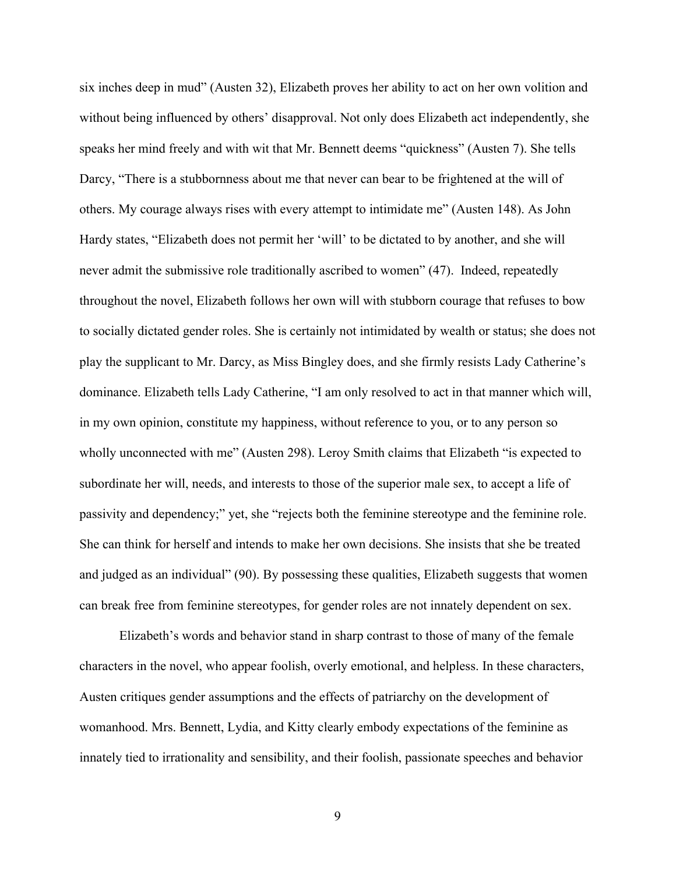six inches deep in mud" (Austen 32), Elizabeth proves her ability to act on her own volition and without being influenced by others' disapproval. Not only does Elizabeth act independently, she speaks her mind freely and with wit that Mr. Bennett deems "quickness" (Austen 7). She tells Darcy, "There is a stubbornness about me that never can bear to be frightened at the will of others. My courage always rises with every attempt to intimidate me" (Austen 148). As John Hardy states, "Elizabeth does not permit her 'will' to be dictated to by another, and she will never admit the submissive role traditionally ascribed to women" (47). Indeed, repeatedly throughout the novel, Elizabeth follows her own will with stubborn courage that refuses to bow to socially dictated gender roles. She is certainly not intimidated by wealth or status; she does not play the supplicant to Mr. Darcy, as Miss Bingley does, and she firmly resists Lady Catherine's dominance. Elizabeth tells Lady Catherine, "I am only resolved to act in that manner which will, in my own opinion, constitute my happiness, without reference to you, or to any person so wholly unconnected with me" (Austen 298). Leroy Smith claims that Elizabeth "is expected to subordinate her will, needs, and interests to those of the superior male sex, to accept a life of passivity and dependency;" yet, she "rejects both the feminine stereotype and the feminine role. She can think for herself and intends to make her own decisions. She insists that she be treated and judged as an individual" (90). By possessing these qualities, Elizabeth suggests that women can break free from feminine stereotypes, for gender roles are not innately dependent on sex.

Elizabeth's words and behavior stand in sharp contrast to those of many of the female characters in the novel, who appear foolish, overly emotional, and helpless. In these characters, Austen critiques gender assumptions and the effects of patriarchy on the development of womanhood. Mrs. Bennett, Lydia, and Kitty clearly embody expectations of the feminine as innately tied to irrationality and sensibility, and their foolish, passionate speeches and behavior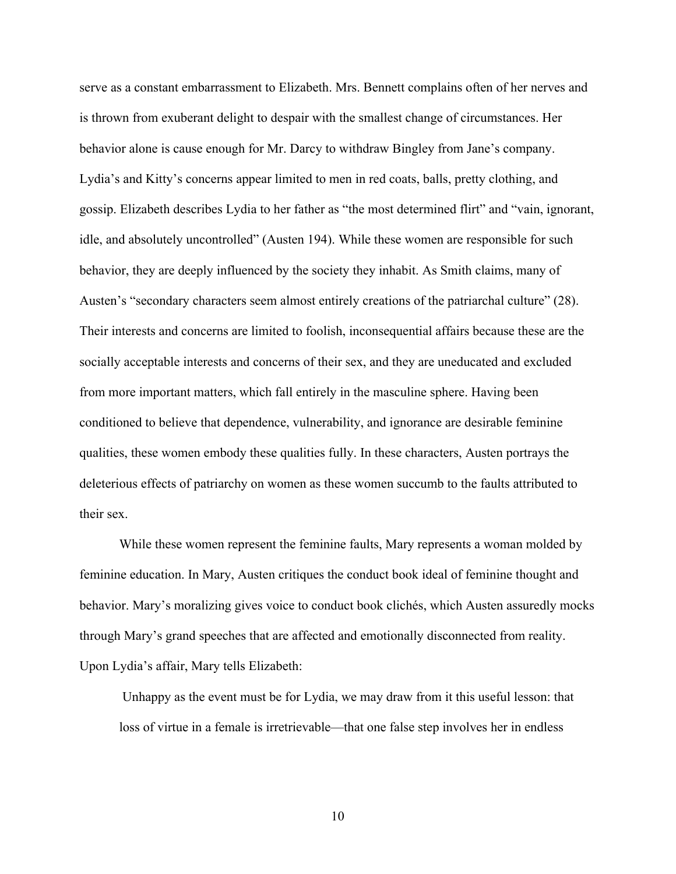serve as a constant embarrassment to Elizabeth. Mrs. Bennett complains often of her nerves and is thrown from exuberant delight to despair with the smallest change of circumstances. Her behavior alone is cause enough for Mr. Darcy to withdraw Bingley from Jane's company. Lydia's and Kitty's concerns appear limited to men in red coats, balls, pretty clothing, and gossip. Elizabeth describes Lydia to her father as "the most determined flirt" and "vain, ignorant, idle, and absolutely uncontrolled" (Austen 194). While these women are responsible for such behavior, they are deeply influenced by the society they inhabit. As Smith claims, many of Austen's "secondary characters seem almost entirely creations of the patriarchal culture" (28). Their interests and concerns are limited to foolish, inconsequential affairs because these are the socially acceptable interests and concerns of their sex, and they are uneducated and excluded from more important matters, which fall entirely in the masculine sphere. Having been conditioned to believe that dependence, vulnerability, and ignorance are desirable feminine qualities, these women embody these qualities fully. In these characters, Austen portrays the deleterious effects of patriarchy on women as these women succumb to the faults attributed to their sex.

While these women represent the feminine faults, Mary represents a woman molded by feminine education. In Mary, Austen critiques the conduct book ideal of feminine thought and behavior. Mary's moralizing gives voice to conduct book clichés, which Austen assuredly mocks through Mary's grand speeches that are affected and emotionally disconnected from reality. Upon Lydia's affair, Mary tells Elizabeth:

 Unhappy as the event must be for Lydia, we may draw from it this useful lesson: that loss of virtue in a female is irretrievable—that one false step involves her in endless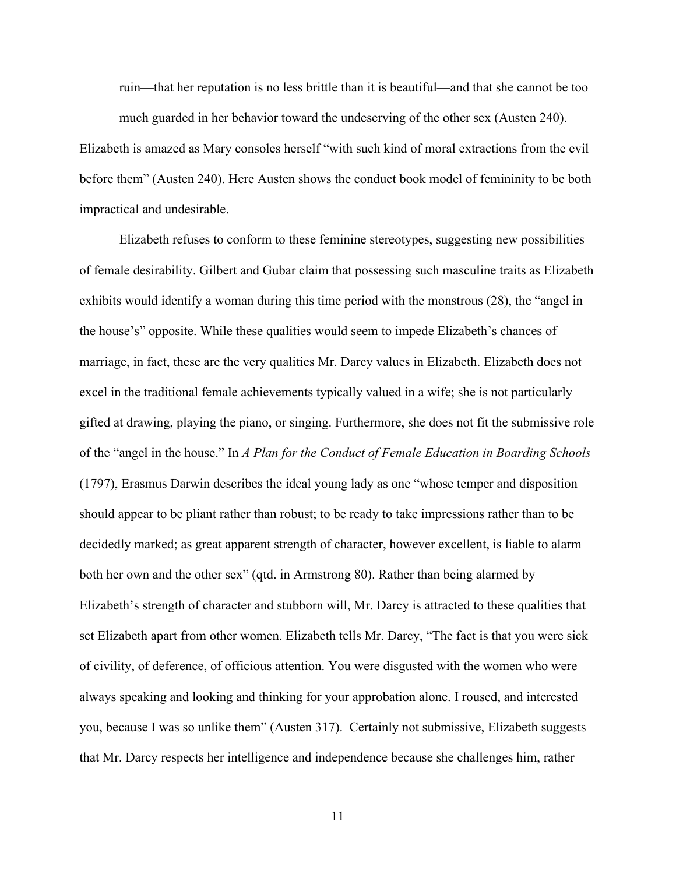ruin—that her reputation is no less brittle than it is beautiful—and that she cannot be too much guarded in her behavior toward the undeserving of the other sex (Austen 240).

Elizabeth is amazed as Mary consoles herself "with such kind of moral extractions from the evil before them" (Austen 240). Here Austen shows the conduct book model of femininity to be both impractical and undesirable.

Elizabeth refuses to conform to these feminine stereotypes, suggesting new possibilities of female desirability. Gilbert and Gubar claim that possessing such masculine traits as Elizabeth exhibits would identify a woman during this time period with the monstrous (28), the "angel in the house's" opposite. While these qualities would seem to impede Elizabeth's chances of marriage, in fact, these are the very qualities Mr. Darcy values in Elizabeth. Elizabeth does not excel in the traditional female achievements typically valued in a wife; she is not particularly gifted at drawing, playing the piano, or singing. Furthermore, she does not fit the submissive role of the "angel in the house." In *A Plan for the Conduct of Female Education in Boarding Schools*  (1797), Erasmus Darwin describes the ideal young lady as one "whose temper and disposition should appear to be pliant rather than robust; to be ready to take impressions rather than to be decidedly marked; as great apparent strength of character, however excellent, is liable to alarm both her own and the other sex" (qtd. in Armstrong 80). Rather than being alarmed by Elizabeth's strength of character and stubborn will, Mr. Darcy is attracted to these qualities that set Elizabeth apart from other women. Elizabeth tells Mr. Darcy, "The fact is that you were sick of civility, of deference, of officious attention. You were disgusted with the women who were always speaking and looking and thinking for your approbation alone. I roused, and interested you, because I was so unlike them" (Austen 317). Certainly not submissive, Elizabeth suggests that Mr. Darcy respects her intelligence and independence because she challenges him, rather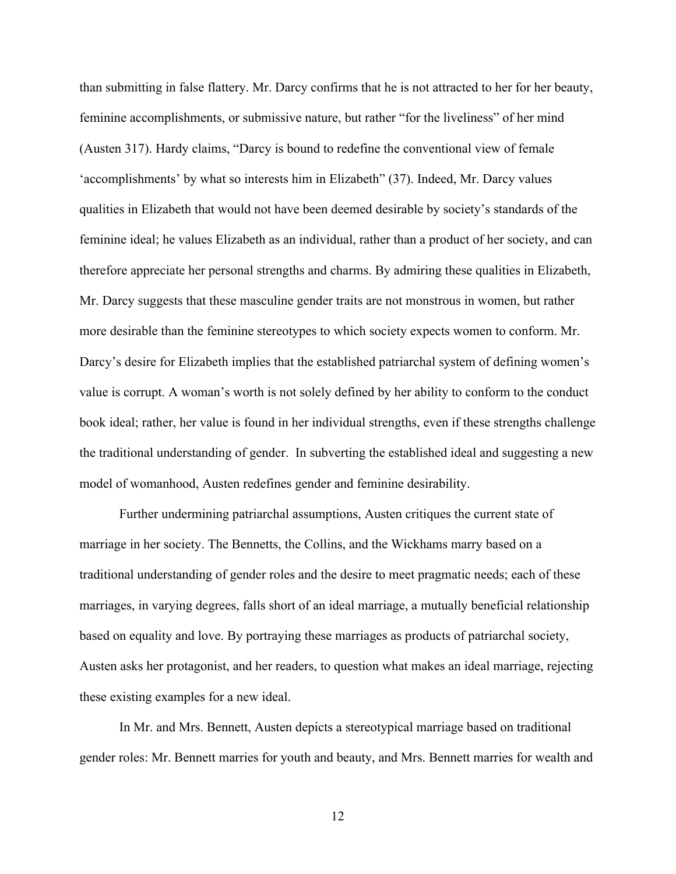than submitting in false flattery. Mr. Darcy confirms that he is not attracted to her for her beauty, feminine accomplishments, or submissive nature, but rather "for the liveliness" of her mind (Austen 317). Hardy claims, "Darcy is bound to redefine the conventional view of female 'accomplishments' by what so interests him in Elizabeth" (37). Indeed, Mr. Darcy values qualities in Elizabeth that would not have been deemed desirable by society's standards of the feminine ideal; he values Elizabeth as an individual, rather than a product of her society, and can therefore appreciate her personal strengths and charms. By admiring these qualities in Elizabeth, Mr. Darcy suggests that these masculine gender traits are not monstrous in women, but rather more desirable than the feminine stereotypes to which society expects women to conform. Mr. Darcy's desire for Elizabeth implies that the established patriarchal system of defining women's value is corrupt. A woman's worth is not solely defined by her ability to conform to the conduct book ideal; rather, her value is found in her individual strengths, even if these strengths challenge the traditional understanding of gender. In subverting the established ideal and suggesting a new model of womanhood, Austen redefines gender and feminine desirability.

Further undermining patriarchal assumptions, Austen critiques the current state of marriage in her society. The Bennetts, the Collins, and the Wickhams marry based on a traditional understanding of gender roles and the desire to meet pragmatic needs; each of these marriages, in varying degrees, falls short of an ideal marriage, a mutually beneficial relationship based on equality and love. By portraying these marriages as products of patriarchal society, Austen asks her protagonist, and her readers, to question what makes an ideal marriage, rejecting these existing examples for a new ideal.

In Mr. and Mrs. Bennett, Austen depicts a stereotypical marriage based on traditional gender roles: Mr. Bennett marries for youth and beauty, and Mrs. Bennett marries for wealth and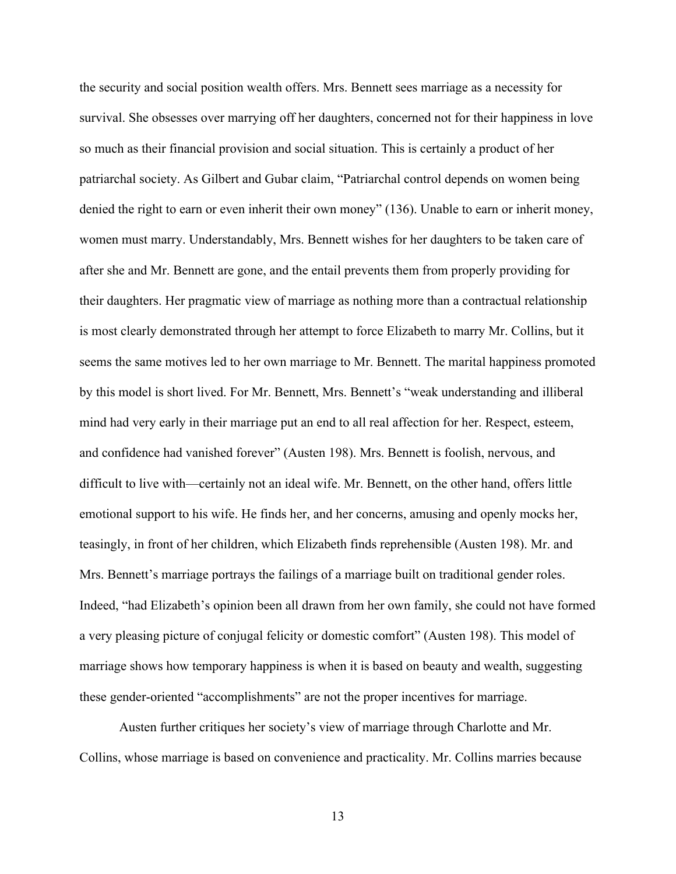the security and social position wealth offers. Mrs. Bennett sees marriage as a necessity for survival. She obsesses over marrying off her daughters, concerned not for their happiness in love so much as their financial provision and social situation. This is certainly a product of her patriarchal society. As Gilbert and Gubar claim, "Patriarchal control depends on women being denied the right to earn or even inherit their own money" (136). Unable to earn or inherit money, women must marry. Understandably, Mrs. Bennett wishes for her daughters to be taken care of after she and Mr. Bennett are gone, and the entail prevents them from properly providing for their daughters. Her pragmatic view of marriage as nothing more than a contractual relationship is most clearly demonstrated through her attempt to force Elizabeth to marry Mr. Collins, but it seems the same motives led to her own marriage to Mr. Bennett. The marital happiness promoted by this model is short lived. For Mr. Bennett, Mrs. Bennett's "weak understanding and illiberal mind had very early in their marriage put an end to all real affection for her. Respect, esteem, and confidence had vanished forever" (Austen 198). Mrs. Bennett is foolish, nervous, and difficult to live with—certainly not an ideal wife. Mr. Bennett, on the other hand, offers little emotional support to his wife. He finds her, and her concerns, amusing and openly mocks her, teasingly, in front of her children, which Elizabeth finds reprehensible (Austen 198). Mr. and Mrs. Bennett's marriage portrays the failings of a marriage built on traditional gender roles. Indeed, "had Elizabeth's opinion been all drawn from her own family, she could not have formed a very pleasing picture of conjugal felicity or domestic comfort" (Austen 198). This model of marriage shows how temporary happiness is when it is based on beauty and wealth, suggesting these gender-oriented "accomplishments" are not the proper incentives for marriage.

Austen further critiques her society's view of marriage through Charlotte and Mr. Collins, whose marriage is based on convenience and practicality. Mr. Collins marries because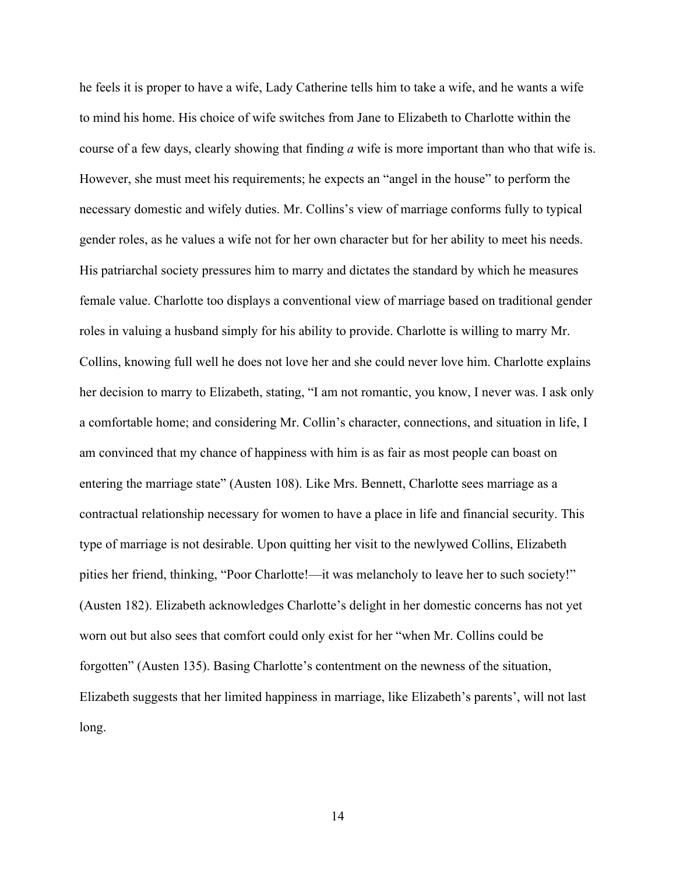he feels it is proper to have a wife, Lady Catherine tells him to take a wife, and he wants a wife to mind his home. His choice of wife switches from Jane to Elizabeth to Charlotte within the course of a few days, clearly showing that finding *a* wife is more important than who that wife is. However, she must meet his requirements; he expects an "angel in the house" to perform the necessary domestic and wifely duties. Mr. Collins's view of marriage conforms fully to typical gender roles, as he values a wife not for her own character but for her ability to meet his needs. His patriarchal society pressures him to marry and dictates the standard by which he measures female value. Charlotte too displays a conventional view of marriage based on traditional gender roles in valuing a husband simply for his ability to provide. Charlotte is willing to marry Mr. Collins, knowing full well he does not love her and she could never love him. Charlotte explains her decision to marry to Elizabeth, stating, "I am not romantic, you know, I never was. I ask only a comfortable home; and considering Mr. Collin's character, connections, and situation in life, I am convinced that my chance of happiness with him is as fair as most people can boast on entering the marriage state" (Austen 108). Like Mrs. Bennett, Charlotte sees marriage as a contractual relationship necessary for women to have a place in life and financial security. This type of marriage is not desirable. Upon quitting her visit to the newlywed Collins, Elizabeth pities her friend, thinking, "Poor Charlotte!—it was melancholy to leave her to such society!" (Austen 182). Elizabeth acknowledges Charlotte's delight in her domestic concerns has not yet worn out but also sees that comfort could only exist for her "when Mr. Collins could be forgotten" (Austen 135). Basing Charlotte's contentment on the newness of the situation, Elizabeth suggests that her limited happiness in marriage, like Elizabeth's parents', will not last long.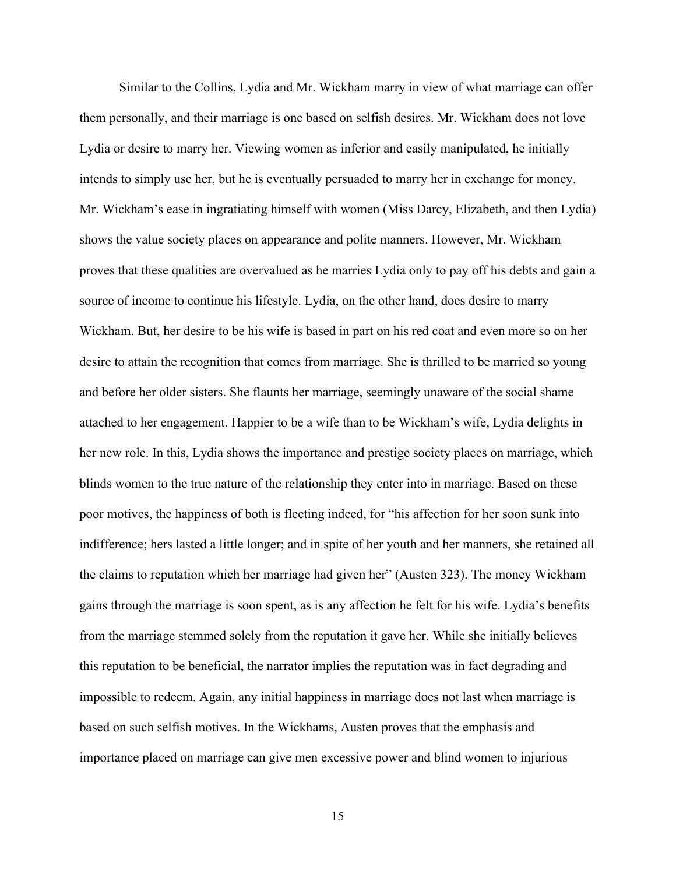Similar to the Collins, Lydia and Mr. Wickham marry in view of what marriage can offer them personally, and their marriage is one based on selfish desires. Mr. Wickham does not love Lydia or desire to marry her. Viewing women as inferior and easily manipulated, he initially intends to simply use her, but he is eventually persuaded to marry her in exchange for money. Mr. Wickham's ease in ingratiating himself with women (Miss Darcy, Elizabeth, and then Lydia) shows the value society places on appearance and polite manners. However, Mr. Wickham proves that these qualities are overvalued as he marries Lydia only to pay off his debts and gain a source of income to continue his lifestyle. Lydia, on the other hand, does desire to marry Wickham. But, her desire to be his wife is based in part on his red coat and even more so on her desire to attain the recognition that comes from marriage. She is thrilled to be married so young and before her older sisters. She flaunts her marriage, seemingly unaware of the social shame attached to her engagement. Happier to be a wife than to be Wickham's wife, Lydia delights in her new role. In this, Lydia shows the importance and prestige society places on marriage, which blinds women to the true nature of the relationship they enter into in marriage. Based on these poor motives, the happiness of both is fleeting indeed, for "his affection for her soon sunk into indifference; hers lasted a little longer; and in spite of her youth and her manners, she retained all the claims to reputation which her marriage had given her" (Austen 323). The money Wickham gains through the marriage is soon spent, as is any affection he felt for his wife. Lydia's benefits from the marriage stemmed solely from the reputation it gave her. While she initially believes this reputation to be beneficial, the narrator implies the reputation was in fact degrading and impossible to redeem. Again, any initial happiness in marriage does not last when marriage is based on such selfish motives. In the Wickhams, Austen proves that the emphasis and importance placed on marriage can give men excessive power and blind women to injurious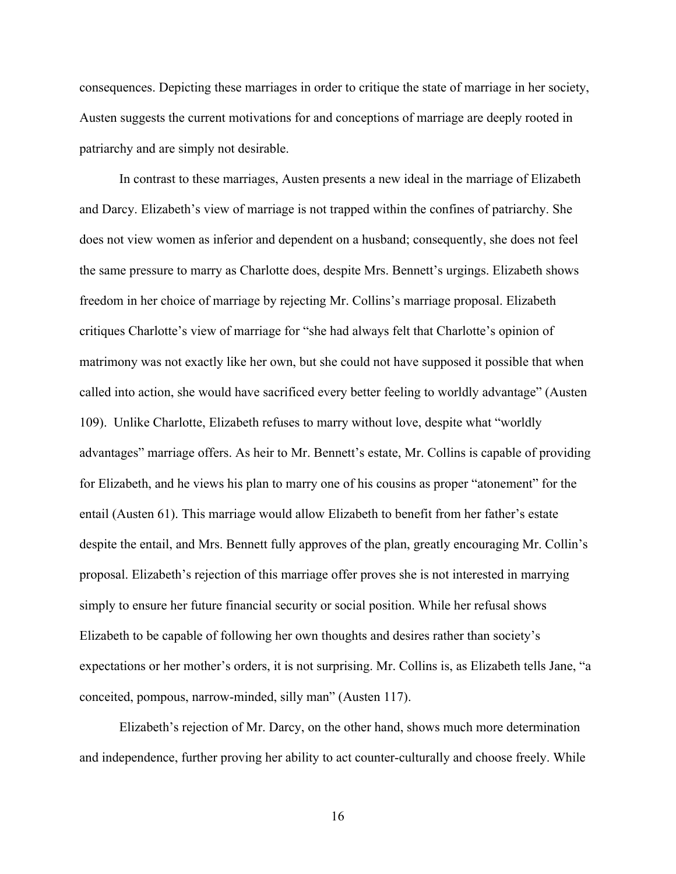consequences. Depicting these marriages in order to critique the state of marriage in her society, Austen suggests the current motivations for and conceptions of marriage are deeply rooted in patriarchy and are simply not desirable.

In contrast to these marriages, Austen presents a new ideal in the marriage of Elizabeth and Darcy. Elizabeth's view of marriage is not trapped within the confines of patriarchy. She does not view women as inferior and dependent on a husband; consequently, she does not feel the same pressure to marry as Charlotte does, despite Mrs. Bennett's urgings. Elizabeth shows freedom in her choice of marriage by rejecting Mr. Collins's marriage proposal. Elizabeth critiques Charlotte's view of marriage for "she had always felt that Charlotte's opinion of matrimony was not exactly like her own, but she could not have supposed it possible that when called into action, she would have sacrificed every better feeling to worldly advantage" (Austen 109). Unlike Charlotte, Elizabeth refuses to marry without love, despite what "worldly advantages" marriage offers. As heir to Mr. Bennett's estate, Mr. Collins is capable of providing for Elizabeth, and he views his plan to marry one of his cousins as proper "atonement" for the entail (Austen 61). This marriage would allow Elizabeth to benefit from her father's estate despite the entail, and Mrs. Bennett fully approves of the plan, greatly encouraging Mr. Collin's proposal. Elizabeth's rejection of this marriage offer proves she is not interested in marrying simply to ensure her future financial security or social position. While her refusal shows Elizabeth to be capable of following her own thoughts and desires rather than society's expectations or her mother's orders, it is not surprising. Mr. Collins is, as Elizabeth tells Jane, "a conceited, pompous, narrow-minded, silly man" (Austen 117).

Elizabeth's rejection of Mr. Darcy, on the other hand, shows much more determination and independence, further proving her ability to act counter-culturally and choose freely. While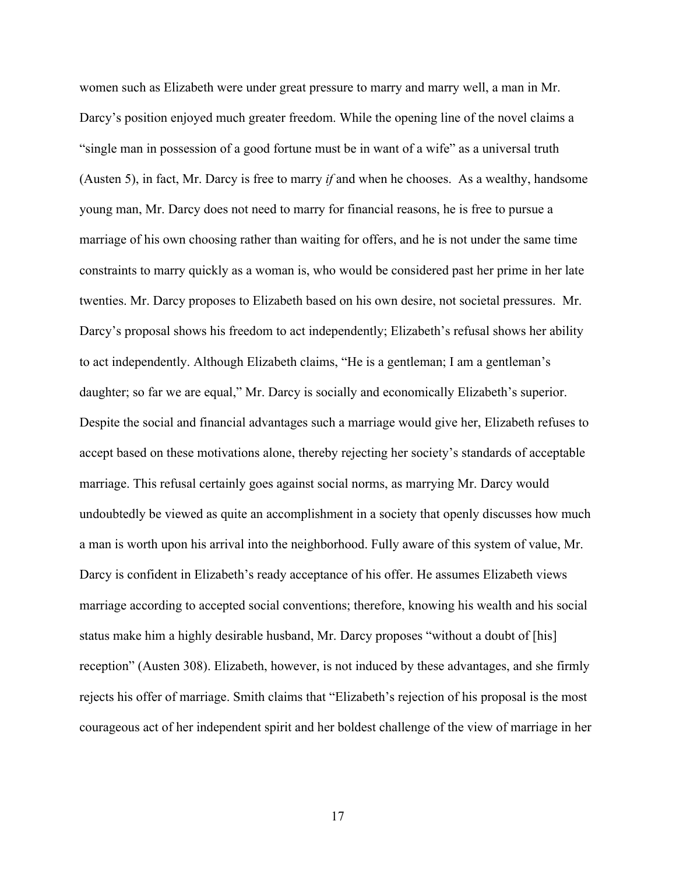women such as Elizabeth were under great pressure to marry and marry well, a man in Mr. Darcy's position enjoyed much greater freedom. While the opening line of the novel claims a "single man in possession of a good fortune must be in want of a wife" as a universal truth (Austen 5), in fact, Mr. Darcy is free to marry *if* and when he chooses. As a wealthy, handsome young man, Mr. Darcy does not need to marry for financial reasons, he is free to pursue a marriage of his own choosing rather than waiting for offers, and he is not under the same time constraints to marry quickly as a woman is, who would be considered past her prime in her late twenties. Mr. Darcy proposes to Elizabeth based on his own desire, not societal pressures. Mr. Darcy's proposal shows his freedom to act independently; Elizabeth's refusal shows her ability to act independently. Although Elizabeth claims, "He is a gentleman; I am a gentleman's daughter; so far we are equal," Mr. Darcy is socially and economically Elizabeth's superior. Despite the social and financial advantages such a marriage would give her, Elizabeth refuses to accept based on these motivations alone, thereby rejecting her society's standards of acceptable marriage. This refusal certainly goes against social norms, as marrying Mr. Darcy would undoubtedly be viewed as quite an accomplishment in a society that openly discusses how much a man is worth upon his arrival into the neighborhood. Fully aware of this system of value, Mr. Darcy is confident in Elizabeth's ready acceptance of his offer. He assumes Elizabeth views marriage according to accepted social conventions; therefore, knowing his wealth and his social status make him a highly desirable husband, Mr. Darcy proposes "without a doubt of [his] reception" (Austen 308). Elizabeth, however, is not induced by these advantages, and she firmly rejects his offer of marriage. Smith claims that "Elizabeth's rejection of his proposal is the most courageous act of her independent spirit and her boldest challenge of the view of marriage in her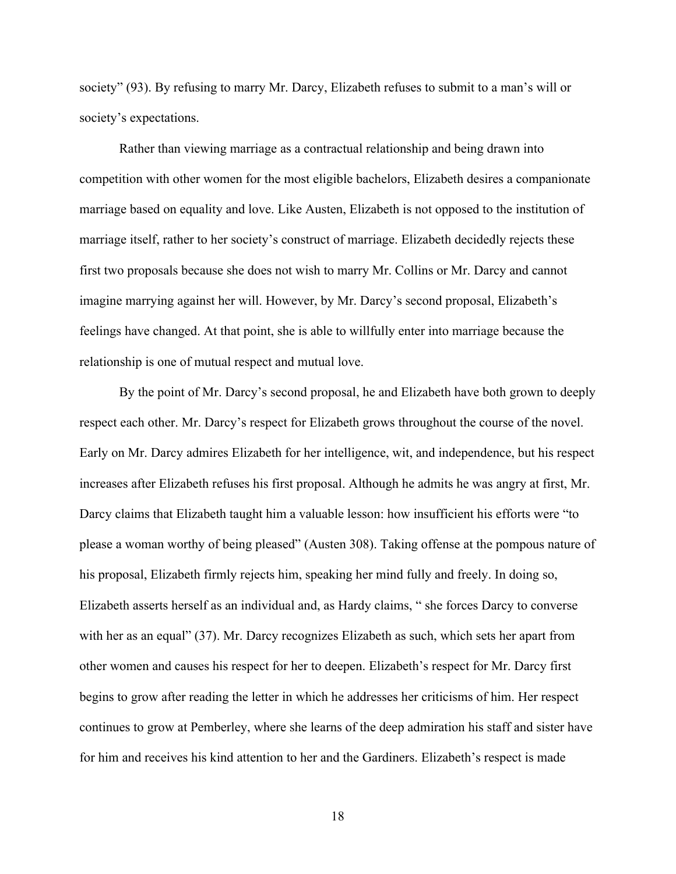society" (93). By refusing to marry Mr. Darcy, Elizabeth refuses to submit to a man's will or society's expectations.

Rather than viewing marriage as a contractual relationship and being drawn into competition with other women for the most eligible bachelors, Elizabeth desires a companionate marriage based on equality and love. Like Austen, Elizabeth is not opposed to the institution of marriage itself, rather to her society's construct of marriage. Elizabeth decidedly rejects these first two proposals because she does not wish to marry Mr. Collins or Mr. Darcy and cannot imagine marrying against her will. However, by Mr. Darcy's second proposal, Elizabeth's feelings have changed. At that point, she is able to willfully enter into marriage because the relationship is one of mutual respect and mutual love.

By the point of Mr. Darcy's second proposal, he and Elizabeth have both grown to deeply respect each other. Mr. Darcy's respect for Elizabeth grows throughout the course of the novel. Early on Mr. Darcy admires Elizabeth for her intelligence, wit, and independence, but his respect increases after Elizabeth refuses his first proposal. Although he admits he was angry at first, Mr. Darcy claims that Elizabeth taught him a valuable lesson: how insufficient his efforts were "to please a woman worthy of being pleased" (Austen 308). Taking offense at the pompous nature of his proposal, Elizabeth firmly rejects him, speaking her mind fully and freely. In doing so, Elizabeth asserts herself as an individual and, as Hardy claims, " she forces Darcy to converse with her as an equal" (37). Mr. Darcy recognizes Elizabeth as such, which sets her apart from other women and causes his respect for her to deepen. Elizabeth's respect for Mr. Darcy first begins to grow after reading the letter in which he addresses her criticisms of him. Her respect continues to grow at Pemberley, where she learns of the deep admiration his staff and sister have for him and receives his kind attention to her and the Gardiners. Elizabeth's respect is made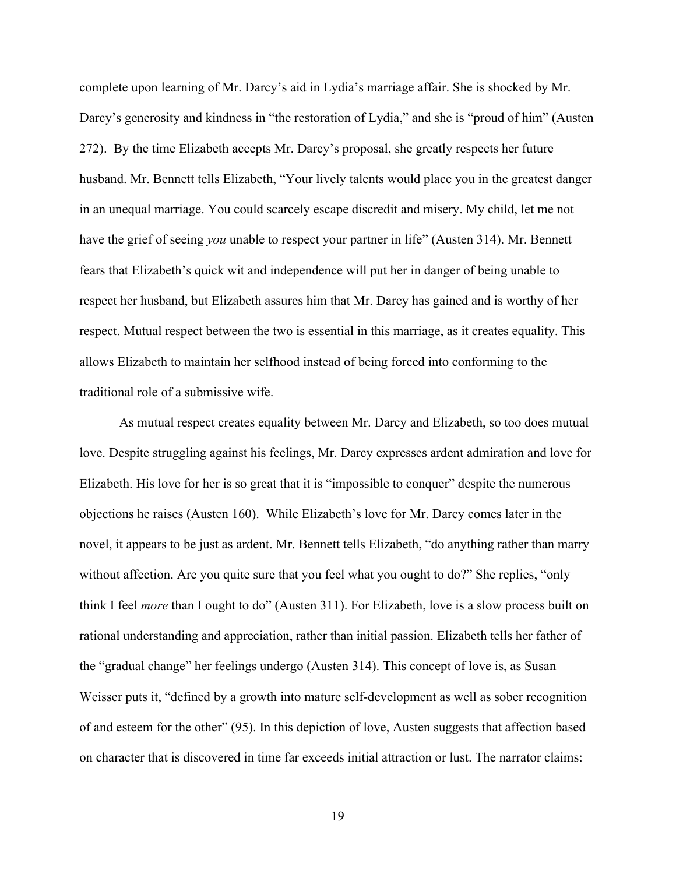complete upon learning of Mr. Darcy's aid in Lydia's marriage affair. She is shocked by Mr. Darcy's generosity and kindness in "the restoration of Lydia," and she is "proud of him" (Austen 272). By the time Elizabeth accepts Mr. Darcy's proposal, she greatly respects her future husband. Mr. Bennett tells Elizabeth, "Your lively talents would place you in the greatest danger in an unequal marriage. You could scarcely escape discredit and misery. My child, let me not have the grief of seeing *you* unable to respect your partner in life" (Austen 314). Mr. Bennett fears that Elizabeth's quick wit and independence will put her in danger of being unable to respect her husband, but Elizabeth assures him that Mr. Darcy has gained and is worthy of her respect. Mutual respect between the two is essential in this marriage, as it creates equality. This allows Elizabeth to maintain her selfhood instead of being forced into conforming to the traditional role of a submissive wife.

As mutual respect creates equality between Mr. Darcy and Elizabeth, so too does mutual love. Despite struggling against his feelings, Mr. Darcy expresses ardent admiration and love for Elizabeth. His love for her is so great that it is "impossible to conquer" despite the numerous objections he raises (Austen 160). While Elizabeth's love for Mr. Darcy comes later in the novel, it appears to be just as ardent. Mr. Bennett tells Elizabeth, "do anything rather than marry without affection. Are you quite sure that you feel what you ought to do?" She replies, "only think I feel *more* than I ought to do" (Austen 311). For Elizabeth, love is a slow process built on rational understanding and appreciation, rather than initial passion. Elizabeth tells her father of the "gradual change" her feelings undergo (Austen 314). This concept of love is, as Susan Weisser puts it, "defined by a growth into mature self-development as well as sober recognition of and esteem for the other" (95). In this depiction of love, Austen suggests that affection based on character that is discovered in time far exceeds initial attraction or lust. The narrator claims: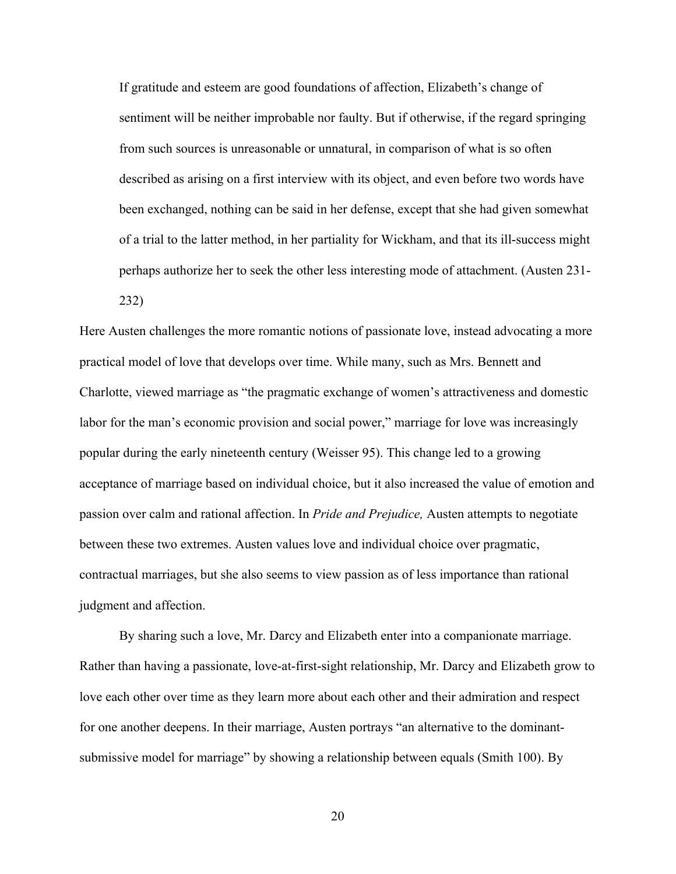If gratitude and esteem are good foundations of affection, Elizabeth's change of sentiment will be neither improbable nor faulty. But if otherwise, if the regard springing from such sources is unreasonable or unnatural, in comparison of what is so often described as arising on a first interview with its object, and even before two words have been exchanged, nothing can be said in her defense, except that she had given somewhat of a trial to the latter method, in her partiality for Wickham, and that its ill-success might perhaps authorize her to seek the other less interesting mode of attachment. (Austen 231- 232)

Here Austen challenges the more romantic notions of passionate love, instead advocating a more practical model of love that develops over time. While many, such as Mrs. Bennett and Charlotte, viewed marriage as "the pragmatic exchange of women's attractiveness and domestic labor for the man's economic provision and social power," marriage for love was increasingly popular during the early nineteenth century (Weisser 95). This change led to a growing acceptance of marriage based on individual choice, but it also increased the value of emotion and passion over calm and rational affection. In *Pride and Prejudice,* Austen attempts to negotiate between these two extremes. Austen values love and individual choice over pragmatic, contractual marriages, but she also seems to view passion as of less importance than rational judgment and affection.

By sharing such a love, Mr. Darcy and Elizabeth enter into a companionate marriage. Rather than having a passionate, love-at-first-sight relationship, Mr. Darcy and Elizabeth grow to love each other over time as they learn more about each other and their admiration and respect for one another deepens. In their marriage, Austen portrays "an alternative to the dominantsubmissive model for marriage" by showing a relationship between equals (Smith 100). By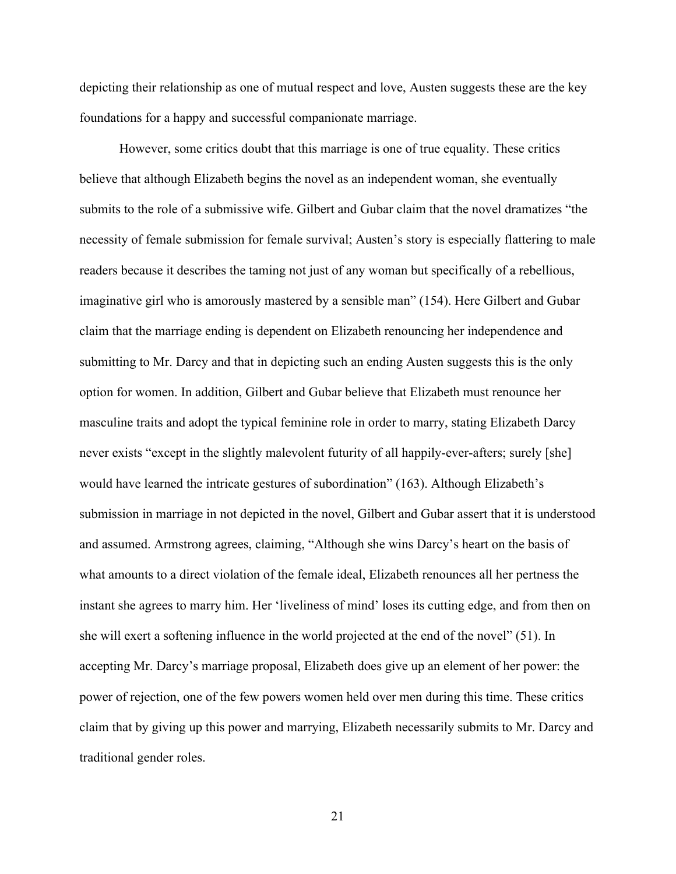depicting their relationship as one of mutual respect and love, Austen suggests these are the key foundations for a happy and successful companionate marriage.

However, some critics doubt that this marriage is one of true equality. These critics believe that although Elizabeth begins the novel as an independent woman, she eventually submits to the role of a submissive wife. Gilbert and Gubar claim that the novel dramatizes "the necessity of female submission for female survival; Austen's story is especially flattering to male readers because it describes the taming not just of any woman but specifically of a rebellious, imaginative girl who is amorously mastered by a sensible man" (154). Here Gilbert and Gubar claim that the marriage ending is dependent on Elizabeth renouncing her independence and submitting to Mr. Darcy and that in depicting such an ending Austen suggests this is the only option for women. In addition, Gilbert and Gubar believe that Elizabeth must renounce her masculine traits and adopt the typical feminine role in order to marry, stating Elizabeth Darcy never exists "except in the slightly malevolent futurity of all happily-ever-afters; surely [she] would have learned the intricate gestures of subordination" (163). Although Elizabeth's submission in marriage in not depicted in the novel, Gilbert and Gubar assert that it is understood and assumed. Armstrong agrees, claiming, "Although she wins Darcy's heart on the basis of what amounts to a direct violation of the female ideal, Elizabeth renounces all her pertness the instant she agrees to marry him. Her 'liveliness of mind' loses its cutting edge, and from then on she will exert a softening influence in the world projected at the end of the novel" (51). In accepting Mr. Darcy's marriage proposal, Elizabeth does give up an element of her power: the power of rejection, one of the few powers women held over men during this time. These critics claim that by giving up this power and marrying, Elizabeth necessarily submits to Mr. Darcy and traditional gender roles.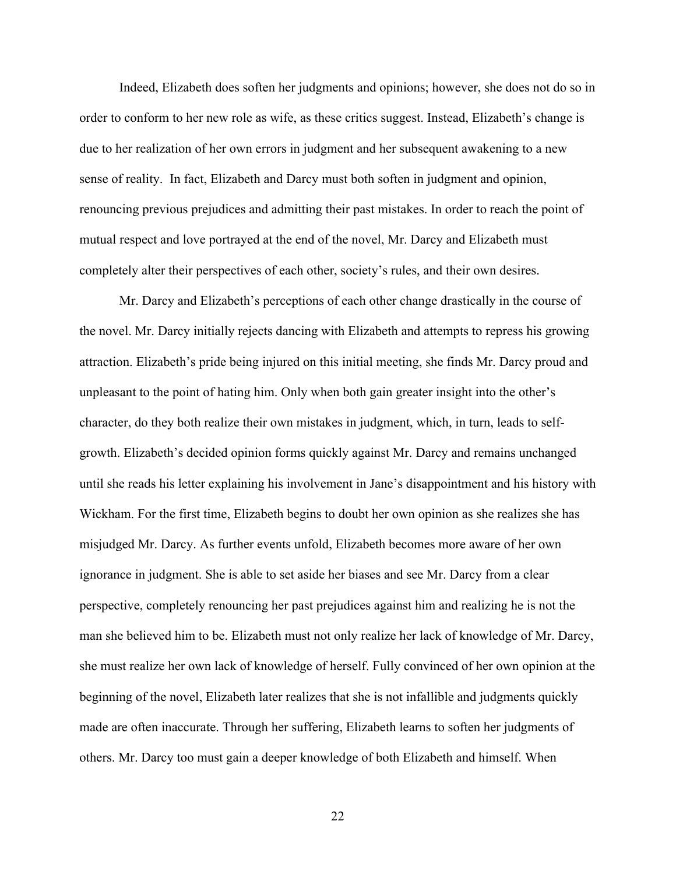Indeed, Elizabeth does soften her judgments and opinions; however, she does not do so in order to conform to her new role as wife, as these critics suggest. Instead, Elizabeth's change is due to her realization of her own errors in judgment and her subsequent awakening to a new sense of reality. In fact, Elizabeth and Darcy must both soften in judgment and opinion, renouncing previous prejudices and admitting their past mistakes. In order to reach the point of mutual respect and love portrayed at the end of the novel, Mr. Darcy and Elizabeth must completely alter their perspectives of each other, society's rules, and their own desires.

Mr. Darcy and Elizabeth's perceptions of each other change drastically in the course of the novel. Mr. Darcy initially rejects dancing with Elizabeth and attempts to repress his growing attraction. Elizabeth's pride being injured on this initial meeting, she finds Mr. Darcy proud and unpleasant to the point of hating him. Only when both gain greater insight into the other's character, do they both realize their own mistakes in judgment, which, in turn, leads to selfgrowth. Elizabeth's decided opinion forms quickly against Mr. Darcy and remains unchanged until she reads his letter explaining his involvement in Jane's disappointment and his history with Wickham. For the first time, Elizabeth begins to doubt her own opinion as she realizes she has misjudged Mr. Darcy. As further events unfold, Elizabeth becomes more aware of her own ignorance in judgment. She is able to set aside her biases and see Mr. Darcy from a clear perspective, completely renouncing her past prejudices against him and realizing he is not the man she believed him to be. Elizabeth must not only realize her lack of knowledge of Mr. Darcy, she must realize her own lack of knowledge of herself. Fully convinced of her own opinion at the beginning of the novel, Elizabeth later realizes that she is not infallible and judgments quickly made are often inaccurate. Through her suffering, Elizabeth learns to soften her judgments of others. Mr. Darcy too must gain a deeper knowledge of both Elizabeth and himself. When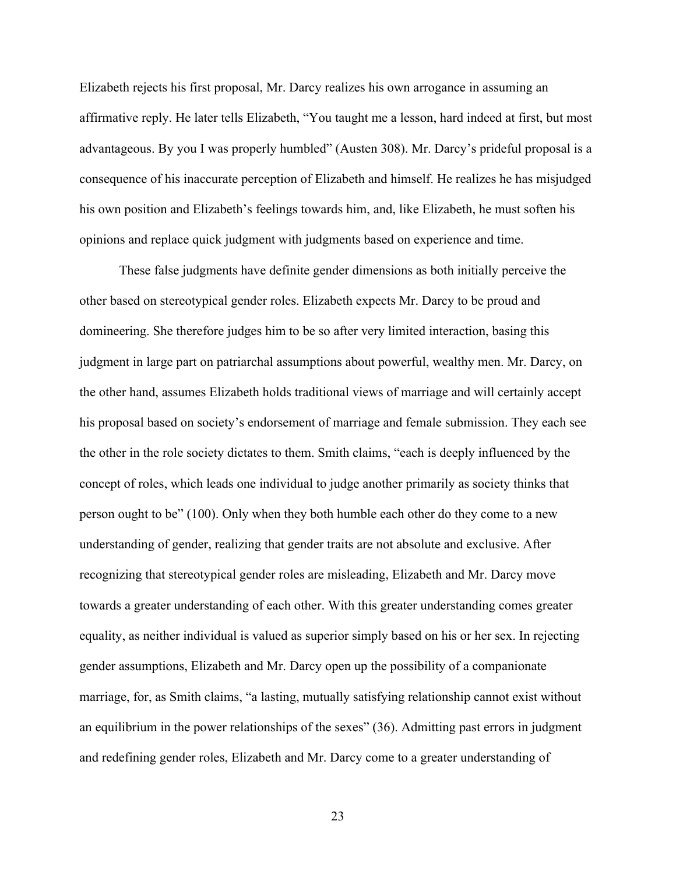Elizabeth rejects his first proposal, Mr. Darcy realizes his own arrogance in assuming an affirmative reply. He later tells Elizabeth, "You taught me a lesson, hard indeed at first, but most advantageous. By you I was properly humbled" (Austen 308). Mr. Darcy's prideful proposal is a consequence of his inaccurate perception of Elizabeth and himself. He realizes he has misjudged his own position and Elizabeth's feelings towards him, and, like Elizabeth, he must soften his opinions and replace quick judgment with judgments based on experience and time.

These false judgments have definite gender dimensions as both initially perceive the other based on stereotypical gender roles. Elizabeth expects Mr. Darcy to be proud and domineering. She therefore judges him to be so after very limited interaction, basing this judgment in large part on patriarchal assumptions about powerful, wealthy men. Mr. Darcy, on the other hand, assumes Elizabeth holds traditional views of marriage and will certainly accept his proposal based on society's endorsement of marriage and female submission. They each see the other in the role society dictates to them. Smith claims, "each is deeply influenced by the concept of roles, which leads one individual to judge another primarily as society thinks that person ought to be" (100). Only when they both humble each other do they come to a new understanding of gender, realizing that gender traits are not absolute and exclusive. After recognizing that stereotypical gender roles are misleading, Elizabeth and Mr. Darcy move towards a greater understanding of each other. With this greater understanding comes greater equality, as neither individual is valued as superior simply based on his or her sex. In rejecting gender assumptions, Elizabeth and Mr. Darcy open up the possibility of a companionate marriage, for, as Smith claims, "a lasting, mutually satisfying relationship cannot exist without an equilibrium in the power relationships of the sexes" (36). Admitting past errors in judgment and redefining gender roles, Elizabeth and Mr. Darcy come to a greater understanding of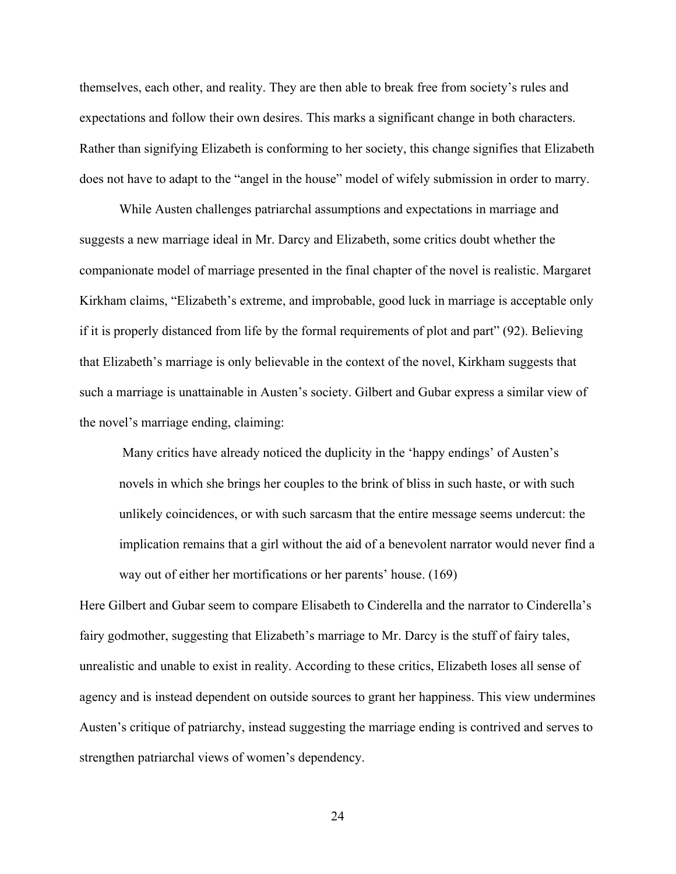themselves, each other, and reality. They are then able to break free from society's rules and expectations and follow their own desires. This marks a significant change in both characters. Rather than signifying Elizabeth is conforming to her society, this change signifies that Elizabeth does not have to adapt to the "angel in the house" model of wifely submission in order to marry.

While Austen challenges patriarchal assumptions and expectations in marriage and suggests a new marriage ideal in Mr. Darcy and Elizabeth, some critics doubt whether the companionate model of marriage presented in the final chapter of the novel is realistic. Margaret Kirkham claims, "Elizabeth's extreme, and improbable, good luck in marriage is acceptable only if it is properly distanced from life by the formal requirements of plot and part" (92). Believing that Elizabeth's marriage is only believable in the context of the novel, Kirkham suggests that such a marriage is unattainable in Austen's society. Gilbert and Gubar express a similar view of the novel's marriage ending, claiming:

 Many critics have already noticed the duplicity in the 'happy endings' of Austen's novels in which she brings her couples to the brink of bliss in such haste, or with such unlikely coincidences, or with such sarcasm that the entire message seems undercut: the implication remains that a girl without the aid of a benevolent narrator would never find a way out of either her mortifications or her parents' house. (169)

Here Gilbert and Gubar seem to compare Elisabeth to Cinderella and the narrator to Cinderella's fairy godmother, suggesting that Elizabeth's marriage to Mr. Darcy is the stuff of fairy tales, unrealistic and unable to exist in reality. According to these critics, Elizabeth loses all sense of agency and is instead dependent on outside sources to grant her happiness. This view undermines Austen's critique of patriarchy, instead suggesting the marriage ending is contrived and serves to strengthen patriarchal views of women's dependency.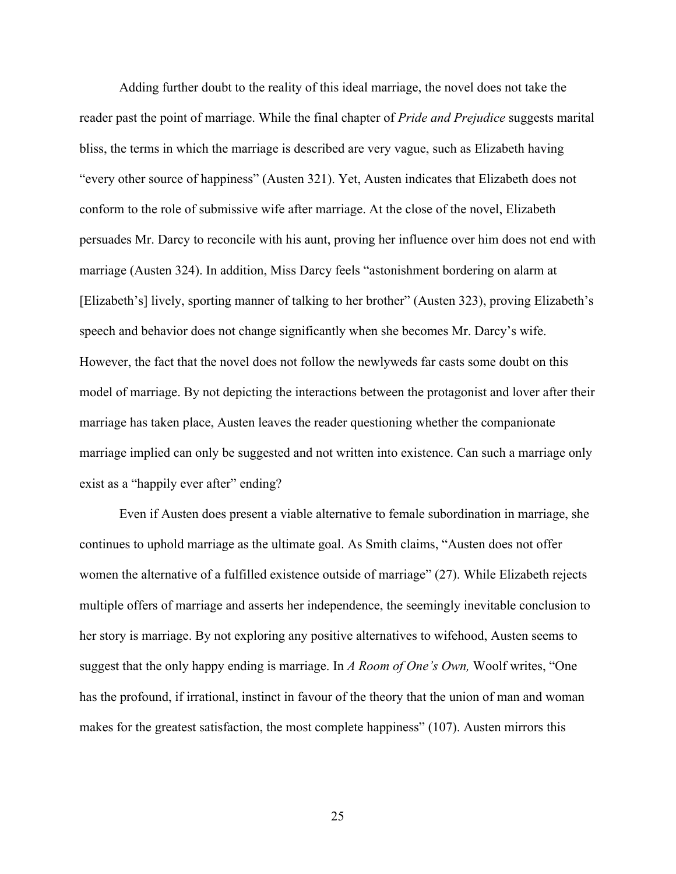Adding further doubt to the reality of this ideal marriage, the novel does not take the reader past the point of marriage. While the final chapter of *Pride and Prejudice* suggests marital bliss, the terms in which the marriage is described are very vague, such as Elizabeth having "every other source of happiness" (Austen 321). Yet, Austen indicates that Elizabeth does not conform to the role of submissive wife after marriage. At the close of the novel, Elizabeth persuades Mr. Darcy to reconcile with his aunt, proving her influence over him does not end with marriage (Austen 324). In addition, Miss Darcy feels "astonishment bordering on alarm at [Elizabeth's] lively, sporting manner of talking to her brother" (Austen 323), proving Elizabeth's speech and behavior does not change significantly when she becomes Mr. Darcy's wife. However, the fact that the novel does not follow the newlyweds far casts some doubt on this model of marriage. By not depicting the interactions between the protagonist and lover after their marriage has taken place, Austen leaves the reader questioning whether the companionate marriage implied can only be suggested and not written into existence. Can such a marriage only exist as a "happily ever after" ending?

Even if Austen does present a viable alternative to female subordination in marriage, she continues to uphold marriage as the ultimate goal. As Smith claims, "Austen does not offer women the alternative of a fulfilled existence outside of marriage" (27). While Elizabeth rejects multiple offers of marriage and asserts her independence, the seemingly inevitable conclusion to her story is marriage. By not exploring any positive alternatives to wifehood, Austen seems to suggest that the only happy ending is marriage. In *A Room of One's Own,* Woolf writes, "One has the profound, if irrational, instinct in favour of the theory that the union of man and woman makes for the greatest satisfaction, the most complete happiness" (107). Austen mirrors this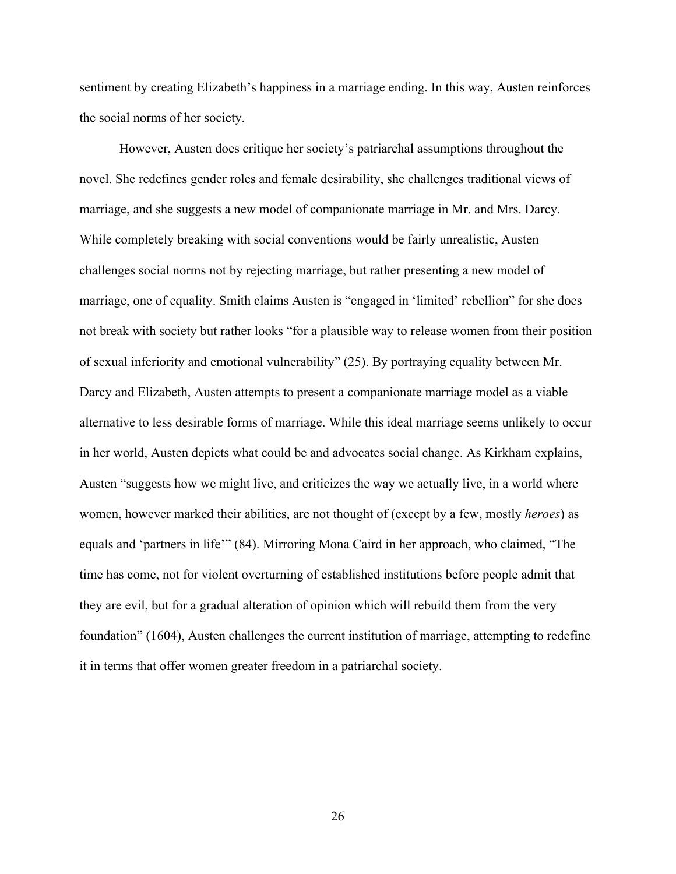sentiment by creating Elizabeth's happiness in a marriage ending. In this way, Austen reinforces the social norms of her society.

However, Austen does critique her society's patriarchal assumptions throughout the novel. She redefines gender roles and female desirability, she challenges traditional views of marriage, and she suggests a new model of companionate marriage in Mr. and Mrs. Darcy. While completely breaking with social conventions would be fairly unrealistic, Austen challenges social norms not by rejecting marriage, but rather presenting a new model of marriage, one of equality. Smith claims Austen is "engaged in 'limited' rebellion" for she does not break with society but rather looks "for a plausible way to release women from their position of sexual inferiority and emotional vulnerability" (25). By portraying equality between Mr. Darcy and Elizabeth, Austen attempts to present a companionate marriage model as a viable alternative to less desirable forms of marriage. While this ideal marriage seems unlikely to occur in her world, Austen depicts what could be and advocates social change. As Kirkham explains, Austen "suggests how we might live, and criticizes the way we actually live, in a world where women, however marked their abilities, are not thought of (except by a few, mostly *heroes*) as equals and 'partners in life'" (84). Mirroring Mona Caird in her approach, who claimed, "The time has come, not for violent overturning of established institutions before people admit that they are evil, but for a gradual alteration of opinion which will rebuild them from the very foundation" (1604), Austen challenges the current institution of marriage, attempting to redefine it in terms that offer women greater freedom in a patriarchal society.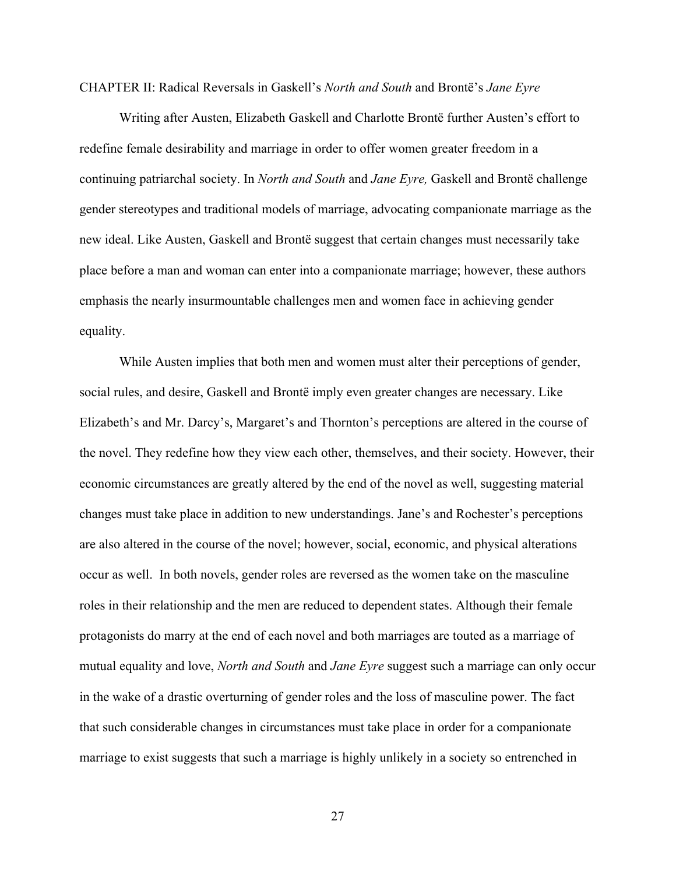CHAPTER II: Radical Reversals in Gaskell's *North and South* and Brontë's *Jane Eyre*

Writing after Austen, Elizabeth Gaskell and Charlotte Brontë further Austen's effort to redefine female desirability and marriage in order to offer women greater freedom in a continuing patriarchal society. In *North and South* and *Jane Eyre,* Gaskell and Brontë challenge gender stereotypes and traditional models of marriage, advocating companionate marriage as the new ideal. Like Austen, Gaskell and Brontë suggest that certain changes must necessarily take place before a man and woman can enter into a companionate marriage; however, these authors emphasis the nearly insurmountable challenges men and women face in achieving gender equality.

While Austen implies that both men and women must alter their perceptions of gender, social rules, and desire, Gaskell and Brontë imply even greater changes are necessary. Like Elizabeth's and Mr. Darcy's, Margaret's and Thornton's perceptions are altered in the course of the novel. They redefine how they view each other, themselves, and their society. However, their economic circumstances are greatly altered by the end of the novel as well, suggesting material changes must take place in addition to new understandings. Jane's and Rochester's perceptions are also altered in the course of the novel; however, social, economic, and physical alterations occur as well. In both novels, gender roles are reversed as the women take on the masculine roles in their relationship and the men are reduced to dependent states. Although their female protagonists do marry at the end of each novel and both marriages are touted as a marriage of mutual equality and love, *North and South* and *Jane Eyre* suggest such a marriage can only occur in the wake of a drastic overturning of gender roles and the loss of masculine power. The fact that such considerable changes in circumstances must take place in order for a companionate marriage to exist suggests that such a marriage is highly unlikely in a society so entrenched in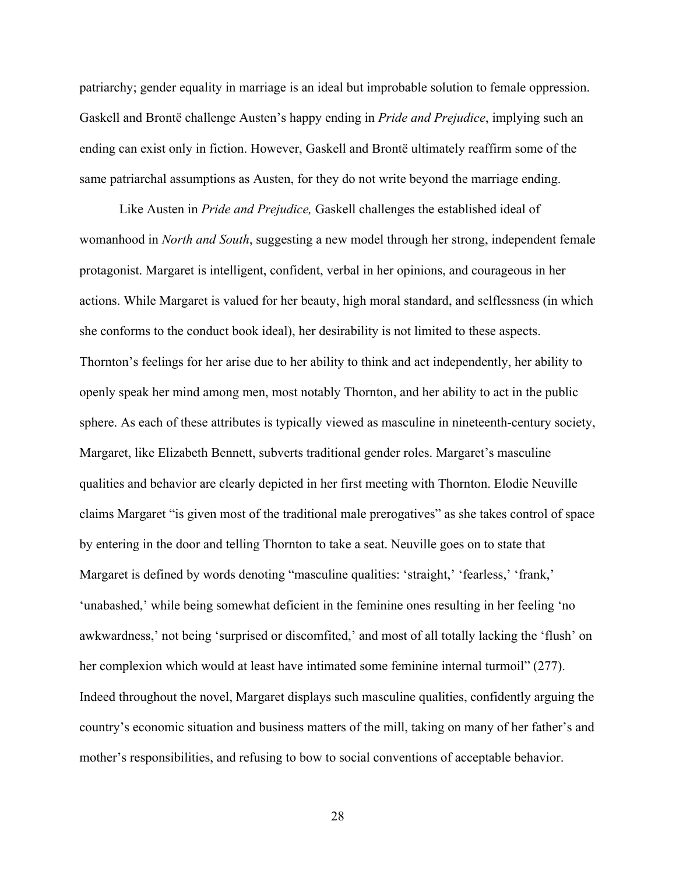patriarchy; gender equality in marriage is an ideal but improbable solution to female oppression. Gaskell and Brontë challenge Austen's happy ending in *Pride and Prejudice*, implying such an ending can exist only in fiction. However, Gaskell and Brontë ultimately reaffirm some of the same patriarchal assumptions as Austen, for they do not write beyond the marriage ending.

Like Austen in *Pride and Prejudice,* Gaskell challenges the established ideal of womanhood in *North and South*, suggesting a new model through her strong, independent female protagonist. Margaret is intelligent, confident, verbal in her opinions, and courageous in her actions. While Margaret is valued for her beauty, high moral standard, and selflessness (in which she conforms to the conduct book ideal), her desirability is not limited to these aspects. Thornton's feelings for her arise due to her ability to think and act independently, her ability to openly speak her mind among men, most notably Thornton, and her ability to act in the public sphere. As each of these attributes is typically viewed as masculine in nineteenth-century society, Margaret, like Elizabeth Bennett, subverts traditional gender roles. Margaret's masculine qualities and behavior are clearly depicted in her first meeting with Thornton. Elodie Neuville claims Margaret "is given most of the traditional male prerogatives" as she takes control of space by entering in the door and telling Thornton to take a seat. Neuville goes on to state that Margaret is defined by words denoting "masculine qualities: 'straight,' 'fearless,' 'frank,' 'unabashed,' while being somewhat deficient in the feminine ones resulting in her feeling 'no awkwardness,' not being 'surprised or discomfited,' and most of all totally lacking the 'flush' on her complexion which would at least have intimated some feminine internal turmoil" (277). Indeed throughout the novel, Margaret displays such masculine qualities, confidently arguing the country's economic situation and business matters of the mill, taking on many of her father's and mother's responsibilities, and refusing to bow to social conventions of acceptable behavior.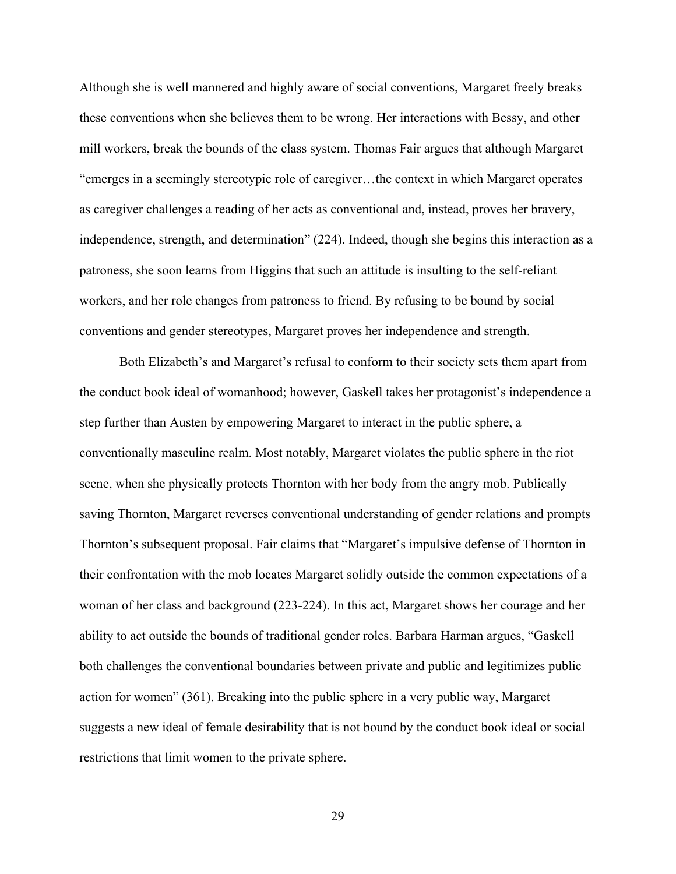Although she is well mannered and highly aware of social conventions, Margaret freely breaks these conventions when she believes them to be wrong. Her interactions with Bessy, and other mill workers, break the bounds of the class system. Thomas Fair argues that although Margaret "emerges in a seemingly stereotypic role of caregiver…the context in which Margaret operates as caregiver challenges a reading of her acts as conventional and, instead, proves her bravery, independence, strength, and determination" (224). Indeed, though she begins this interaction as a patroness, she soon learns from Higgins that such an attitude is insulting to the self-reliant workers, and her role changes from patroness to friend. By refusing to be bound by social conventions and gender stereotypes, Margaret proves her independence and strength.

Both Elizabeth's and Margaret's refusal to conform to their society sets them apart from the conduct book ideal of womanhood; however, Gaskell takes her protagonist's independence a step further than Austen by empowering Margaret to interact in the public sphere, a conventionally masculine realm. Most notably, Margaret violates the public sphere in the riot scene, when she physically protects Thornton with her body from the angry mob. Publically saving Thornton, Margaret reverses conventional understanding of gender relations and prompts Thornton's subsequent proposal. Fair claims that "Margaret's impulsive defense of Thornton in their confrontation with the mob locates Margaret solidly outside the common expectations of a woman of her class and background (223-224). In this act, Margaret shows her courage and her ability to act outside the bounds of traditional gender roles. Barbara Harman argues, "Gaskell both challenges the conventional boundaries between private and public and legitimizes public action for women" (361). Breaking into the public sphere in a very public way, Margaret suggests a new ideal of female desirability that is not bound by the conduct book ideal or social restrictions that limit women to the private sphere.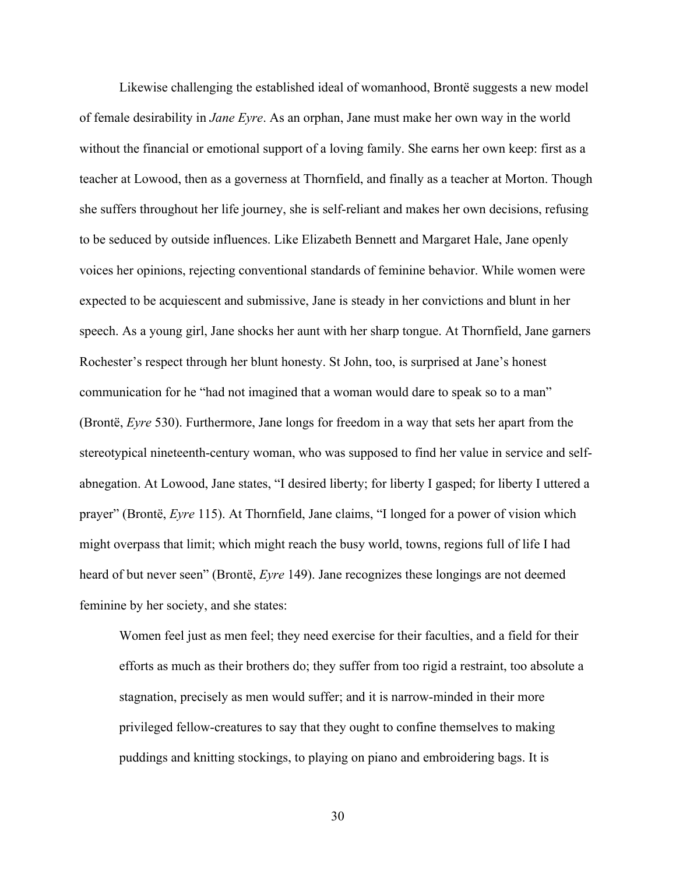Likewise challenging the established ideal of womanhood, Brontë suggests a new model of female desirability in *Jane Eyre*. As an orphan, Jane must make her own way in the world without the financial or emotional support of a loving family. She earns her own keep: first as a teacher at Lowood, then as a governess at Thornfield, and finally as a teacher at Morton. Though she suffers throughout her life journey, she is self-reliant and makes her own decisions, refusing to be seduced by outside influences. Like Elizabeth Bennett and Margaret Hale, Jane openly voices her opinions, rejecting conventional standards of feminine behavior. While women were expected to be acquiescent and submissive, Jane is steady in her convictions and blunt in her speech. As a young girl, Jane shocks her aunt with her sharp tongue. At Thornfield, Jane garners Rochester's respect through her blunt honesty. St John, too, is surprised at Jane's honest communication for he "had not imagined that a woman would dare to speak so to a man" (Brontë, *Eyre* 530). Furthermore, Jane longs for freedom in a way that sets her apart from the stereotypical nineteenth-century woman, who was supposed to find her value in service and selfabnegation. At Lowood, Jane states, "I desired liberty; for liberty I gasped; for liberty I uttered a prayer" (Brontë, *Eyre* 115). At Thornfield, Jane claims, "I longed for a power of vision which might overpass that limit; which might reach the busy world, towns, regions full of life I had heard of but never seen" (Brontë, *Eyre* 149). Jane recognizes these longings are not deemed feminine by her society, and she states:

Women feel just as men feel; they need exercise for their faculties, and a field for their efforts as much as their brothers do; they suffer from too rigid a restraint, too absolute a stagnation, precisely as men would suffer; and it is narrow-minded in their more privileged fellow-creatures to say that they ought to confine themselves to making puddings and knitting stockings, to playing on piano and embroidering bags. It is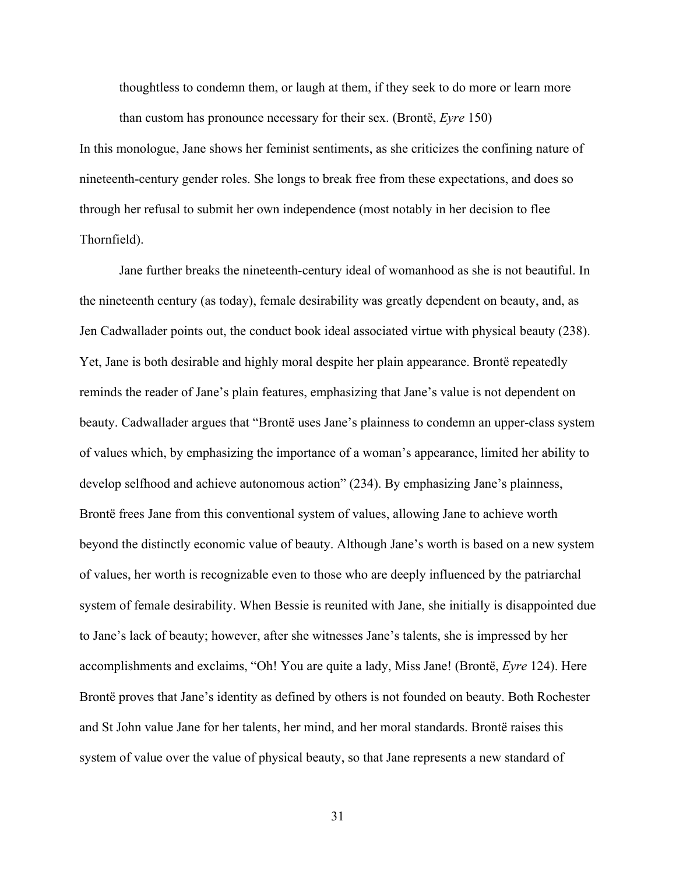thoughtless to condemn them, or laugh at them, if they seek to do more or learn more than custom has pronounce necessary for their sex. (Brontë, *Eyre* 150)

In this monologue, Jane shows her feminist sentiments, as she criticizes the confining nature of nineteenth-century gender roles. She longs to break free from these expectations, and does so through her refusal to submit her own independence (most notably in her decision to flee Thornfield).

Jane further breaks the nineteenth-century ideal of womanhood as she is not beautiful. In the nineteenth century (as today), female desirability was greatly dependent on beauty, and, as Jen Cadwallader points out, the conduct book ideal associated virtue with physical beauty (238). Yet, Jane is both desirable and highly moral despite her plain appearance. Brontë repeatedly reminds the reader of Jane's plain features, emphasizing that Jane's value is not dependent on beauty. Cadwallader argues that "Brontë uses Jane's plainness to condemn an upper-class system of values which, by emphasizing the importance of a woman's appearance, limited her ability to develop selfhood and achieve autonomous action" (234). By emphasizing Jane's plainness, Brontë frees Jane from this conventional system of values, allowing Jane to achieve worth beyond the distinctly economic value of beauty. Although Jane's worth is based on a new system of values, her worth is recognizable even to those who are deeply influenced by the patriarchal system of female desirability. When Bessie is reunited with Jane, she initially is disappointed due to Jane's lack of beauty; however, after she witnesses Jane's talents, she is impressed by her accomplishments and exclaims, "Oh! You are quite a lady, Miss Jane! (Brontë, *Eyre* 124). Here Brontë proves that Jane's identity as defined by others is not founded on beauty. Both Rochester and St John value Jane for her talents, her mind, and her moral standards. Brontë raises this system of value over the value of physical beauty, so that Jane represents a new standard of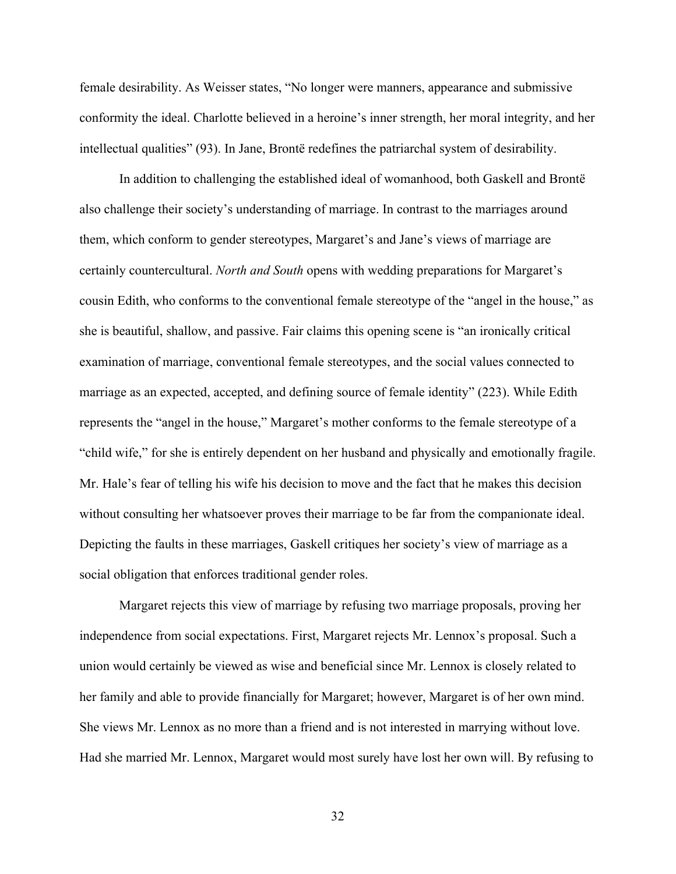female desirability. As Weisser states, "No longer were manners, appearance and submissive conformity the ideal. Charlotte believed in a heroine's inner strength, her moral integrity, and her intellectual qualities" (93). In Jane, Brontë redefines the patriarchal system of desirability.

In addition to challenging the established ideal of womanhood, both Gaskell and Brontë also challenge their society's understanding of marriage. In contrast to the marriages around them, which conform to gender stereotypes, Margaret's and Jane's views of marriage are certainly countercultural. *North and South* opens with wedding preparations for Margaret's cousin Edith, who conforms to the conventional female stereotype of the "angel in the house," as she is beautiful, shallow, and passive. Fair claims this opening scene is "an ironically critical examination of marriage, conventional female stereotypes, and the social values connected to marriage as an expected, accepted, and defining source of female identity" (223). While Edith represents the "angel in the house," Margaret's mother conforms to the female stereotype of a "child wife," for she is entirely dependent on her husband and physically and emotionally fragile. Mr. Hale's fear of telling his wife his decision to move and the fact that he makes this decision without consulting her whatsoever proves their marriage to be far from the companionate ideal. Depicting the faults in these marriages, Gaskell critiques her society's view of marriage as a social obligation that enforces traditional gender roles.

Margaret rejects this view of marriage by refusing two marriage proposals, proving her independence from social expectations. First, Margaret rejects Mr. Lennox's proposal. Such a union would certainly be viewed as wise and beneficial since Mr. Lennox is closely related to her family and able to provide financially for Margaret; however, Margaret is of her own mind. She views Mr. Lennox as no more than a friend and is not interested in marrying without love. Had she married Mr. Lennox, Margaret would most surely have lost her own will. By refusing to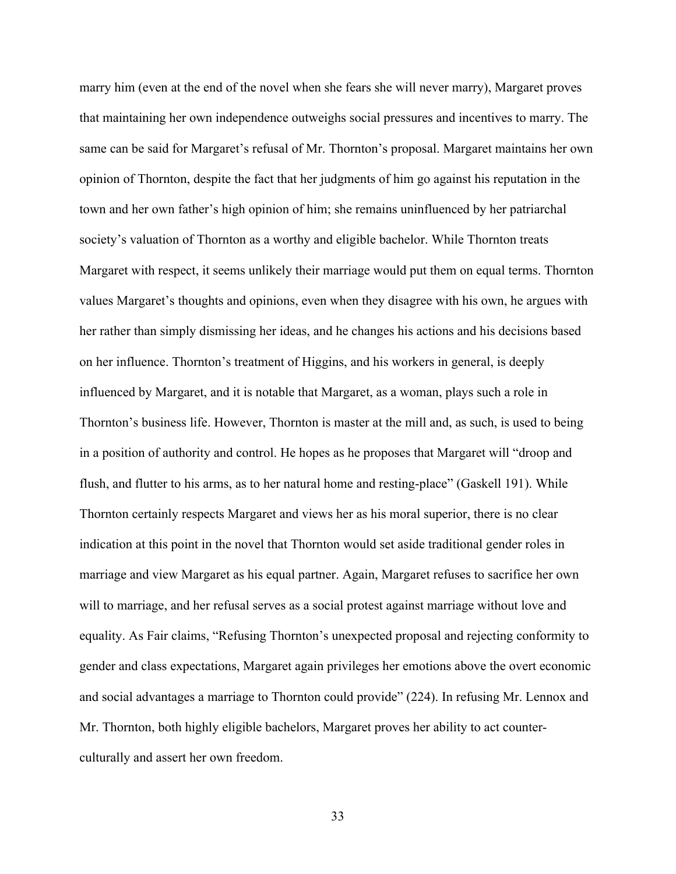marry him (even at the end of the novel when she fears she will never marry), Margaret proves that maintaining her own independence outweighs social pressures and incentives to marry. The same can be said for Margaret's refusal of Mr. Thornton's proposal. Margaret maintains her own opinion of Thornton, despite the fact that her judgments of him go against his reputation in the town and her own father's high opinion of him; she remains uninfluenced by her patriarchal society's valuation of Thornton as a worthy and eligible bachelor. While Thornton treats Margaret with respect, it seems unlikely their marriage would put them on equal terms. Thornton values Margaret's thoughts and opinions, even when they disagree with his own, he argues with her rather than simply dismissing her ideas, and he changes his actions and his decisions based on her influence. Thornton's treatment of Higgins, and his workers in general, is deeply influenced by Margaret, and it is notable that Margaret, as a woman, plays such a role in Thornton's business life. However, Thornton is master at the mill and, as such, is used to being in a position of authority and control. He hopes as he proposes that Margaret will "droop and flush, and flutter to his arms, as to her natural home and resting-place" (Gaskell 191). While Thornton certainly respects Margaret and views her as his moral superior, there is no clear indication at this point in the novel that Thornton would set aside traditional gender roles in marriage and view Margaret as his equal partner. Again, Margaret refuses to sacrifice her own will to marriage, and her refusal serves as a social protest against marriage without love and equality. As Fair claims, "Refusing Thornton's unexpected proposal and rejecting conformity to gender and class expectations, Margaret again privileges her emotions above the overt economic and social advantages a marriage to Thornton could provide" (224). In refusing Mr. Lennox and Mr. Thornton, both highly eligible bachelors, Margaret proves her ability to act counterculturally and assert her own freedom.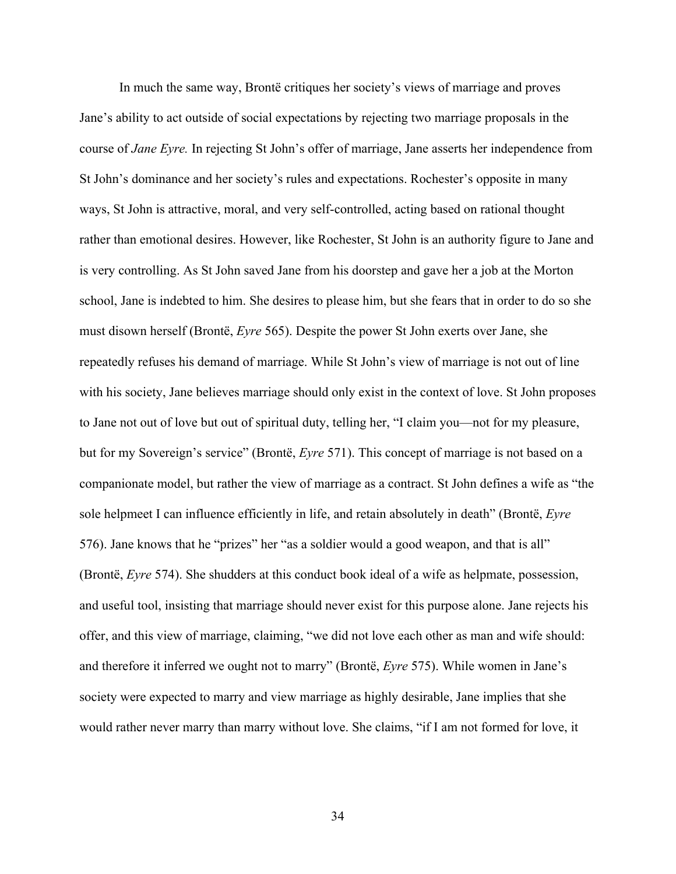In much the same way, Brontë critiques her society's views of marriage and proves Jane's ability to act outside of social expectations by rejecting two marriage proposals in the course of *Jane Eyre.* In rejecting St John's offer of marriage, Jane asserts her independence from St John's dominance and her society's rules and expectations. Rochester's opposite in many ways, St John is attractive, moral, and very self-controlled, acting based on rational thought rather than emotional desires. However, like Rochester, St John is an authority figure to Jane and is very controlling. As St John saved Jane from his doorstep and gave her a job at the Morton school, Jane is indebted to him. She desires to please him, but she fears that in order to do so she must disown herself (Brontë, *Eyre* 565). Despite the power St John exerts over Jane, she repeatedly refuses his demand of marriage. While St John's view of marriage is not out of line with his society, Jane believes marriage should only exist in the context of love. St John proposes to Jane not out of love but out of spiritual duty, telling her, "I claim you—not for my pleasure, but for my Sovereign's service" (Brontë, *Eyre* 571). This concept of marriage is not based on a companionate model, but rather the view of marriage as a contract. St John defines a wife as "the sole helpmeet I can influence efficiently in life, and retain absolutely in death" (Brontë, *Eyre* 576). Jane knows that he "prizes" her "as a soldier would a good weapon, and that is all" (Brontë, *Eyre* 574). She shudders at this conduct book ideal of a wife as helpmate, possession, and useful tool, insisting that marriage should never exist for this purpose alone. Jane rejects his offer, and this view of marriage, claiming, "we did not love each other as man and wife should: and therefore it inferred we ought not to marry" (Brontë, *Eyre* 575). While women in Jane's society were expected to marry and view marriage as highly desirable, Jane implies that she would rather never marry than marry without love. She claims, "if I am not formed for love, it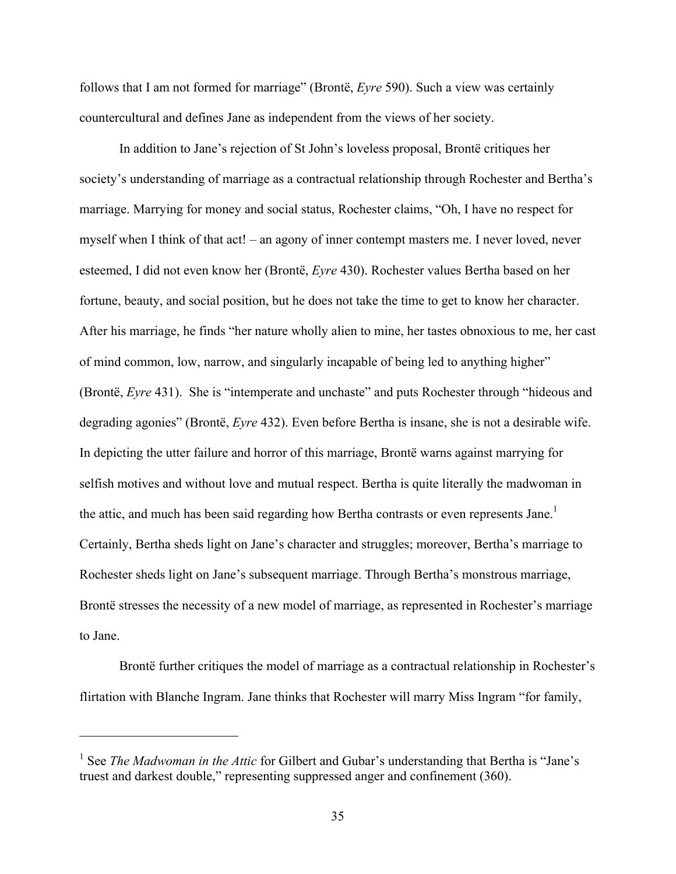follows that I am not formed for marriage" (Brontë, *Eyre* 590). Such a view was certainly countercultural and defines Jane as independent from the views of her society.

In addition to Jane's rejection of St John's loveless proposal, Brontë critiques her society's understanding of marriage as a contractual relationship through Rochester and Bertha's marriage. Marrying for money and social status, Rochester claims, "Oh, I have no respect for myself when I think of that act! – an agony of inner contempt masters me. I never loved, never esteemed, I did not even know her (Brontë, *Eyre* 430). Rochester values Bertha based on her fortune, beauty, and social position, but he does not take the time to get to know her character. After his marriage, he finds "her nature wholly alien to mine, her tastes obnoxious to me, her cast of mind common, low, narrow, and singularly incapable of being led to anything higher" (Brontë, *Eyre* 431). She is "intemperate and unchaste" and puts Rochester through "hideous and degrading agonies" (Brontë, *Eyre* 432). Even before Bertha is insane, she is not a desirable wife. In depicting the utter failure and horror of this marriage, Brontë warns against marrying for selfish motives and without love and mutual respect. Bertha is quite literally the madwoman in the attic, and much has been said regarding how Bertha contrasts or even represents Jane.<sup>1</sup> Certainly, Bertha sheds light on Jane's character and struggles; moreover, Bertha's marriage to Rochester sheds light on Jane's subsequent marriage. Through Bertha's monstrous marriage, Brontë stresses the necessity of a new model of marriage, as represented in Rochester's marriage to Jane.

Brontë further critiques the model of marriage as a contractual relationship in Rochester's flirtation with Blanche Ingram. Jane thinks that Rochester will marry Miss Ingram "for family,

 $\overline{a}$ 

<sup>&</sup>lt;sup>1</sup> See *The Madwoman in the Attic* for Gilbert and Gubar's understanding that Bertha is "Jane's truest and darkest double," representing suppressed anger and confinement (360).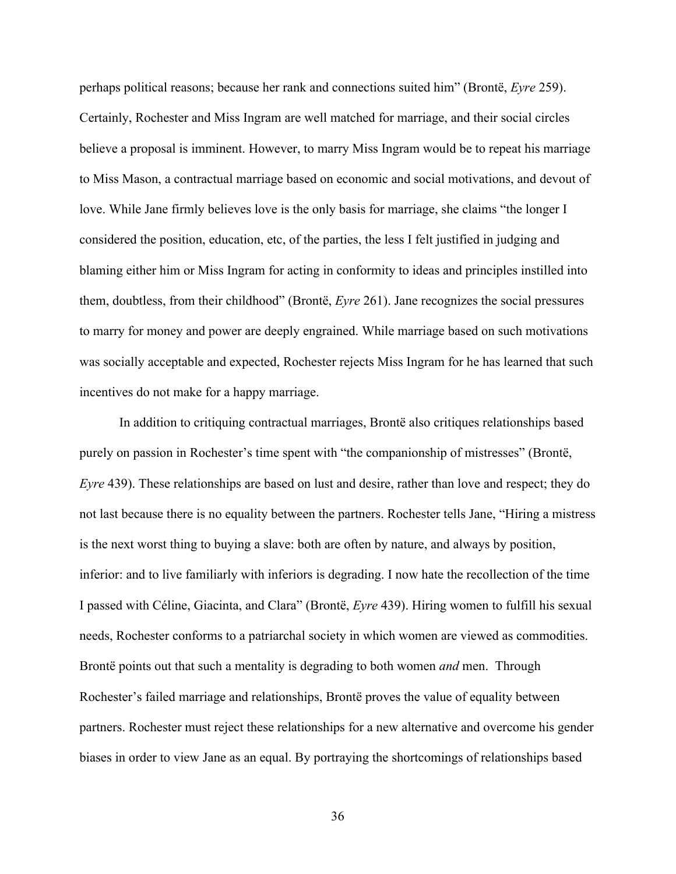perhaps political reasons; because her rank and connections suited him" (Brontë, *Eyre* 259). Certainly, Rochester and Miss Ingram are well matched for marriage, and their social circles believe a proposal is imminent. However, to marry Miss Ingram would be to repeat his marriage to Miss Mason, a contractual marriage based on economic and social motivations, and devout of love. While Jane firmly believes love is the only basis for marriage, she claims "the longer I considered the position, education, etc, of the parties, the less I felt justified in judging and blaming either him or Miss Ingram for acting in conformity to ideas and principles instilled into them, doubtless, from their childhood" (Brontë, *Eyre* 261). Jane recognizes the social pressures to marry for money and power are deeply engrained. While marriage based on such motivations was socially acceptable and expected, Rochester rejects Miss Ingram for he has learned that such incentives do not make for a happy marriage.

In addition to critiquing contractual marriages, Brontë also critiques relationships based purely on passion in Rochester's time spent with "the companionship of mistresses" (Brontë, *Eyre* 439). These relationships are based on lust and desire, rather than love and respect; they do not last because there is no equality between the partners. Rochester tells Jane, "Hiring a mistress is the next worst thing to buying a slave: both are often by nature, and always by position, inferior: and to live familiarly with inferiors is degrading. I now hate the recollection of the time I passed with Céline, Giacinta, and Clara" (Brontë, *Eyre* 439). Hiring women to fulfill his sexual needs, Rochester conforms to a patriarchal society in which women are viewed as commodities. Brontë points out that such a mentality is degrading to both women *and* men. Through Rochester's failed marriage and relationships, Brontë proves the value of equality between partners. Rochester must reject these relationships for a new alternative and overcome his gender biases in order to view Jane as an equal. By portraying the shortcomings of relationships based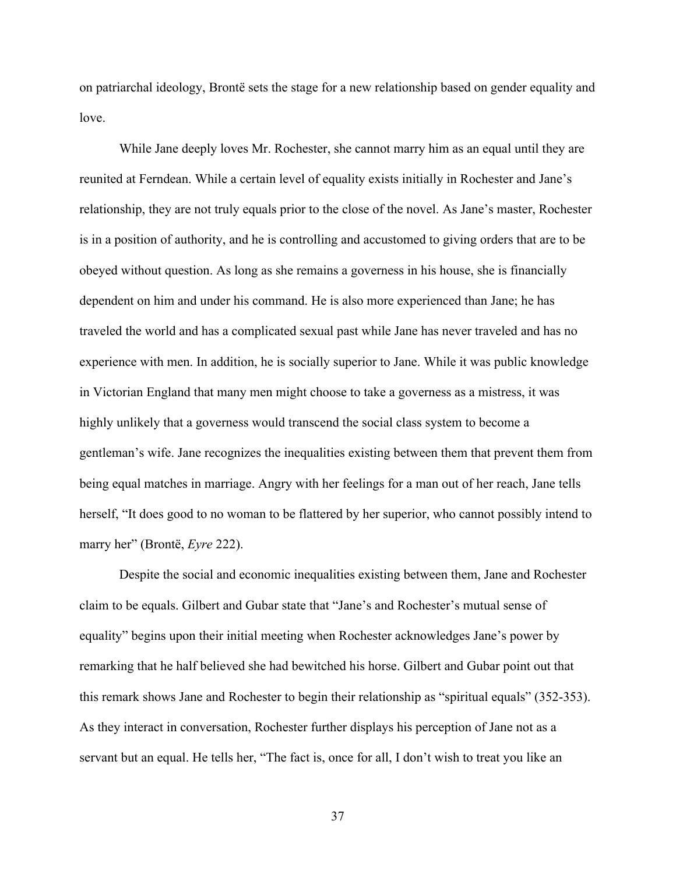on patriarchal ideology, Brontë sets the stage for a new relationship based on gender equality and love.

While Jane deeply loves Mr. Rochester, she cannot marry him as an equal until they are reunited at Ferndean. While a certain level of equality exists initially in Rochester and Jane's relationship, they are not truly equals prior to the close of the novel. As Jane's master, Rochester is in a position of authority, and he is controlling and accustomed to giving orders that are to be obeyed without question. As long as she remains a governess in his house, she is financially dependent on him and under his command. He is also more experienced than Jane; he has traveled the world and has a complicated sexual past while Jane has never traveled and has no experience with men. In addition, he is socially superior to Jane. While it was public knowledge in Victorian England that many men might choose to take a governess as a mistress, it was highly unlikely that a governess would transcend the social class system to become a gentleman's wife. Jane recognizes the inequalities existing between them that prevent them from being equal matches in marriage. Angry with her feelings for a man out of her reach, Jane tells herself, "It does good to no woman to be flattered by her superior, who cannot possibly intend to marry her" (Brontë, *Eyre* 222).

Despite the social and economic inequalities existing between them, Jane and Rochester claim to be equals. Gilbert and Gubar state that "Jane's and Rochester's mutual sense of equality" begins upon their initial meeting when Rochester acknowledges Jane's power by remarking that he half believed she had bewitched his horse. Gilbert and Gubar point out that this remark shows Jane and Rochester to begin their relationship as "spiritual equals" (352-353). As they interact in conversation, Rochester further displays his perception of Jane not as a servant but an equal. He tells her, "The fact is, once for all, I don't wish to treat you like an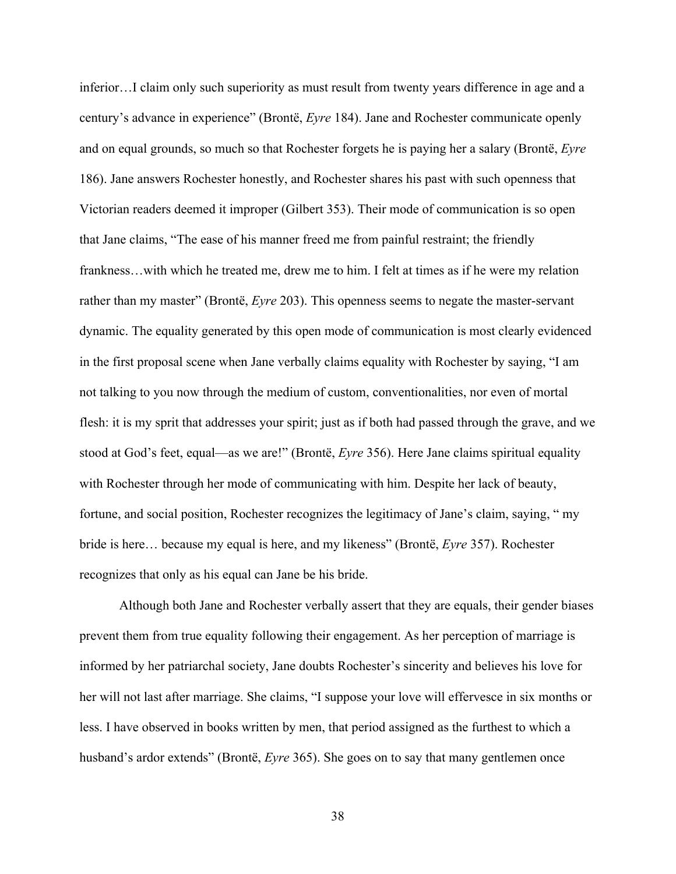inferior…I claim only such superiority as must result from twenty years difference in age and a century's advance in experience" (Brontë, *Eyre* 184). Jane and Rochester communicate openly and on equal grounds, so much so that Rochester forgets he is paying her a salary (Brontë, *Eyre* 186). Jane answers Rochester honestly, and Rochester shares his past with such openness that Victorian readers deemed it improper (Gilbert 353). Their mode of communication is so open that Jane claims, "The ease of his manner freed me from painful restraint; the friendly frankness…with which he treated me, drew me to him. I felt at times as if he were my relation rather than my master" (Brontë, *Eyre* 203). This openness seems to negate the master-servant dynamic. The equality generated by this open mode of communication is most clearly evidenced in the first proposal scene when Jane verbally claims equality with Rochester by saying, "I am not talking to you now through the medium of custom, conventionalities, nor even of mortal flesh: it is my sprit that addresses your spirit; just as if both had passed through the grave, and we stood at God's feet, equal—as we are!" (Brontë, *Eyre* 356). Here Jane claims spiritual equality with Rochester through her mode of communicating with him. Despite her lack of beauty, fortune, and social position, Rochester recognizes the legitimacy of Jane's claim, saying, " my bride is here… because my equal is here, and my likeness" (Brontë, *Eyre* 357). Rochester recognizes that only as his equal can Jane be his bride.

Although both Jane and Rochester verbally assert that they are equals, their gender biases prevent them from true equality following their engagement. As her perception of marriage is informed by her patriarchal society, Jane doubts Rochester's sincerity and believes his love for her will not last after marriage. She claims, "I suppose your love will effervesce in six months or less. I have observed in books written by men, that period assigned as the furthest to which a husband's ardor extends" (Brontë, *Eyre* 365). She goes on to say that many gentlemen once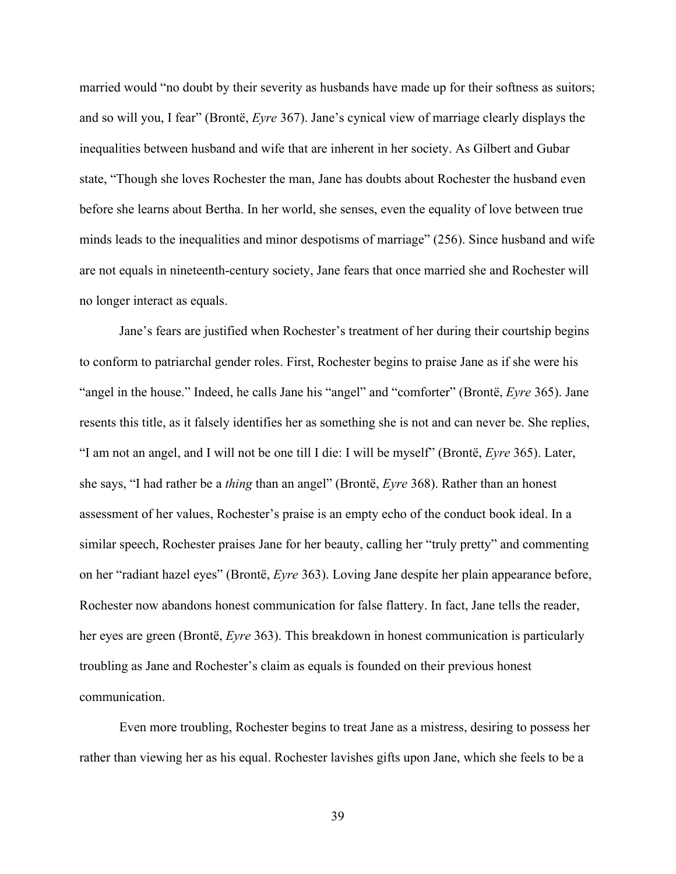married would "no doubt by their severity as husbands have made up for their softness as suitors; and so will you, I fear" (Brontë, *Eyre* 367). Jane's cynical view of marriage clearly displays the inequalities between husband and wife that are inherent in her society. As Gilbert and Gubar state, "Though she loves Rochester the man, Jane has doubts about Rochester the husband even before she learns about Bertha. In her world, she senses, even the equality of love between true minds leads to the inequalities and minor despotisms of marriage" (256). Since husband and wife are not equals in nineteenth-century society, Jane fears that once married she and Rochester will no longer interact as equals.

Jane's fears are justified when Rochester's treatment of her during their courtship begins to conform to patriarchal gender roles. First, Rochester begins to praise Jane as if she were his "angel in the house." Indeed, he calls Jane his "angel" and "comforter" (Brontë, *Eyre* 365). Jane resents this title, as it falsely identifies her as something she is not and can never be. She replies, "I am not an angel, and I will not be one till I die: I will be myself" (Brontë, *Eyre* 365). Later, she says, "I had rather be a *thing* than an angel" (Brontë, *Eyre* 368). Rather than an honest assessment of her values, Rochester's praise is an empty echo of the conduct book ideal. In a similar speech, Rochester praises Jane for her beauty, calling her "truly pretty" and commenting on her "radiant hazel eyes" (Brontë, *Eyre* 363). Loving Jane despite her plain appearance before, Rochester now abandons honest communication for false flattery. In fact, Jane tells the reader, her eyes are green (Brontë, *Eyre* 363). This breakdown in honest communication is particularly troubling as Jane and Rochester's claim as equals is founded on their previous honest communication.

Even more troubling, Rochester begins to treat Jane as a mistress, desiring to possess her rather than viewing her as his equal. Rochester lavishes gifts upon Jane, which she feels to be a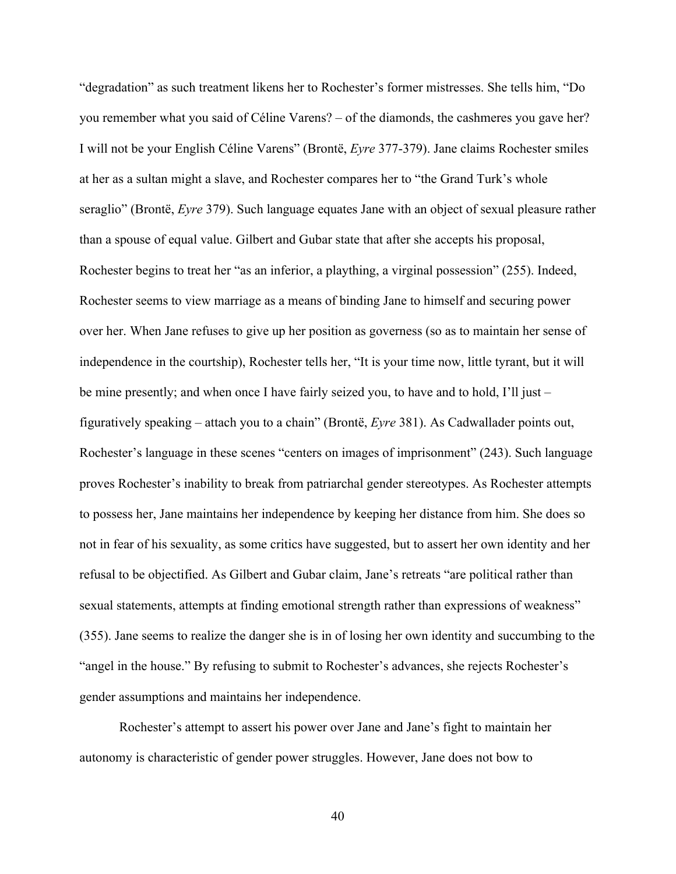"degradation" as such treatment likens her to Rochester's former mistresses. She tells him, "Do you remember what you said of Céline Varens? – of the diamonds, the cashmeres you gave her? I will not be your English Céline Varens" (Brontë, *Eyre* 377-379). Jane claims Rochester smiles at her as a sultan might a slave, and Rochester compares her to "the Grand Turk's whole seraglio" (Brontë, *Eyre* 379). Such language equates Jane with an object of sexual pleasure rather than a spouse of equal value. Gilbert and Gubar state that after she accepts his proposal, Rochester begins to treat her "as an inferior, a plaything, a virginal possession" (255). Indeed, Rochester seems to view marriage as a means of binding Jane to himself and securing power over her. When Jane refuses to give up her position as governess (so as to maintain her sense of independence in the courtship), Rochester tells her, "It is your time now, little tyrant, but it will be mine presently; and when once I have fairly seized you, to have and to hold, I'll just – figuratively speaking – attach you to a chain" (Brontë, *Eyre* 381). As Cadwallader points out, Rochester's language in these scenes "centers on images of imprisonment" (243). Such language proves Rochester's inability to break from patriarchal gender stereotypes. As Rochester attempts to possess her, Jane maintains her independence by keeping her distance from him. She does so not in fear of his sexuality, as some critics have suggested, but to assert her own identity and her refusal to be objectified. As Gilbert and Gubar claim, Jane's retreats "are political rather than sexual statements, attempts at finding emotional strength rather than expressions of weakness" (355). Jane seems to realize the danger she is in of losing her own identity and succumbing to the "angel in the house." By refusing to submit to Rochester's advances, she rejects Rochester's gender assumptions and maintains her independence.

Rochester's attempt to assert his power over Jane and Jane's fight to maintain her autonomy is characteristic of gender power struggles. However, Jane does not bow to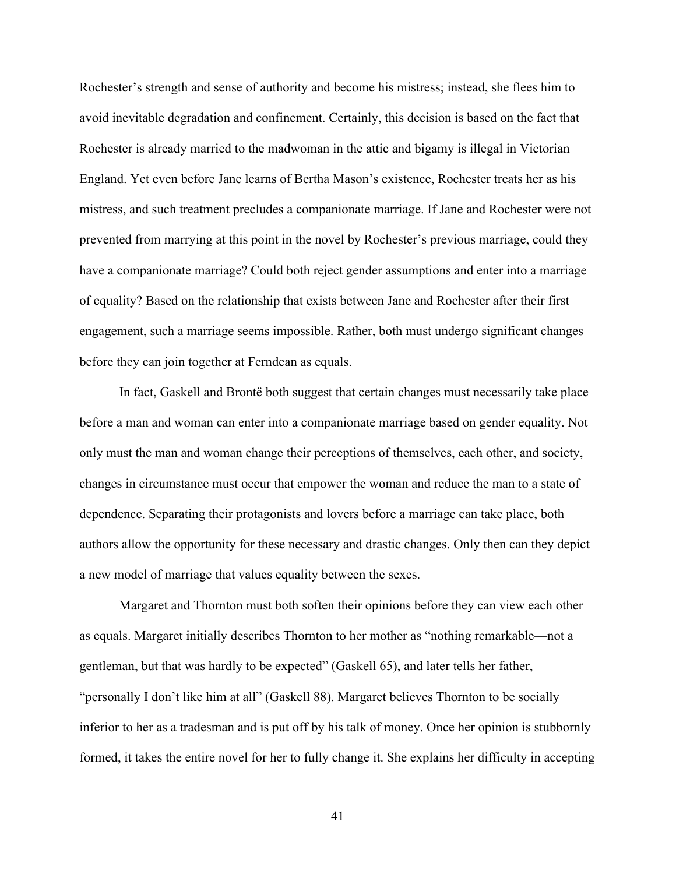Rochester's strength and sense of authority and become his mistress; instead, she flees him to avoid inevitable degradation and confinement. Certainly, this decision is based on the fact that Rochester is already married to the madwoman in the attic and bigamy is illegal in Victorian England. Yet even before Jane learns of Bertha Mason's existence, Rochester treats her as his mistress, and such treatment precludes a companionate marriage. If Jane and Rochester were not prevented from marrying at this point in the novel by Rochester's previous marriage, could they have a companionate marriage? Could both reject gender assumptions and enter into a marriage of equality? Based on the relationship that exists between Jane and Rochester after their first engagement, such a marriage seems impossible. Rather, both must undergo significant changes before they can join together at Ferndean as equals.

In fact, Gaskell and Brontë both suggest that certain changes must necessarily take place before a man and woman can enter into a companionate marriage based on gender equality. Not only must the man and woman change their perceptions of themselves, each other, and society, changes in circumstance must occur that empower the woman and reduce the man to a state of dependence. Separating their protagonists and lovers before a marriage can take place, both authors allow the opportunity for these necessary and drastic changes. Only then can they depict a new model of marriage that values equality between the sexes.

Margaret and Thornton must both soften their opinions before they can view each other as equals. Margaret initially describes Thornton to her mother as "nothing remarkable—not a gentleman, but that was hardly to be expected" (Gaskell 65), and later tells her father, "personally I don't like him at all" (Gaskell 88). Margaret believes Thornton to be socially inferior to her as a tradesman and is put off by his talk of money. Once her opinion is stubbornly formed, it takes the entire novel for her to fully change it. She explains her difficulty in accepting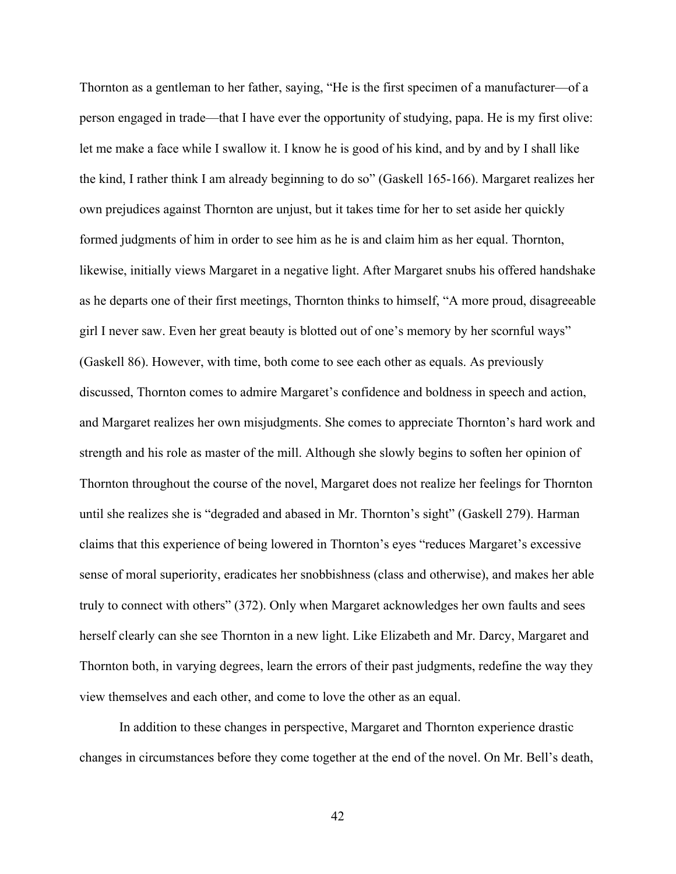Thornton as a gentleman to her father, saying, "He is the first specimen of a manufacturer—of a person engaged in trade—that I have ever the opportunity of studying, papa. He is my first olive: let me make a face while I swallow it. I know he is good of his kind, and by and by I shall like the kind, I rather think I am already beginning to do so" (Gaskell 165-166). Margaret realizes her own prejudices against Thornton are unjust, but it takes time for her to set aside her quickly formed judgments of him in order to see him as he is and claim him as her equal. Thornton, likewise, initially views Margaret in a negative light. After Margaret snubs his offered handshake as he departs one of their first meetings, Thornton thinks to himself, "A more proud, disagreeable girl I never saw. Even her great beauty is blotted out of one's memory by her scornful ways" (Gaskell 86). However, with time, both come to see each other as equals. As previously discussed, Thornton comes to admire Margaret's confidence and boldness in speech and action, and Margaret realizes her own misjudgments. She comes to appreciate Thornton's hard work and strength and his role as master of the mill. Although she slowly begins to soften her opinion of Thornton throughout the course of the novel, Margaret does not realize her feelings for Thornton until she realizes she is "degraded and abased in Mr. Thornton's sight" (Gaskell 279). Harman claims that this experience of being lowered in Thornton's eyes "reduces Margaret's excessive sense of moral superiority, eradicates her snobbishness (class and otherwise), and makes her able truly to connect with others" (372). Only when Margaret acknowledges her own faults and sees herself clearly can she see Thornton in a new light. Like Elizabeth and Mr. Darcy, Margaret and Thornton both, in varying degrees, learn the errors of their past judgments, redefine the way they view themselves and each other, and come to love the other as an equal.

In addition to these changes in perspective, Margaret and Thornton experience drastic changes in circumstances before they come together at the end of the novel. On Mr. Bell's death,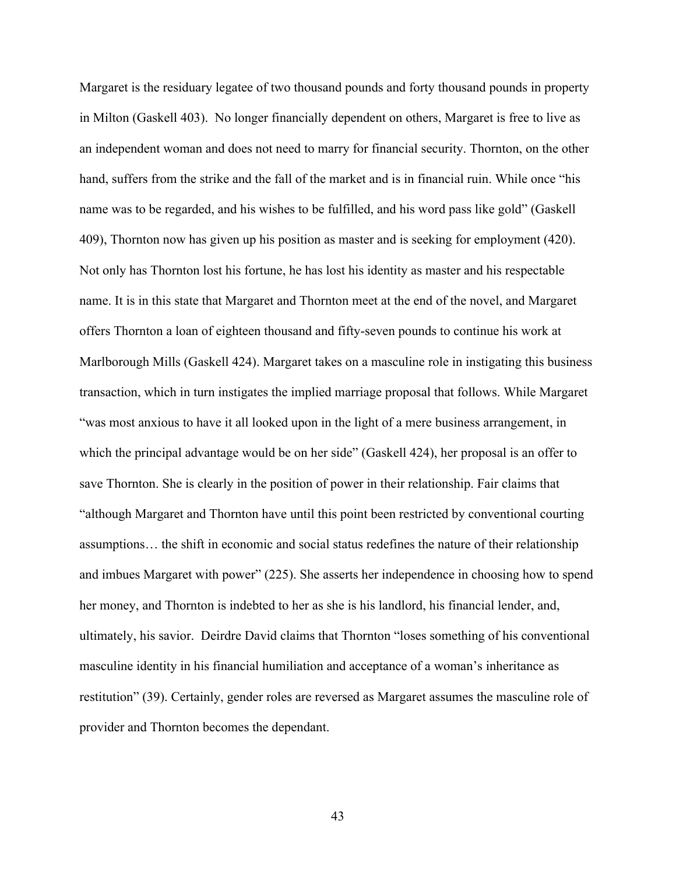Margaret is the residuary legatee of two thousand pounds and forty thousand pounds in property in Milton (Gaskell 403). No longer financially dependent on others, Margaret is free to live as an independent woman and does not need to marry for financial security. Thornton, on the other hand, suffers from the strike and the fall of the market and is in financial ruin. While once "his name was to be regarded, and his wishes to be fulfilled, and his word pass like gold" (Gaskell 409), Thornton now has given up his position as master and is seeking for employment (420). Not only has Thornton lost his fortune, he has lost his identity as master and his respectable name. It is in this state that Margaret and Thornton meet at the end of the novel, and Margaret offers Thornton a loan of eighteen thousand and fifty-seven pounds to continue his work at Marlborough Mills (Gaskell 424). Margaret takes on a masculine role in instigating this business transaction, which in turn instigates the implied marriage proposal that follows. While Margaret "was most anxious to have it all looked upon in the light of a mere business arrangement, in which the principal advantage would be on her side" (Gaskell 424), her proposal is an offer to save Thornton. She is clearly in the position of power in their relationship. Fair claims that "although Margaret and Thornton have until this point been restricted by conventional courting assumptions… the shift in economic and social status redefines the nature of their relationship and imbues Margaret with power" (225). She asserts her independence in choosing how to spend her money, and Thornton is indebted to her as she is his landlord, his financial lender, and, ultimately, his savior. Deirdre David claims that Thornton "loses something of his conventional masculine identity in his financial humiliation and acceptance of a woman's inheritance as restitution" (39). Certainly, gender roles are reversed as Margaret assumes the masculine role of provider and Thornton becomes the dependant.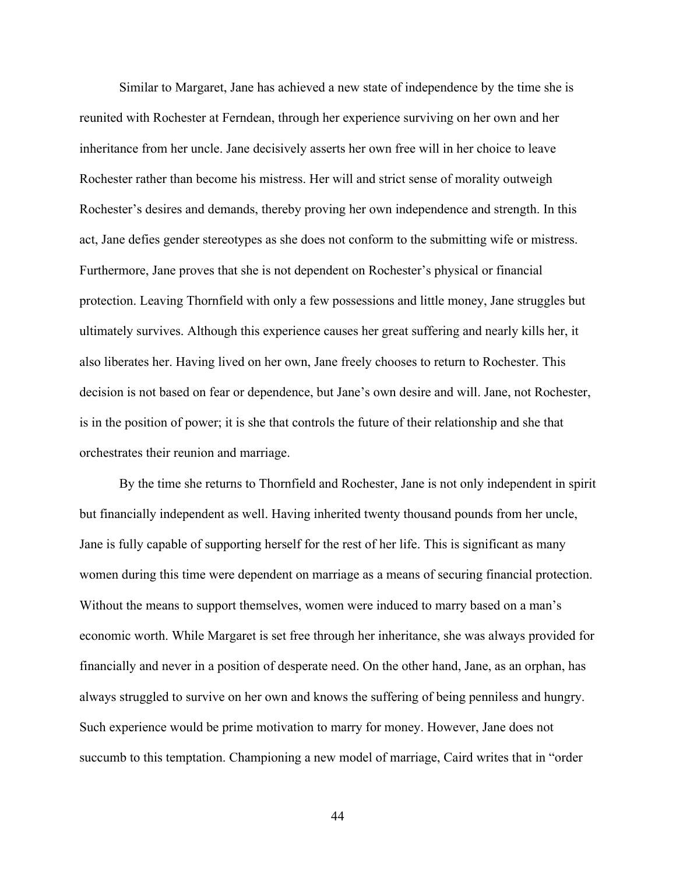Similar to Margaret, Jane has achieved a new state of independence by the time she is reunited with Rochester at Ferndean, through her experience surviving on her own and her inheritance from her uncle. Jane decisively asserts her own free will in her choice to leave Rochester rather than become his mistress. Her will and strict sense of morality outweigh Rochester's desires and demands, thereby proving her own independence and strength. In this act, Jane defies gender stereotypes as she does not conform to the submitting wife or mistress. Furthermore, Jane proves that she is not dependent on Rochester's physical or financial protection. Leaving Thornfield with only a few possessions and little money, Jane struggles but ultimately survives. Although this experience causes her great suffering and nearly kills her, it also liberates her. Having lived on her own, Jane freely chooses to return to Rochester. This decision is not based on fear or dependence, but Jane's own desire and will. Jane, not Rochester, is in the position of power; it is she that controls the future of their relationship and she that orchestrates their reunion and marriage.

By the time she returns to Thornfield and Rochester, Jane is not only independent in spirit but financially independent as well. Having inherited twenty thousand pounds from her uncle, Jane is fully capable of supporting herself for the rest of her life. This is significant as many women during this time were dependent on marriage as a means of securing financial protection. Without the means to support themselves, women were induced to marry based on a man's economic worth. While Margaret is set free through her inheritance, she was always provided for financially and never in a position of desperate need. On the other hand, Jane, as an orphan, has always struggled to survive on her own and knows the suffering of being penniless and hungry. Such experience would be prime motivation to marry for money. However, Jane does not succumb to this temptation. Championing a new model of marriage, Caird writes that in "order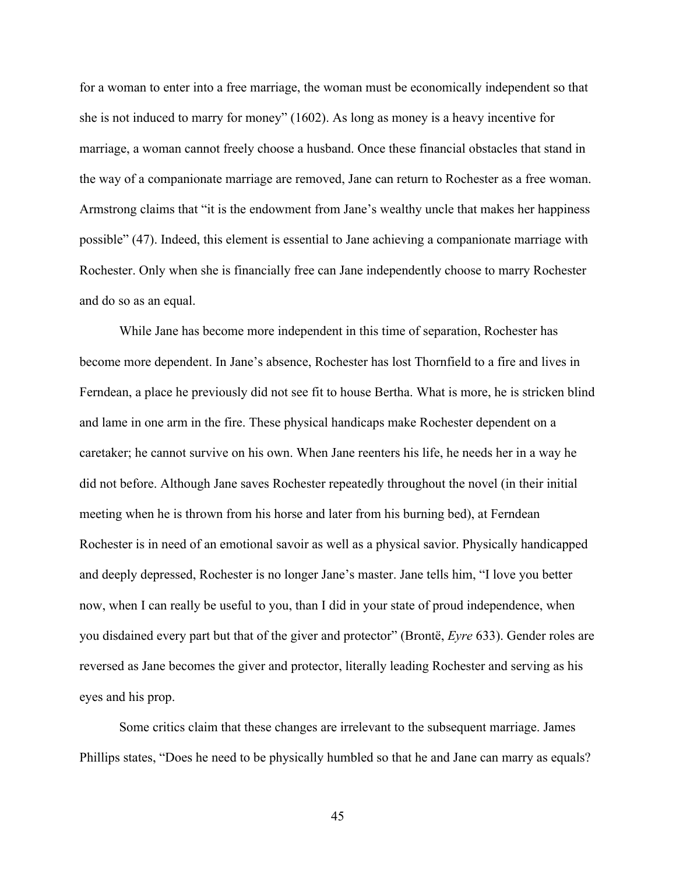for a woman to enter into a free marriage, the woman must be economically independent so that she is not induced to marry for money" (1602). As long as money is a heavy incentive for marriage, a woman cannot freely choose a husband. Once these financial obstacles that stand in the way of a companionate marriage are removed, Jane can return to Rochester as a free woman. Armstrong claims that "it is the endowment from Jane's wealthy uncle that makes her happiness possible" (47). Indeed, this element is essential to Jane achieving a companionate marriage with Rochester. Only when she is financially free can Jane independently choose to marry Rochester and do so as an equal.

While Jane has become more independent in this time of separation, Rochester has become more dependent. In Jane's absence, Rochester has lost Thornfield to a fire and lives in Ferndean, a place he previously did not see fit to house Bertha. What is more, he is stricken blind and lame in one arm in the fire. These physical handicaps make Rochester dependent on a caretaker; he cannot survive on his own. When Jane reenters his life, he needs her in a way he did not before. Although Jane saves Rochester repeatedly throughout the novel (in their initial meeting when he is thrown from his horse and later from his burning bed), at Ferndean Rochester is in need of an emotional savoir as well as a physical savior. Physically handicapped and deeply depressed, Rochester is no longer Jane's master. Jane tells him, "I love you better now, when I can really be useful to you, than I did in your state of proud independence, when you disdained every part but that of the giver and protector" (Brontë, *Eyre* 633). Gender roles are reversed as Jane becomes the giver and protector, literally leading Rochester and serving as his eyes and his prop.

Some critics claim that these changes are irrelevant to the subsequent marriage. James Phillips states, "Does he need to be physically humbled so that he and Jane can marry as equals?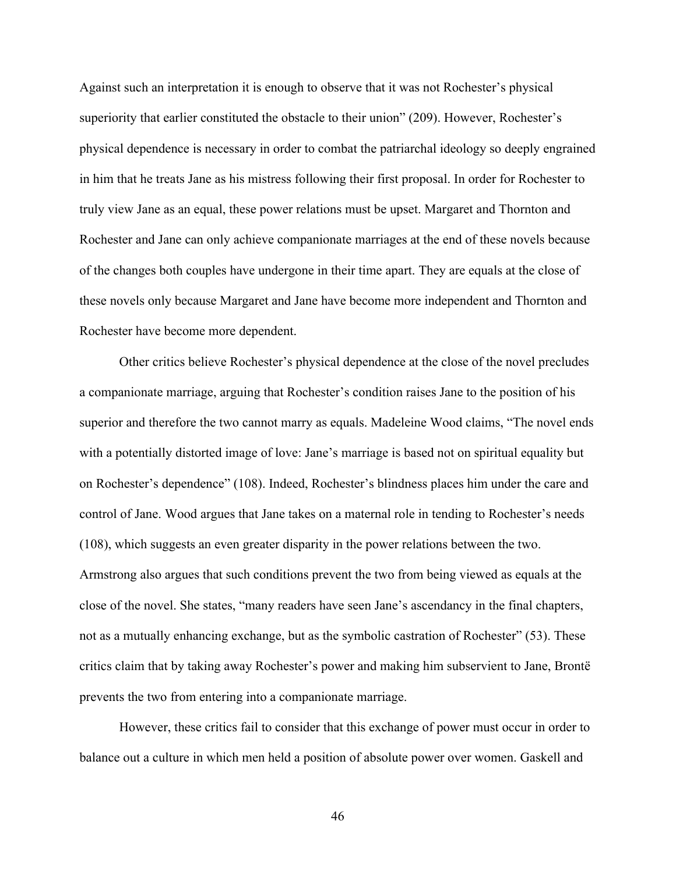Against such an interpretation it is enough to observe that it was not Rochester's physical superiority that earlier constituted the obstacle to their union" (209). However, Rochester's physical dependence is necessary in order to combat the patriarchal ideology so deeply engrained in him that he treats Jane as his mistress following their first proposal. In order for Rochester to truly view Jane as an equal, these power relations must be upset. Margaret and Thornton and Rochester and Jane can only achieve companionate marriages at the end of these novels because of the changes both couples have undergone in their time apart. They are equals at the close of these novels only because Margaret and Jane have become more independent and Thornton and Rochester have become more dependent.

Other critics believe Rochester's physical dependence at the close of the novel precludes a companionate marriage, arguing that Rochester's condition raises Jane to the position of his superior and therefore the two cannot marry as equals. Madeleine Wood claims, "The novel ends with a potentially distorted image of love: Jane's marriage is based not on spiritual equality but on Rochester's dependence" (108). Indeed, Rochester's blindness places him under the care and control of Jane. Wood argues that Jane takes on a maternal role in tending to Rochester's needs (108), which suggests an even greater disparity in the power relations between the two. Armstrong also argues that such conditions prevent the two from being viewed as equals at the close of the novel. She states, "many readers have seen Jane's ascendancy in the final chapters, not as a mutually enhancing exchange, but as the symbolic castration of Rochester" (53). These critics claim that by taking away Rochester's power and making him subservient to Jane, Brontë prevents the two from entering into a companionate marriage.

However, these critics fail to consider that this exchange of power must occur in order to balance out a culture in which men held a position of absolute power over women. Gaskell and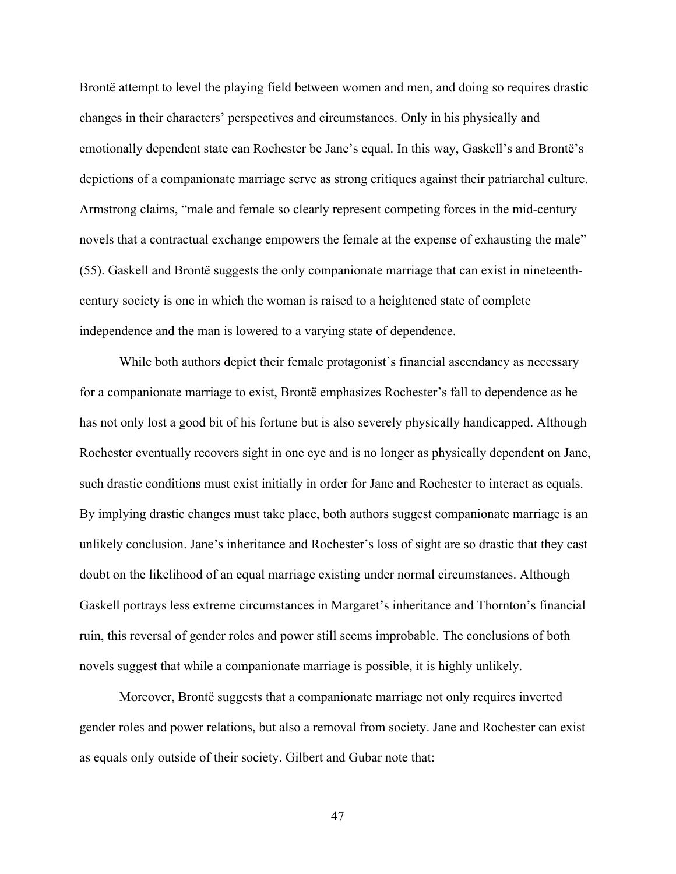Brontë attempt to level the playing field between women and men, and doing so requires drastic changes in their characters' perspectives and circumstances. Only in his physically and emotionally dependent state can Rochester be Jane's equal. In this way, Gaskell's and Brontë's depictions of a companionate marriage serve as strong critiques against their patriarchal culture. Armstrong claims, "male and female so clearly represent competing forces in the mid-century novels that a contractual exchange empowers the female at the expense of exhausting the male" (55). Gaskell and Brontë suggests the only companionate marriage that can exist in nineteenthcentury society is one in which the woman is raised to a heightened state of complete independence and the man is lowered to a varying state of dependence.

While both authors depict their female protagonist's financial ascendancy as necessary for a companionate marriage to exist, Brontë emphasizes Rochester's fall to dependence as he has not only lost a good bit of his fortune but is also severely physically handicapped. Although Rochester eventually recovers sight in one eye and is no longer as physically dependent on Jane, such drastic conditions must exist initially in order for Jane and Rochester to interact as equals. By implying drastic changes must take place, both authors suggest companionate marriage is an unlikely conclusion. Jane's inheritance and Rochester's loss of sight are so drastic that they cast doubt on the likelihood of an equal marriage existing under normal circumstances. Although Gaskell portrays less extreme circumstances in Margaret's inheritance and Thornton's financial ruin, this reversal of gender roles and power still seems improbable. The conclusions of both novels suggest that while a companionate marriage is possible, it is highly unlikely.

Moreover, Brontë suggests that a companionate marriage not only requires inverted gender roles and power relations, but also a removal from society. Jane and Rochester can exist as equals only outside of their society. Gilbert and Gubar note that: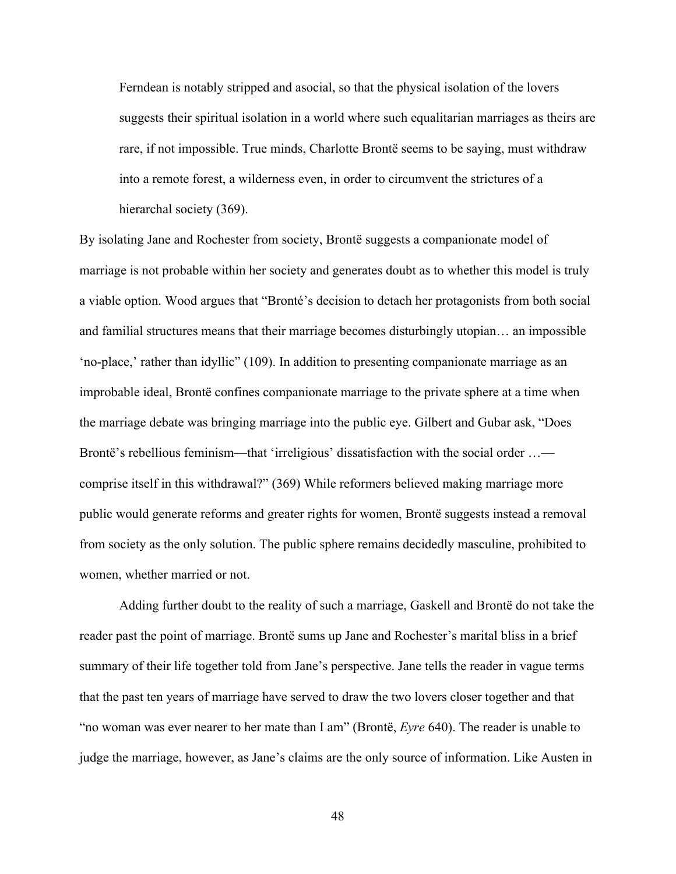Ferndean is notably stripped and asocial, so that the physical isolation of the lovers suggests their spiritual isolation in a world where such equalitarian marriages as theirs are rare, if not impossible. True minds, Charlotte Brontë seems to be saying, must withdraw into a remote forest, a wilderness even, in order to circumvent the strictures of a hierarchal society (369).

By isolating Jane and Rochester from society, Brontë suggests a companionate model of marriage is not probable within her society and generates doubt as to whether this model is truly a viable option. Wood argues that "Bronté's decision to detach her protagonists from both social and familial structures means that their marriage becomes disturbingly utopian… an impossible 'no-place,' rather than idyllic" (109). In addition to presenting companionate marriage as an improbable ideal, Brontë confines companionate marriage to the private sphere at a time when the marriage debate was bringing marriage into the public eye. Gilbert and Gubar ask, "Does Brontë's rebellious feminism—that 'irreligious' dissatisfaction with the social order ... comprise itself in this withdrawal?" (369) While reformers believed making marriage more public would generate reforms and greater rights for women, Brontë suggests instead a removal from society as the only solution. The public sphere remains decidedly masculine, prohibited to women, whether married or not.

Adding further doubt to the reality of such a marriage, Gaskell and Brontë do not take the reader past the point of marriage. Brontë sums up Jane and Rochester's marital bliss in a brief summary of their life together told from Jane's perspective. Jane tells the reader in vague terms that the past ten years of marriage have served to draw the two lovers closer together and that "no woman was ever nearer to her mate than I am" (Brontë, *Eyre* 640). The reader is unable to judge the marriage, however, as Jane's claims are the only source of information. Like Austen in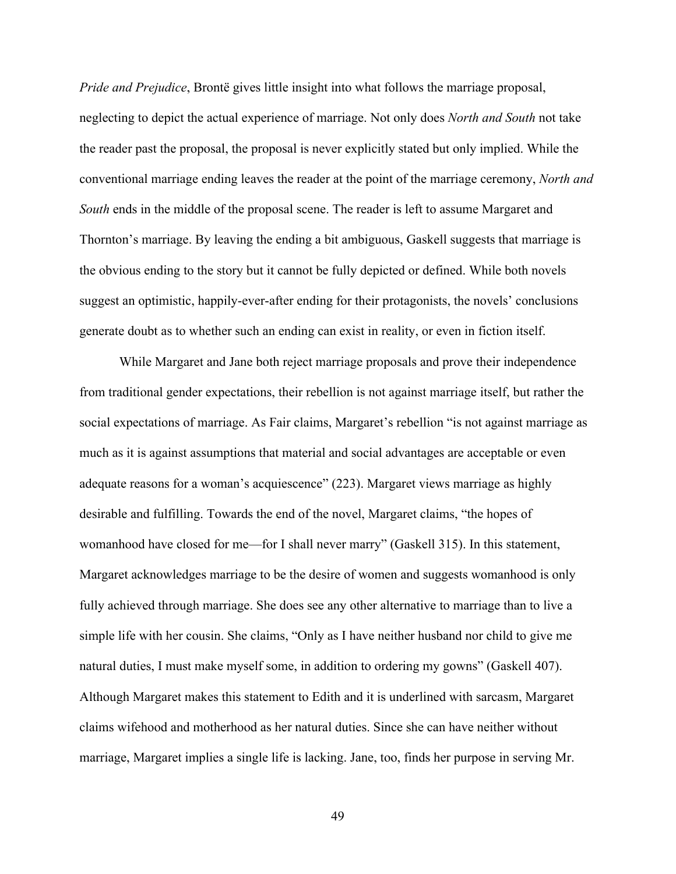*Pride and Prejudice*, Brontë gives little insight into what follows the marriage proposal, neglecting to depict the actual experience of marriage. Not only does *North and South* not take the reader past the proposal, the proposal is never explicitly stated but only implied. While the conventional marriage ending leaves the reader at the point of the marriage ceremony, *North and South* ends in the middle of the proposal scene. The reader is left to assume Margaret and Thornton's marriage. By leaving the ending a bit ambiguous, Gaskell suggests that marriage is the obvious ending to the story but it cannot be fully depicted or defined. While both novels suggest an optimistic, happily-ever-after ending for their protagonists, the novels' conclusions generate doubt as to whether such an ending can exist in reality, or even in fiction itself.

While Margaret and Jane both reject marriage proposals and prove their independence from traditional gender expectations, their rebellion is not against marriage itself, but rather the social expectations of marriage. As Fair claims, Margaret's rebellion "is not against marriage as much as it is against assumptions that material and social advantages are acceptable or even adequate reasons for a woman's acquiescence" (223). Margaret views marriage as highly desirable and fulfilling. Towards the end of the novel, Margaret claims, "the hopes of womanhood have closed for me—for I shall never marry" (Gaskell 315). In this statement, Margaret acknowledges marriage to be the desire of women and suggests womanhood is only fully achieved through marriage. She does see any other alternative to marriage than to live a simple life with her cousin. She claims, "Only as I have neither husband nor child to give me natural duties, I must make myself some, in addition to ordering my gowns" (Gaskell 407). Although Margaret makes this statement to Edith and it is underlined with sarcasm, Margaret claims wifehood and motherhood as her natural duties. Since she can have neither without marriage, Margaret implies a single life is lacking. Jane, too, finds her purpose in serving Mr.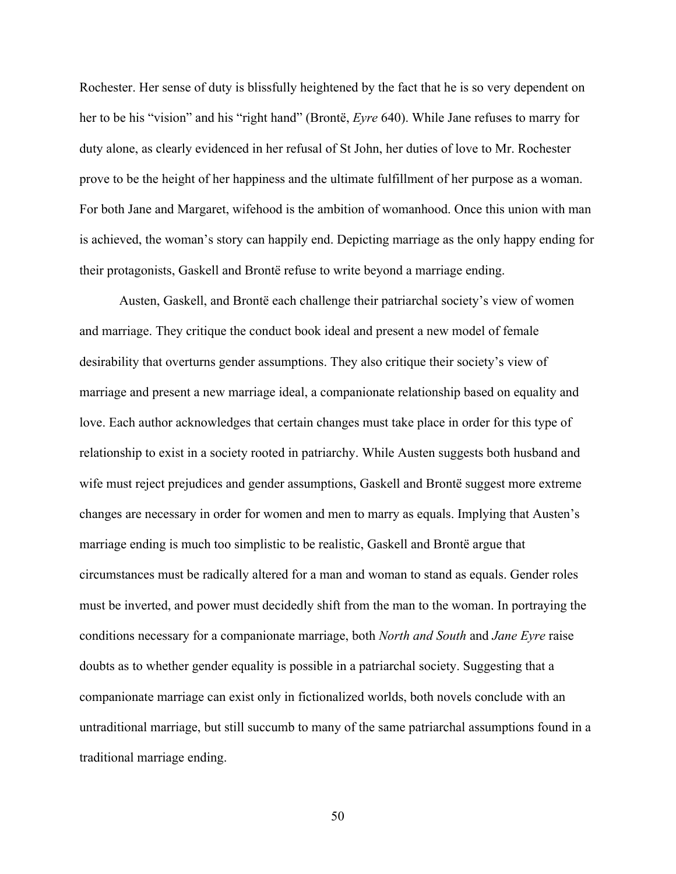Rochester. Her sense of duty is blissfully heightened by the fact that he is so very dependent on her to be his "vision" and his "right hand" (Brontë, *Eyre* 640). While Jane refuses to marry for duty alone, as clearly evidenced in her refusal of St John, her duties of love to Mr. Rochester prove to be the height of her happiness and the ultimate fulfillment of her purpose as a woman. For both Jane and Margaret, wifehood is the ambition of womanhood. Once this union with man is achieved, the woman's story can happily end. Depicting marriage as the only happy ending for their protagonists, Gaskell and Brontë refuse to write beyond a marriage ending.

Austen, Gaskell, and Brontë each challenge their patriarchal society's view of women and marriage. They critique the conduct book ideal and present a new model of female desirability that overturns gender assumptions. They also critique their society's view of marriage and present a new marriage ideal, a companionate relationship based on equality and love. Each author acknowledges that certain changes must take place in order for this type of relationship to exist in a society rooted in patriarchy. While Austen suggests both husband and wife must reject prejudices and gender assumptions, Gaskell and Brontë suggest more extreme changes are necessary in order for women and men to marry as equals. Implying that Austen's marriage ending is much too simplistic to be realistic, Gaskell and Brontë argue that circumstances must be radically altered for a man and woman to stand as equals. Gender roles must be inverted, and power must decidedly shift from the man to the woman. In portraying the conditions necessary for a companionate marriage, both *North and South* and *Jane Eyre* raise doubts as to whether gender equality is possible in a patriarchal society. Suggesting that a companionate marriage can exist only in fictionalized worlds, both novels conclude with an untraditional marriage, but still succumb to many of the same patriarchal assumptions found in a traditional marriage ending.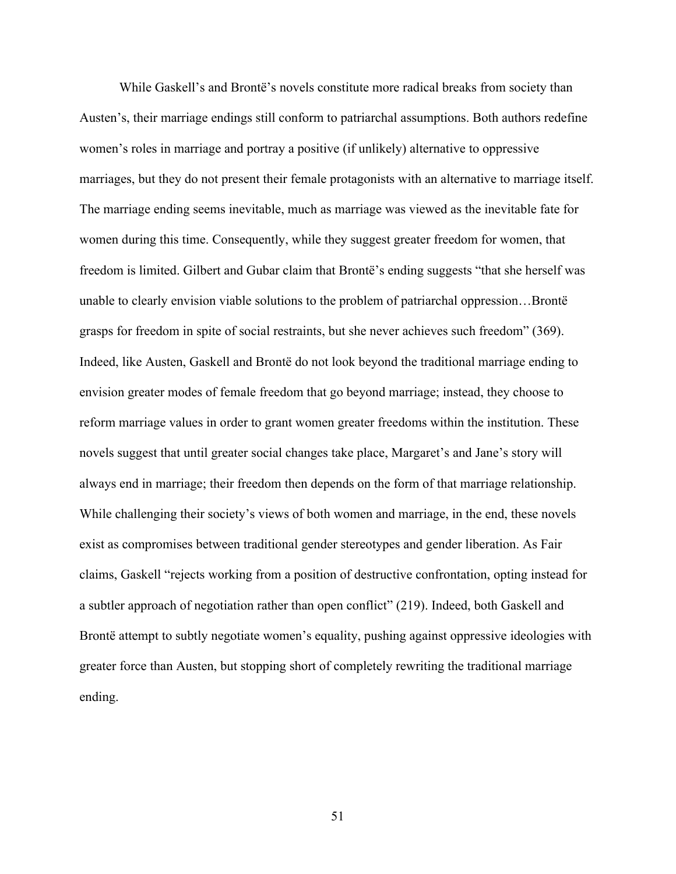While Gaskell's and Brontë's novels constitute more radical breaks from society than Austen's, their marriage endings still conform to patriarchal assumptions. Both authors redefine women's roles in marriage and portray a positive (if unlikely) alternative to oppressive marriages, but they do not present their female protagonists with an alternative to marriage itself. The marriage ending seems inevitable, much as marriage was viewed as the inevitable fate for women during this time. Consequently, while they suggest greater freedom for women, that freedom is limited. Gilbert and Gubar claim that Brontë's ending suggests "that she herself was unable to clearly envision viable solutions to the problem of patriarchal oppression…Brontë grasps for freedom in spite of social restraints, but she never achieves such freedom" (369). Indeed, like Austen, Gaskell and Brontë do not look beyond the traditional marriage ending to envision greater modes of female freedom that go beyond marriage; instead, they choose to reform marriage values in order to grant women greater freedoms within the institution. These novels suggest that until greater social changes take place, Margaret's and Jane's story will always end in marriage; their freedom then depends on the form of that marriage relationship. While challenging their society's views of both women and marriage, in the end, these novels exist as compromises between traditional gender stereotypes and gender liberation. As Fair claims, Gaskell "rejects working from a position of destructive confrontation, opting instead for a subtler approach of negotiation rather than open conflict" (219). Indeed, both Gaskell and Brontë attempt to subtly negotiate women's equality, pushing against oppressive ideologies with greater force than Austen, but stopping short of completely rewriting the traditional marriage ending.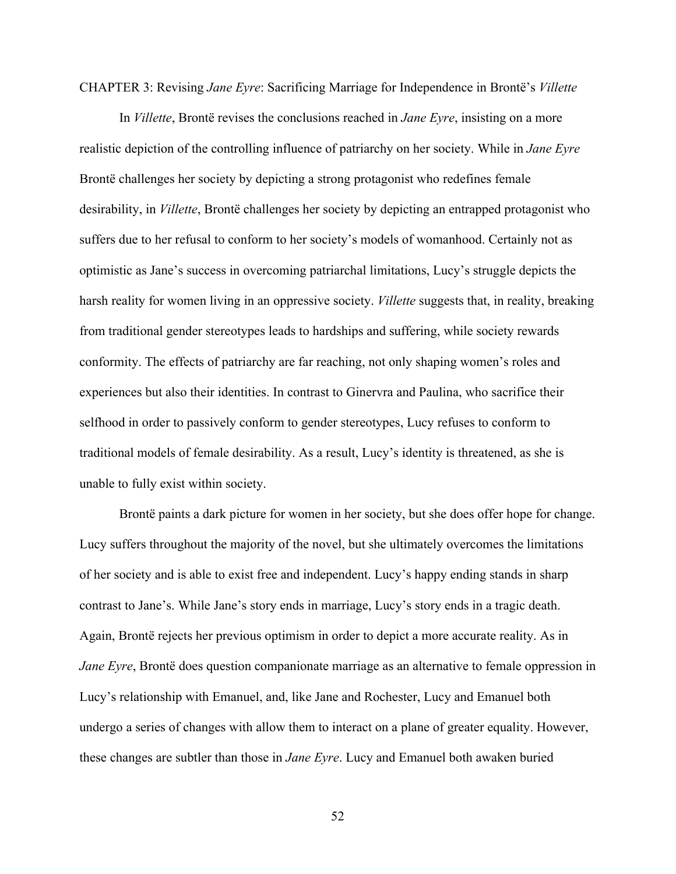CHAPTER 3: Revising *Jane Eyre*: Sacrificing Marriage for Independence in Brontë's *Villette*

In *Villette*, Brontë revises the conclusions reached in *Jane Eyre*, insisting on a more realistic depiction of the controlling influence of patriarchy on her society. While in *Jane Eyre* Brontë challenges her society by depicting a strong protagonist who redefines female desirability, in *Villette*, Brontë challenges her society by depicting an entrapped protagonist who suffers due to her refusal to conform to her society's models of womanhood. Certainly not as optimistic as Jane's success in overcoming patriarchal limitations, Lucy's struggle depicts the harsh reality for women living in an oppressive society. *Villette* suggests that, in reality, breaking from traditional gender stereotypes leads to hardships and suffering, while society rewards conformity. The effects of patriarchy are far reaching, not only shaping women's roles and experiences but also their identities. In contrast to Ginervra and Paulina, who sacrifice their selfhood in order to passively conform to gender stereotypes, Lucy refuses to conform to traditional models of female desirability. As a result, Lucy's identity is threatened, as she is unable to fully exist within society.

Brontë paints a dark picture for women in her society, but she does offer hope for change. Lucy suffers throughout the majority of the novel, but she ultimately overcomes the limitations of her society and is able to exist free and independent. Lucy's happy ending stands in sharp contrast to Jane's. While Jane's story ends in marriage, Lucy's story ends in a tragic death. Again, Brontë rejects her previous optimism in order to depict a more accurate reality. As in *Jane Eyre*, Brontë does question companionate marriage as an alternative to female oppression in Lucy's relationship with Emanuel, and, like Jane and Rochester, Lucy and Emanuel both undergo a series of changes with allow them to interact on a plane of greater equality. However, these changes are subtler than those in *Jane Eyre*. Lucy and Emanuel both awaken buried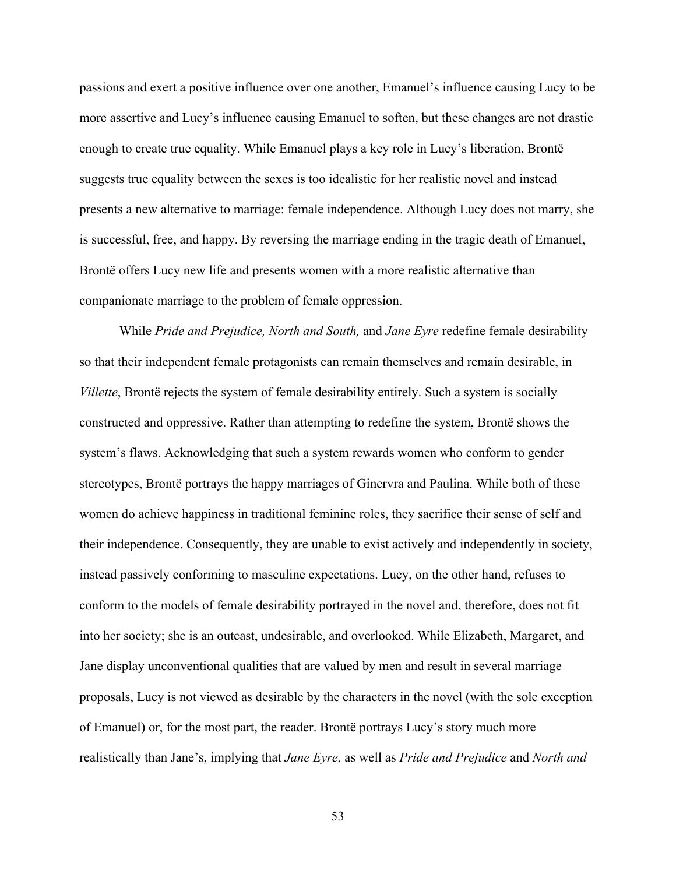passions and exert a positive influence over one another, Emanuel's influence causing Lucy to be more assertive and Lucy's influence causing Emanuel to soften, but these changes are not drastic enough to create true equality. While Emanuel plays a key role in Lucy's liberation, Brontë suggests true equality between the sexes is too idealistic for her realistic novel and instead presents a new alternative to marriage: female independence. Although Lucy does not marry, she is successful, free, and happy. By reversing the marriage ending in the tragic death of Emanuel, Brontë offers Lucy new life and presents women with a more realistic alternative than companionate marriage to the problem of female oppression.

While *Pride and Prejudice, North and South,* and *Jane Eyre* redefine female desirability so that their independent female protagonists can remain themselves and remain desirable, in *Villette*, Brontë rejects the system of female desirability entirely. Such a system is socially constructed and oppressive. Rather than attempting to redefine the system, Brontë shows the system's flaws. Acknowledging that such a system rewards women who conform to gender stereotypes, Brontë portrays the happy marriages of Ginervra and Paulina. While both of these women do achieve happiness in traditional feminine roles, they sacrifice their sense of self and their independence. Consequently, they are unable to exist actively and independently in society, instead passively conforming to masculine expectations. Lucy, on the other hand, refuses to conform to the models of female desirability portrayed in the novel and, therefore, does not fit into her society; she is an outcast, undesirable, and overlooked. While Elizabeth, Margaret, and Jane display unconventional qualities that are valued by men and result in several marriage proposals, Lucy is not viewed as desirable by the characters in the novel (with the sole exception of Emanuel) or, for the most part, the reader. Brontë portrays Lucy's story much more realistically than Jane's, implying that *Jane Eyre,* as well as *Pride and Prejudice* and *North and*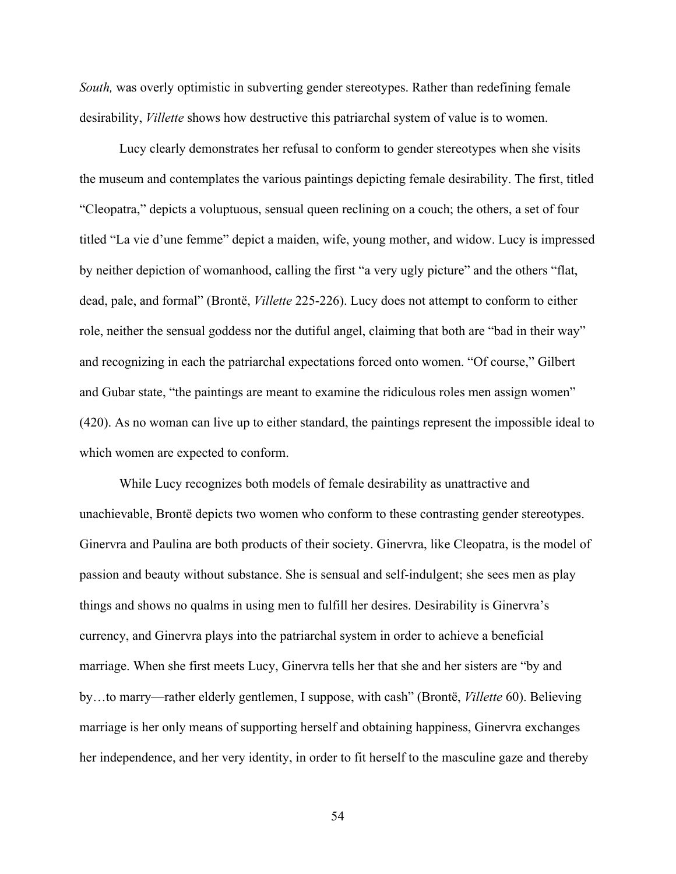*South,* was overly optimistic in subverting gender stereotypes. Rather than redefining female desirability, *Villette* shows how destructive this patriarchal system of value is to women.

Lucy clearly demonstrates her refusal to conform to gender stereotypes when she visits the museum and contemplates the various paintings depicting female desirability. The first, titled "Cleopatra," depicts a voluptuous, sensual queen reclining on a couch; the others, a set of four titled "La vie d'une femme" depict a maiden, wife, young mother, and widow. Lucy is impressed by neither depiction of womanhood, calling the first "a very ugly picture" and the others "flat, dead, pale, and formal" (Brontë, *Villette* 225-226). Lucy does not attempt to conform to either role, neither the sensual goddess nor the dutiful angel, claiming that both are "bad in their way" and recognizing in each the patriarchal expectations forced onto women. "Of course," Gilbert and Gubar state, "the paintings are meant to examine the ridiculous roles men assign women" (420). As no woman can live up to either standard, the paintings represent the impossible ideal to which women are expected to conform.

While Lucy recognizes both models of female desirability as unattractive and unachievable, Brontë depicts two women who conform to these contrasting gender stereotypes. Ginervra and Paulina are both products of their society. Ginervra, like Cleopatra, is the model of passion and beauty without substance. She is sensual and self-indulgent; she sees men as play things and shows no qualms in using men to fulfill her desires. Desirability is Ginervra's currency, and Ginervra plays into the patriarchal system in order to achieve a beneficial marriage. When she first meets Lucy, Ginervra tells her that she and her sisters are "by and by…to marry—rather elderly gentlemen, I suppose, with cash" (Brontë, *Villette* 60). Believing marriage is her only means of supporting herself and obtaining happiness, Ginervra exchanges her independence, and her very identity, in order to fit herself to the masculine gaze and thereby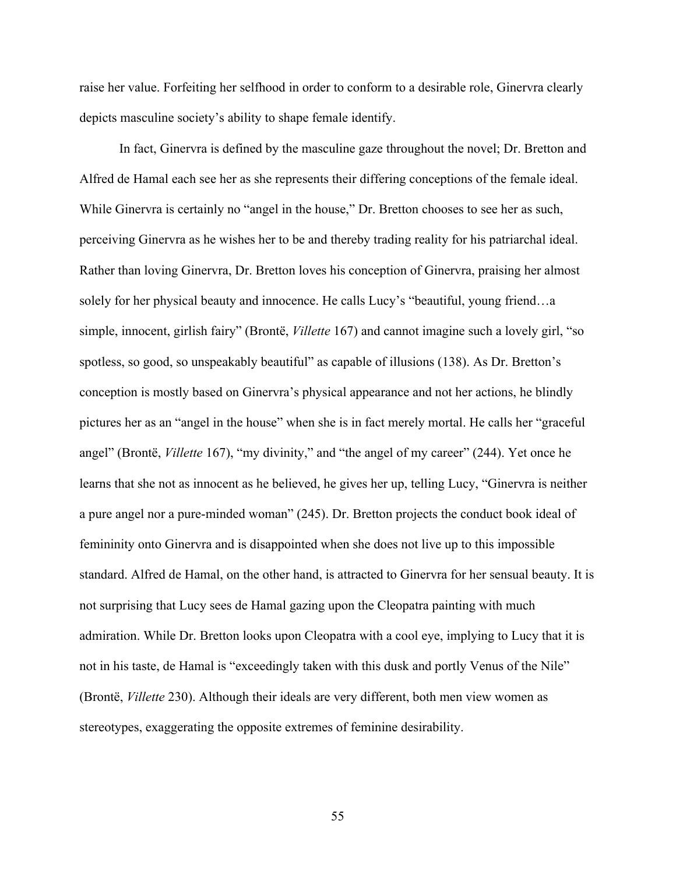raise her value. Forfeiting her selfhood in order to conform to a desirable role, Ginervra clearly depicts masculine society's ability to shape female identify.

In fact, Ginervra is defined by the masculine gaze throughout the novel; Dr. Bretton and Alfred de Hamal each see her as she represents their differing conceptions of the female ideal. While Ginervra is certainly no "angel in the house," Dr. Bretton chooses to see her as such, perceiving Ginervra as he wishes her to be and thereby trading reality for his patriarchal ideal. Rather than loving Ginervra, Dr. Bretton loves his conception of Ginervra, praising her almost solely for her physical beauty and innocence. He calls Lucy's "beautiful, young friend…a simple, innocent, girlish fairy" (Brontë, *Villette* 167) and cannot imagine such a lovely girl, "so spotless, so good, so unspeakably beautiful" as capable of illusions (138). As Dr. Bretton's conception is mostly based on Ginervra's physical appearance and not her actions, he blindly pictures her as an "angel in the house" when she is in fact merely mortal. He calls her "graceful angel" (Brontë, *Villette* 167), "my divinity," and "the angel of my career" (244). Yet once he learns that she not as innocent as he believed, he gives her up, telling Lucy, "Ginervra is neither a pure angel nor a pure-minded woman" (245). Dr. Bretton projects the conduct book ideal of femininity onto Ginervra and is disappointed when she does not live up to this impossible standard. Alfred de Hamal, on the other hand, is attracted to Ginervra for her sensual beauty. It is not surprising that Lucy sees de Hamal gazing upon the Cleopatra painting with much admiration. While Dr. Bretton looks upon Cleopatra with a cool eye, implying to Lucy that it is not in his taste, de Hamal is "exceedingly taken with this dusk and portly Venus of the Nile" (Brontë, *Villette* 230). Although their ideals are very different, both men view women as stereotypes, exaggerating the opposite extremes of feminine desirability.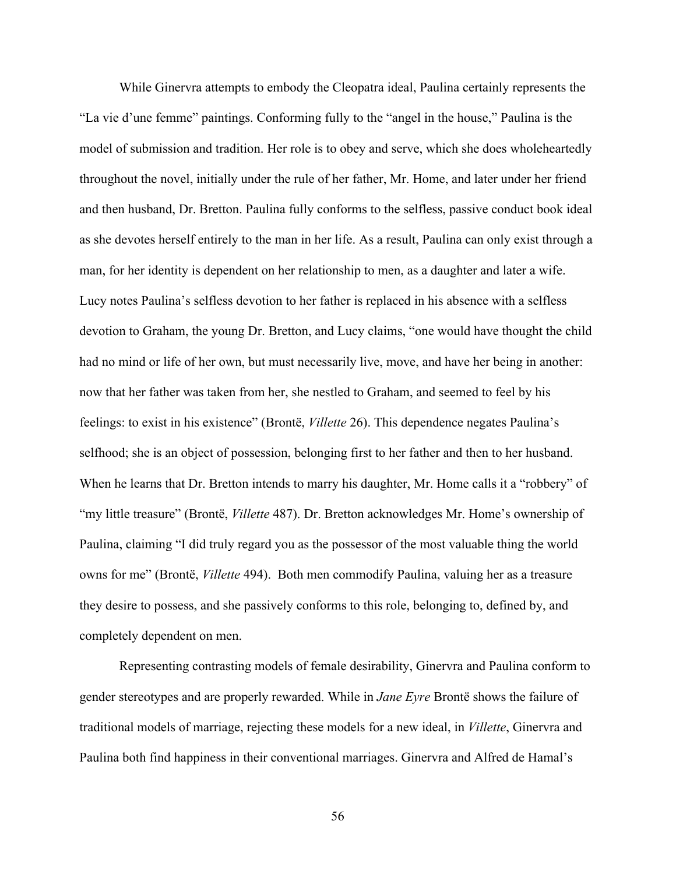While Ginervra attempts to embody the Cleopatra ideal, Paulina certainly represents the "La vie d'une femme" paintings. Conforming fully to the "angel in the house," Paulina is the model of submission and tradition. Her role is to obey and serve, which she does wholeheartedly throughout the novel, initially under the rule of her father, Mr. Home, and later under her friend and then husband, Dr. Bretton. Paulina fully conforms to the selfless, passive conduct book ideal as she devotes herself entirely to the man in her life. As a result, Paulina can only exist through a man, for her identity is dependent on her relationship to men, as a daughter and later a wife. Lucy notes Paulina's selfless devotion to her father is replaced in his absence with a selfless devotion to Graham, the young Dr. Bretton, and Lucy claims, "one would have thought the child had no mind or life of her own, but must necessarily live, move, and have her being in another: now that her father was taken from her, she nestled to Graham, and seemed to feel by his feelings: to exist in his existence" (Brontë, *Villette* 26). This dependence negates Paulina's selfhood; she is an object of possession, belonging first to her father and then to her husband. When he learns that Dr. Bretton intends to marry his daughter, Mr. Home calls it a "robbery" of "my little treasure" (Brontë, *Villette* 487). Dr. Bretton acknowledges Mr. Home's ownership of Paulina, claiming "I did truly regard you as the possessor of the most valuable thing the world owns for me" (Brontë, *Villette* 494). Both men commodify Paulina, valuing her as a treasure they desire to possess, and she passively conforms to this role, belonging to, defined by, and completely dependent on men.

Representing contrasting models of female desirability, Ginervra and Paulina conform to gender stereotypes and are properly rewarded. While in *Jane Eyre* Brontë shows the failure of traditional models of marriage, rejecting these models for a new ideal, in *Villette*, Ginervra and Paulina both find happiness in their conventional marriages. Ginervra and Alfred de Hamal's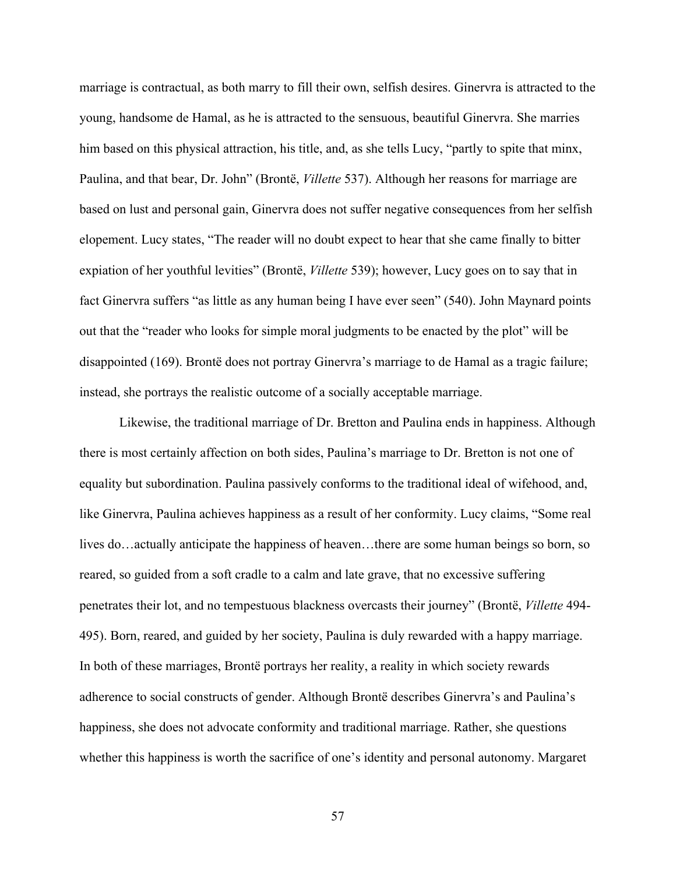marriage is contractual, as both marry to fill their own, selfish desires. Ginervra is attracted to the young, handsome de Hamal, as he is attracted to the sensuous, beautiful Ginervra. She marries him based on this physical attraction, his title, and, as she tells Lucy, "partly to spite that minx, Paulina, and that bear, Dr. John" (Brontë, *Villette* 537). Although her reasons for marriage are based on lust and personal gain, Ginervra does not suffer negative consequences from her selfish elopement. Lucy states, "The reader will no doubt expect to hear that she came finally to bitter expiation of her youthful levities" (Brontë, *Villette* 539); however, Lucy goes on to say that in fact Ginervra suffers "as little as any human being I have ever seen" (540). John Maynard points out that the "reader who looks for simple moral judgments to be enacted by the plot" will be disappointed (169). Brontë does not portray Ginervra's marriage to de Hamal as a tragic failure; instead, she portrays the realistic outcome of a socially acceptable marriage.

Likewise, the traditional marriage of Dr. Bretton and Paulina ends in happiness. Although there is most certainly affection on both sides, Paulina's marriage to Dr. Bretton is not one of equality but subordination. Paulina passively conforms to the traditional ideal of wifehood, and, like Ginervra, Paulina achieves happiness as a result of her conformity. Lucy claims, "Some real lives do…actually anticipate the happiness of heaven…there are some human beings so born, so reared, so guided from a soft cradle to a calm and late grave, that no excessive suffering penetrates their lot, and no tempestuous blackness overcasts their journey" (Brontë, *Villette* 494- 495). Born, reared, and guided by her society, Paulina is duly rewarded with a happy marriage. In both of these marriages, Brontë portrays her reality, a reality in which society rewards adherence to social constructs of gender. Although Brontë describes Ginervra's and Paulina's happiness, she does not advocate conformity and traditional marriage. Rather, she questions whether this happiness is worth the sacrifice of one's identity and personal autonomy. Margaret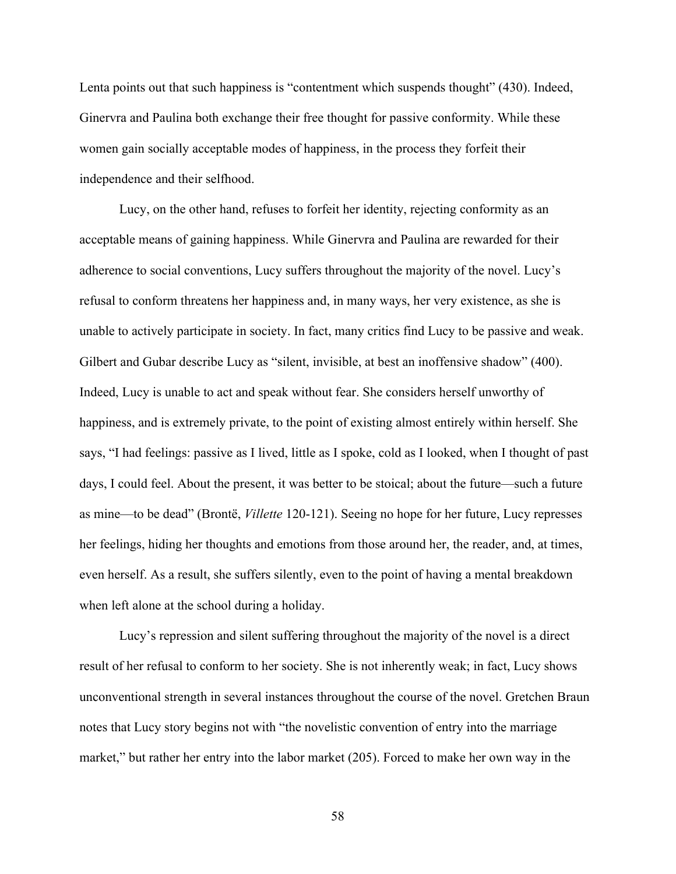Lenta points out that such happiness is "contentment which suspends thought" (430). Indeed, Ginervra and Paulina both exchange their free thought for passive conformity. While these women gain socially acceptable modes of happiness, in the process they forfeit their independence and their selfhood.

Lucy, on the other hand, refuses to forfeit her identity, rejecting conformity as an acceptable means of gaining happiness. While Ginervra and Paulina are rewarded for their adherence to social conventions, Lucy suffers throughout the majority of the novel. Lucy's refusal to conform threatens her happiness and, in many ways, her very existence, as she is unable to actively participate in society. In fact, many critics find Lucy to be passive and weak. Gilbert and Gubar describe Lucy as "silent, invisible, at best an inoffensive shadow" (400). Indeed, Lucy is unable to act and speak without fear. She considers herself unworthy of happiness, and is extremely private, to the point of existing almost entirely within herself. She says, "I had feelings: passive as I lived, little as I spoke, cold as I looked, when I thought of past days, I could feel. About the present, it was better to be stoical; about the future—such a future as mine—to be dead" (Brontë, *Villette* 120-121). Seeing no hope for her future, Lucy represses her feelings, hiding her thoughts and emotions from those around her, the reader, and, at times, even herself. As a result, she suffers silently, even to the point of having a mental breakdown when left alone at the school during a holiday.

Lucy's repression and silent suffering throughout the majority of the novel is a direct result of her refusal to conform to her society. She is not inherently weak; in fact, Lucy shows unconventional strength in several instances throughout the course of the novel. Gretchen Braun notes that Lucy story begins not with "the novelistic convention of entry into the marriage market," but rather her entry into the labor market (205). Forced to make her own way in the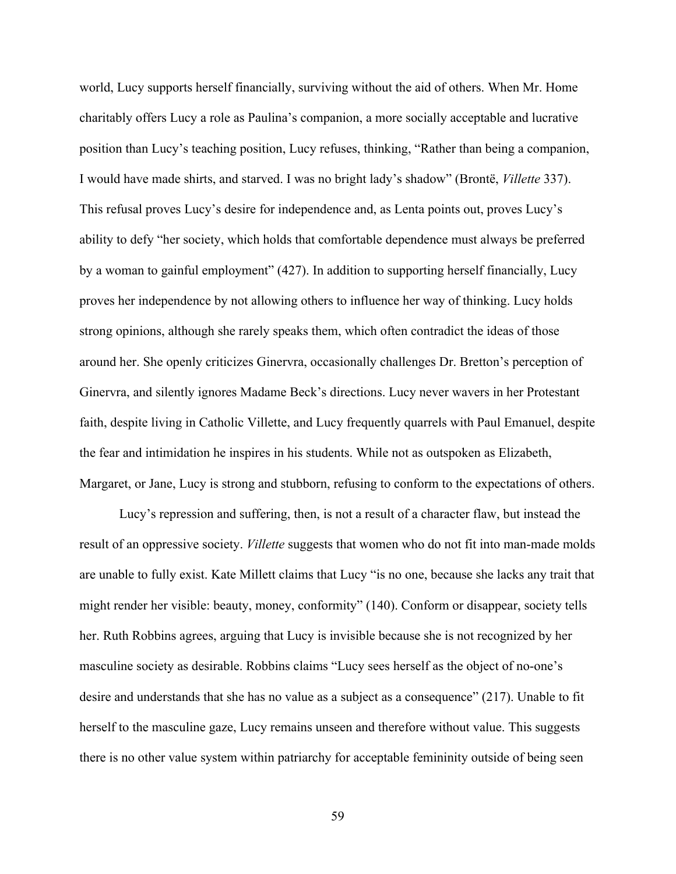world, Lucy supports herself financially, surviving without the aid of others. When Mr. Home charitably offers Lucy a role as Paulina's companion, a more socially acceptable and lucrative position than Lucy's teaching position, Lucy refuses, thinking, "Rather than being a companion, I would have made shirts, and starved. I was no bright lady's shadow" (Brontë, *Villette* 337). This refusal proves Lucy's desire for independence and, as Lenta points out, proves Lucy's ability to defy "her society, which holds that comfortable dependence must always be preferred by a woman to gainful employment" (427). In addition to supporting herself financially, Lucy proves her independence by not allowing others to influence her way of thinking. Lucy holds strong opinions, although she rarely speaks them, which often contradict the ideas of those around her. She openly criticizes Ginervra, occasionally challenges Dr. Bretton's perception of Ginervra, and silently ignores Madame Beck's directions. Lucy never wavers in her Protestant faith, despite living in Catholic Villette, and Lucy frequently quarrels with Paul Emanuel, despite the fear and intimidation he inspires in his students. While not as outspoken as Elizabeth, Margaret, or Jane, Lucy is strong and stubborn, refusing to conform to the expectations of others.

Lucy's repression and suffering, then, is not a result of a character flaw, but instead the result of an oppressive society. *Villette* suggests that women who do not fit into man-made molds are unable to fully exist. Kate Millett claims that Lucy "is no one, because she lacks any trait that might render her visible: beauty, money, conformity" (140). Conform or disappear, society tells her. Ruth Robbins agrees, arguing that Lucy is invisible because she is not recognized by her masculine society as desirable. Robbins claims "Lucy sees herself as the object of no-one's desire and understands that she has no value as a subject as a consequence" (217). Unable to fit herself to the masculine gaze, Lucy remains unseen and therefore without value. This suggests there is no other value system within patriarchy for acceptable femininity outside of being seen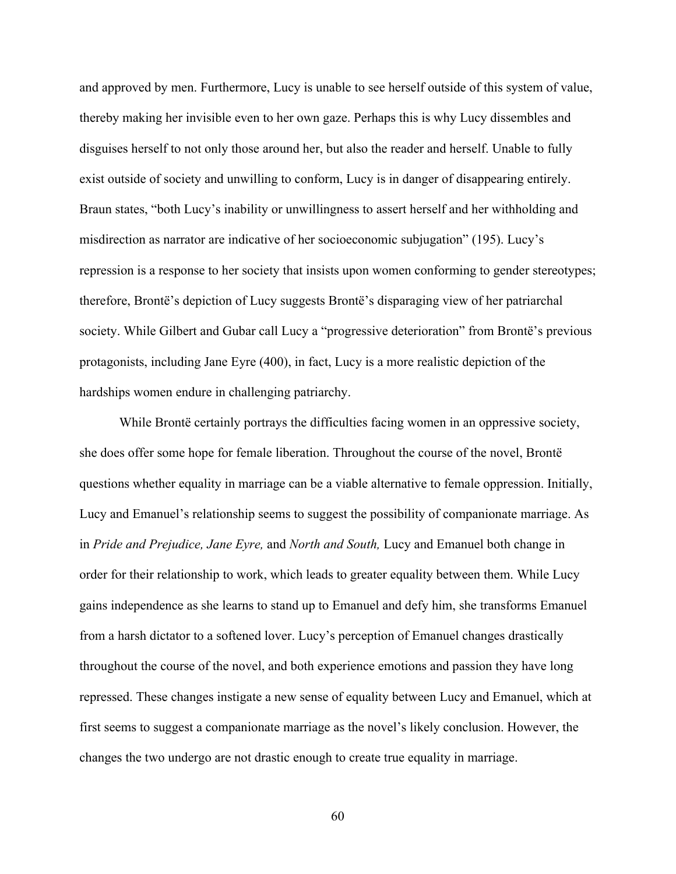and approved by men. Furthermore, Lucy is unable to see herself outside of this system of value, thereby making her invisible even to her own gaze. Perhaps this is why Lucy dissembles and disguises herself to not only those around her, but also the reader and herself. Unable to fully exist outside of society and unwilling to conform, Lucy is in danger of disappearing entirely. Braun states, "both Lucy's inability or unwillingness to assert herself and her withholding and misdirection as narrator are indicative of her socioeconomic subjugation" (195). Lucy's repression is a response to her society that insists upon women conforming to gender stereotypes; therefore, Brontë's depiction of Lucy suggests Brontë's disparaging view of her patriarchal society. While Gilbert and Gubar call Lucy a "progressive deterioration" from Brontë's previous protagonists, including Jane Eyre (400), in fact, Lucy is a more realistic depiction of the hardships women endure in challenging patriarchy.

While Brontë certainly portrays the difficulties facing women in an oppressive society, she does offer some hope for female liberation. Throughout the course of the novel, Brontë questions whether equality in marriage can be a viable alternative to female oppression. Initially, Lucy and Emanuel's relationship seems to suggest the possibility of companionate marriage. As in *Pride and Prejudice, Jane Eyre,* and *North and South,* Lucy and Emanuel both change in order for their relationship to work, which leads to greater equality between them. While Lucy gains independence as she learns to stand up to Emanuel and defy him, she transforms Emanuel from a harsh dictator to a softened lover. Lucy's perception of Emanuel changes drastically throughout the course of the novel, and both experience emotions and passion they have long repressed. These changes instigate a new sense of equality between Lucy and Emanuel, which at first seems to suggest a companionate marriage as the novel's likely conclusion. However, the changes the two undergo are not drastic enough to create true equality in marriage.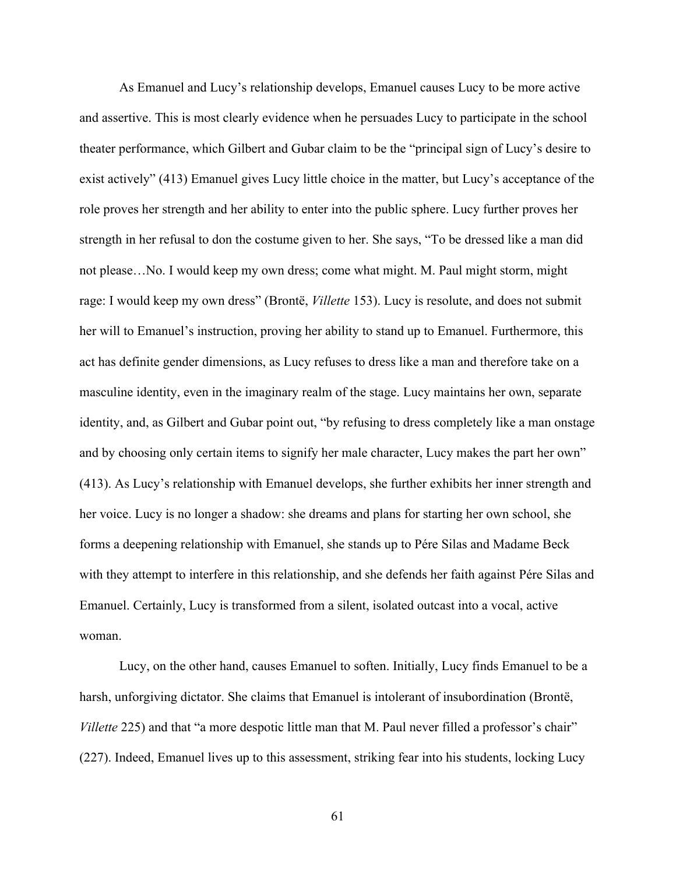As Emanuel and Lucy's relationship develops, Emanuel causes Lucy to be more active and assertive. This is most clearly evidence when he persuades Lucy to participate in the school theater performance, which Gilbert and Gubar claim to be the "principal sign of Lucy's desire to exist actively" (413) Emanuel gives Lucy little choice in the matter, but Lucy's acceptance of the role proves her strength and her ability to enter into the public sphere. Lucy further proves her strength in her refusal to don the costume given to her. She says, "To be dressed like a man did not please…No. I would keep my own dress; come what might. M. Paul might storm, might rage: I would keep my own dress" (Brontë, *Villette* 153). Lucy is resolute, and does not submit her will to Emanuel's instruction, proving her ability to stand up to Emanuel. Furthermore, this act has definite gender dimensions, as Lucy refuses to dress like a man and therefore take on a masculine identity, even in the imaginary realm of the stage. Lucy maintains her own, separate identity, and, as Gilbert and Gubar point out, "by refusing to dress completely like a man onstage and by choosing only certain items to signify her male character, Lucy makes the part her own" (413). As Lucy's relationship with Emanuel develops, she further exhibits her inner strength and her voice. Lucy is no longer a shadow: she dreams and plans for starting her own school, she forms a deepening relationship with Emanuel, she stands up to Pére Silas and Madame Beck with they attempt to interfere in this relationship, and she defends her faith against Pére Silas and Emanuel. Certainly, Lucy is transformed from a silent, isolated outcast into a vocal, active woman.

Lucy, on the other hand, causes Emanuel to soften. Initially, Lucy finds Emanuel to be a harsh, unforgiving dictator. She claims that Emanuel is intolerant of insubordination (Brontë, *Villette* 225) and that "a more despotic little man that M. Paul never filled a professor's chair" (227). Indeed, Emanuel lives up to this assessment, striking fear into his students, locking Lucy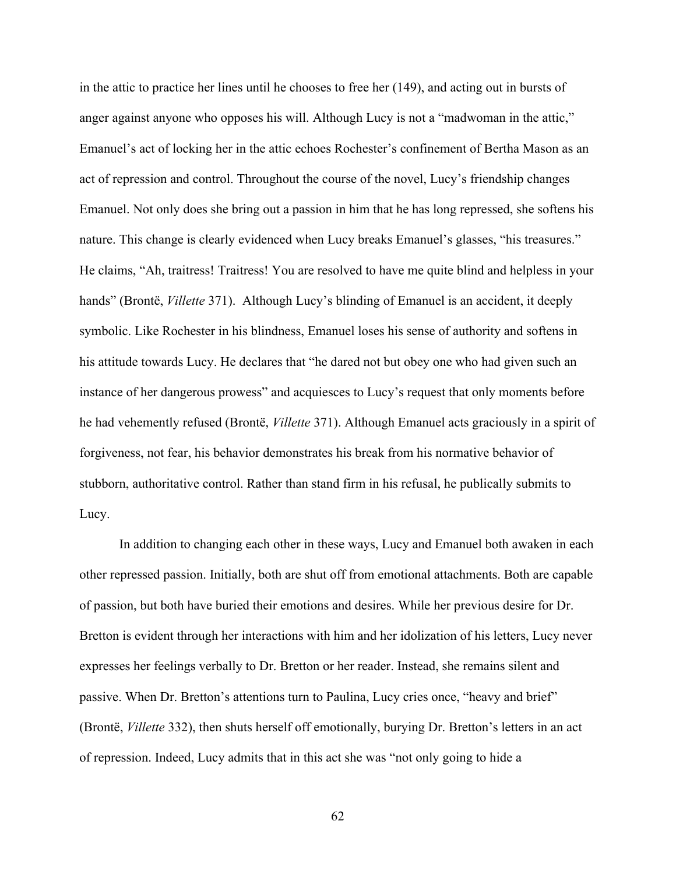in the attic to practice her lines until he chooses to free her (149), and acting out in bursts of anger against anyone who opposes his will. Although Lucy is not a "madwoman in the attic," Emanuel's act of locking her in the attic echoes Rochester's confinement of Bertha Mason as an act of repression and control. Throughout the course of the novel, Lucy's friendship changes Emanuel. Not only does she bring out a passion in him that he has long repressed, she softens his nature. This change is clearly evidenced when Lucy breaks Emanuel's glasses, "his treasures." He claims, "Ah, traitress! Traitress! You are resolved to have me quite blind and helpless in your hands" (Brontë, *Villette* 371). Although Lucy's blinding of Emanuel is an accident, it deeply symbolic. Like Rochester in his blindness, Emanuel loses his sense of authority and softens in his attitude towards Lucy. He declares that "he dared not but obey one who had given such an instance of her dangerous prowess" and acquiesces to Lucy's request that only moments before he had vehemently refused (Brontë, *Villette* 371). Although Emanuel acts graciously in a spirit of forgiveness, not fear, his behavior demonstrates his break from his normative behavior of stubborn, authoritative control. Rather than stand firm in his refusal, he publically submits to Lucy.

In addition to changing each other in these ways, Lucy and Emanuel both awaken in each other repressed passion. Initially, both are shut off from emotional attachments. Both are capable of passion, but both have buried their emotions and desires. While her previous desire for Dr. Bretton is evident through her interactions with him and her idolization of his letters, Lucy never expresses her feelings verbally to Dr. Bretton or her reader. Instead, she remains silent and passive. When Dr. Bretton's attentions turn to Paulina, Lucy cries once, "heavy and brief" (Brontë, *Villette* 332), then shuts herself off emotionally, burying Dr. Bretton's letters in an act of repression. Indeed, Lucy admits that in this act she was "not only going to hide a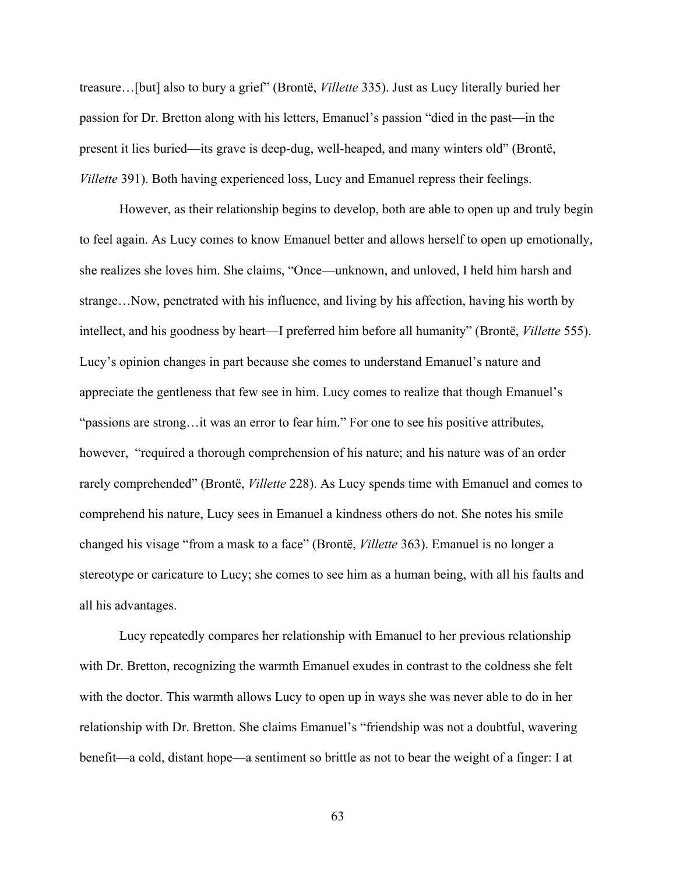treasure…[but] also to bury a grief" (Brontë, *Villette* 335). Just as Lucy literally buried her passion for Dr. Bretton along with his letters, Emanuel's passion "died in the past—in the present it lies buried—its grave is deep-dug, well-heaped, and many winters old" (Brontë, *Villette* 391). Both having experienced loss, Lucy and Emanuel repress their feelings.

However, as their relationship begins to develop, both are able to open up and truly begin to feel again. As Lucy comes to know Emanuel better and allows herself to open up emotionally, she realizes she loves him. She claims, "Once—unknown, and unloved, I held him harsh and strange…Now, penetrated with his influence, and living by his affection, having his worth by intellect, and his goodness by heart—I preferred him before all humanity" (Brontë, *Villette* 555). Lucy's opinion changes in part because she comes to understand Emanuel's nature and appreciate the gentleness that few see in him. Lucy comes to realize that though Emanuel's "passions are strong…it was an error to fear him." For one to see his positive attributes, however, "required a thorough comprehension of his nature; and his nature was of an order rarely comprehended" (Brontë, *Villette* 228). As Lucy spends time with Emanuel and comes to comprehend his nature, Lucy sees in Emanuel a kindness others do not. She notes his smile changed his visage "from a mask to a face" (Brontë, *Villette* 363). Emanuel is no longer a stereotype or caricature to Lucy; she comes to see him as a human being, with all his faults and all his advantages.

Lucy repeatedly compares her relationship with Emanuel to her previous relationship with Dr. Bretton, recognizing the warmth Emanuel exudes in contrast to the coldness she felt with the doctor. This warmth allows Lucy to open up in ways she was never able to do in her relationship with Dr. Bretton. She claims Emanuel's "friendship was not a doubtful, wavering benefit—a cold, distant hope—a sentiment so brittle as not to bear the weight of a finger: I at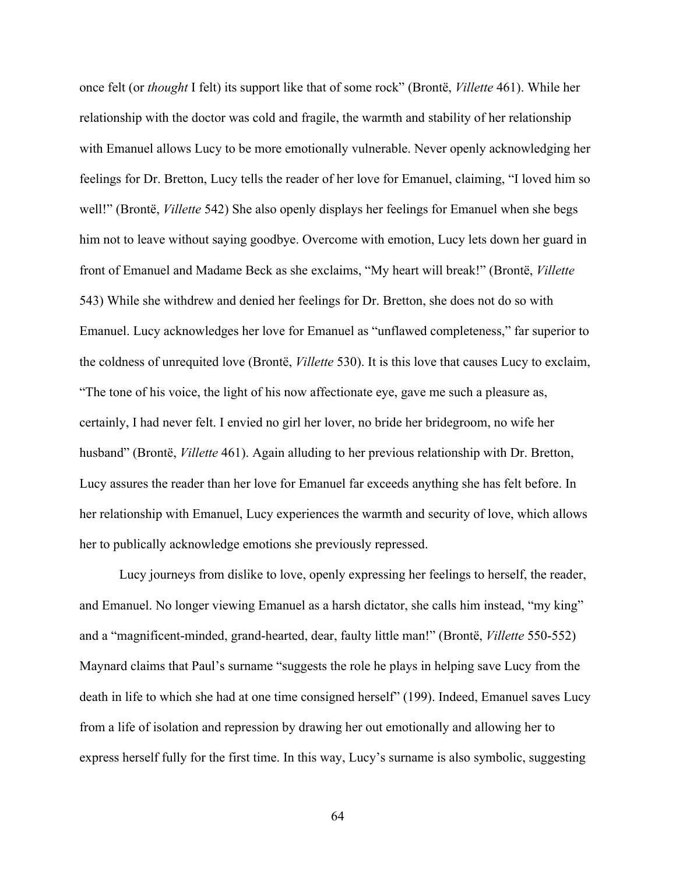once felt (or *thought* I felt) its support like that of some rock" (Brontë, *Villette* 461). While her relationship with the doctor was cold and fragile, the warmth and stability of her relationship with Emanuel allows Lucy to be more emotionally vulnerable. Never openly acknowledging her feelings for Dr. Bretton, Lucy tells the reader of her love for Emanuel, claiming, "I loved him so well!" (Brontë, *Villette* 542) She also openly displays her feelings for Emanuel when she begs him not to leave without saying goodbye. Overcome with emotion, Lucy lets down her guard in front of Emanuel and Madame Beck as she exclaims, "My heart will break!" (Brontë, *Villette* 543) While she withdrew and denied her feelings for Dr. Bretton, she does not do so with Emanuel. Lucy acknowledges her love for Emanuel as "unflawed completeness," far superior to the coldness of unrequited love (Brontë, *Villette* 530). It is this love that causes Lucy to exclaim, "The tone of his voice, the light of his now affectionate eye, gave me such a pleasure as, certainly, I had never felt. I envied no girl her lover, no bride her bridegroom, no wife her husband" (Brontë, *Villette* 461). Again alluding to her previous relationship with Dr. Bretton, Lucy assures the reader than her love for Emanuel far exceeds anything she has felt before. In her relationship with Emanuel, Lucy experiences the warmth and security of love, which allows her to publically acknowledge emotions she previously repressed.

Lucy journeys from dislike to love, openly expressing her feelings to herself, the reader, and Emanuel. No longer viewing Emanuel as a harsh dictator, she calls him instead, "my king" and a "magnificent-minded, grand-hearted, dear, faulty little man!" (Brontë, *Villette* 550-552) Maynard claims that Paul's surname "suggests the role he plays in helping save Lucy from the death in life to which she had at one time consigned herself" (199). Indeed, Emanuel saves Lucy from a life of isolation and repression by drawing her out emotionally and allowing her to express herself fully for the first time. In this way, Lucy's surname is also symbolic, suggesting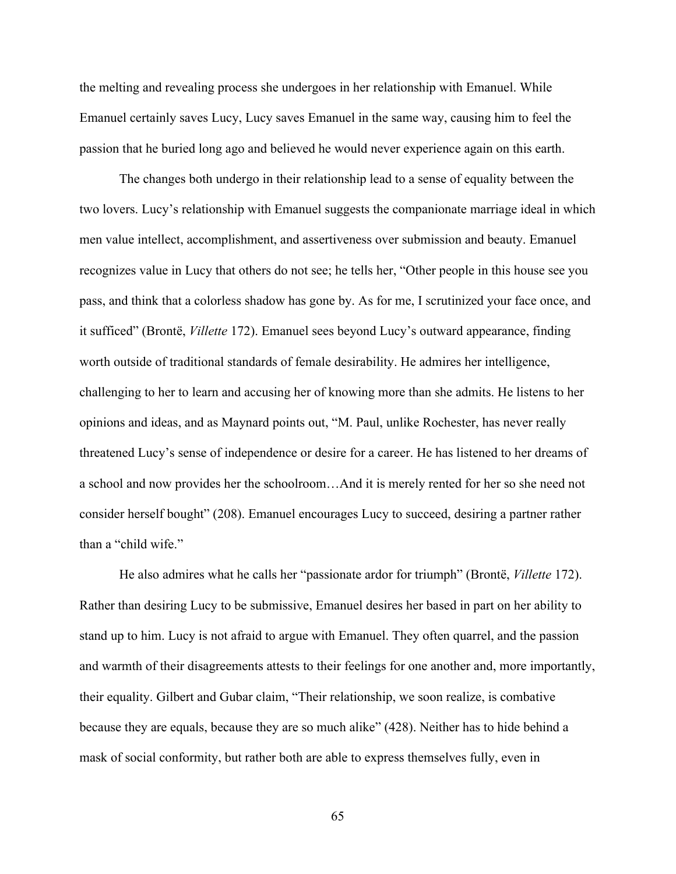the melting and revealing process she undergoes in her relationship with Emanuel. While Emanuel certainly saves Lucy, Lucy saves Emanuel in the same way, causing him to feel the passion that he buried long ago and believed he would never experience again on this earth.

The changes both undergo in their relationship lead to a sense of equality between the two lovers. Lucy's relationship with Emanuel suggests the companionate marriage ideal in which men value intellect, accomplishment, and assertiveness over submission and beauty. Emanuel recognizes value in Lucy that others do not see; he tells her, "Other people in this house see you pass, and think that a colorless shadow has gone by. As for me, I scrutinized your face once, and it sufficed" (Brontë, *Villette* 172). Emanuel sees beyond Lucy's outward appearance, finding worth outside of traditional standards of female desirability. He admires her intelligence, challenging to her to learn and accusing her of knowing more than she admits. He listens to her opinions and ideas, and as Maynard points out, "M. Paul, unlike Rochester, has never really threatened Lucy's sense of independence or desire for a career. He has listened to her dreams of a school and now provides her the schoolroom…And it is merely rented for her so she need not consider herself bought" (208). Emanuel encourages Lucy to succeed, desiring a partner rather than a "child wife."

He also admires what he calls her "passionate ardor for triumph" (Brontë, *Villette* 172). Rather than desiring Lucy to be submissive, Emanuel desires her based in part on her ability to stand up to him. Lucy is not afraid to argue with Emanuel. They often quarrel, and the passion and warmth of their disagreements attests to their feelings for one another and, more importantly, their equality. Gilbert and Gubar claim, "Their relationship, we soon realize, is combative because they are equals, because they are so much alike" (428). Neither has to hide behind a mask of social conformity, but rather both are able to express themselves fully, even in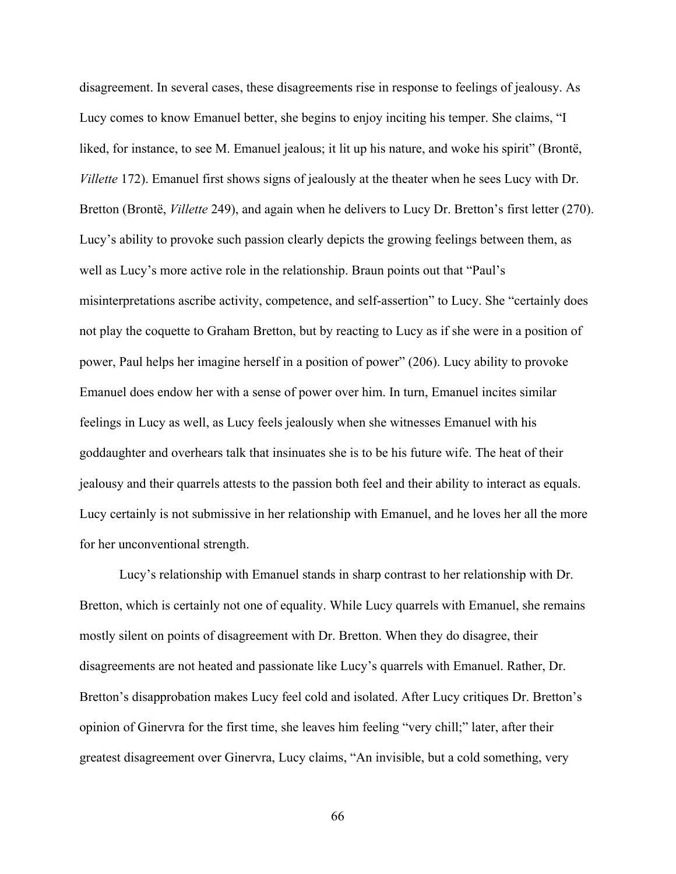disagreement. In several cases, these disagreements rise in response to feelings of jealousy. As Lucy comes to know Emanuel better, she begins to enjoy inciting his temper. She claims, "I liked, for instance, to see M. Emanuel jealous; it lit up his nature, and woke his spirit" (Brontë, *Villette* 172). Emanuel first shows signs of jealously at the theater when he sees Lucy with Dr. Bretton (Brontë, *Villette* 249), and again when he delivers to Lucy Dr. Bretton's first letter (270). Lucy's ability to provoke such passion clearly depicts the growing feelings between them, as well as Lucy's more active role in the relationship. Braun points out that "Paul's misinterpretations ascribe activity, competence, and self-assertion" to Lucy. She "certainly does not play the coquette to Graham Bretton, but by reacting to Lucy as if she were in a position of power, Paul helps her imagine herself in a position of power" (206). Lucy ability to provoke Emanuel does endow her with a sense of power over him. In turn, Emanuel incites similar feelings in Lucy as well, as Lucy feels jealously when she witnesses Emanuel with his goddaughter and overhears talk that insinuates she is to be his future wife. The heat of their jealousy and their quarrels attests to the passion both feel and their ability to interact as equals. Lucy certainly is not submissive in her relationship with Emanuel, and he loves her all the more for her unconventional strength.

Lucy's relationship with Emanuel stands in sharp contrast to her relationship with Dr. Bretton, which is certainly not one of equality. While Lucy quarrels with Emanuel, she remains mostly silent on points of disagreement with Dr. Bretton. When they do disagree, their disagreements are not heated and passionate like Lucy's quarrels with Emanuel. Rather, Dr. Bretton's disapprobation makes Lucy feel cold and isolated. After Lucy critiques Dr. Bretton's opinion of Ginervra for the first time, she leaves him feeling "very chill;" later, after their greatest disagreement over Ginervra, Lucy claims, "An invisible, but a cold something, very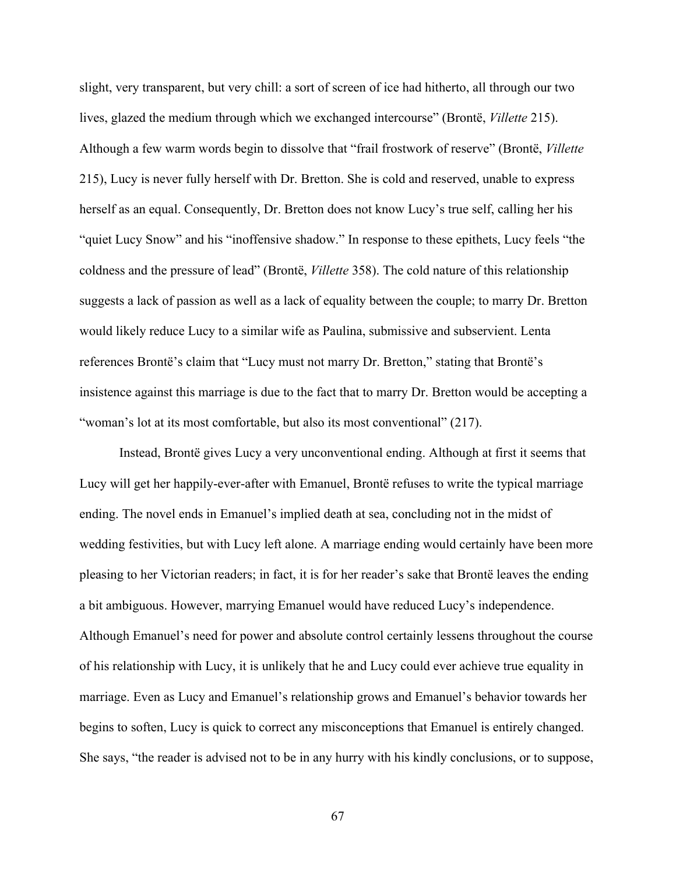slight, very transparent, but very chill: a sort of screen of ice had hitherto, all through our two lives, glazed the medium through which we exchanged intercourse" (Brontë, *Villette* 215). Although a few warm words begin to dissolve that "frail frostwork of reserve" (Brontë, *Villette* 215), Lucy is never fully herself with Dr. Bretton. She is cold and reserved, unable to express herself as an equal. Consequently, Dr. Bretton does not know Lucy's true self, calling her his "quiet Lucy Snow" and his "inoffensive shadow." In response to these epithets, Lucy feels "the coldness and the pressure of lead" (Brontë, *Villette* 358). The cold nature of this relationship suggests a lack of passion as well as a lack of equality between the couple; to marry Dr. Bretton would likely reduce Lucy to a similar wife as Paulina, submissive and subservient. Lenta references Brontë's claim that "Lucy must not marry Dr. Bretton," stating that Brontë's insistence against this marriage is due to the fact that to marry Dr. Bretton would be accepting a "woman's lot at its most comfortable, but also its most conventional" (217).

Instead, Brontë gives Lucy a very unconventional ending. Although at first it seems that Lucy will get her happily-ever-after with Emanuel, Brontë refuses to write the typical marriage ending. The novel ends in Emanuel's implied death at sea, concluding not in the midst of wedding festivities, but with Lucy left alone. A marriage ending would certainly have been more pleasing to her Victorian readers; in fact, it is for her reader's sake that Brontë leaves the ending a bit ambiguous. However, marrying Emanuel would have reduced Lucy's independence. Although Emanuel's need for power and absolute control certainly lessens throughout the course of his relationship with Lucy, it is unlikely that he and Lucy could ever achieve true equality in marriage. Even as Lucy and Emanuel's relationship grows and Emanuel's behavior towards her begins to soften, Lucy is quick to correct any misconceptions that Emanuel is entirely changed. She says, "the reader is advised not to be in any hurry with his kindly conclusions, or to suppose,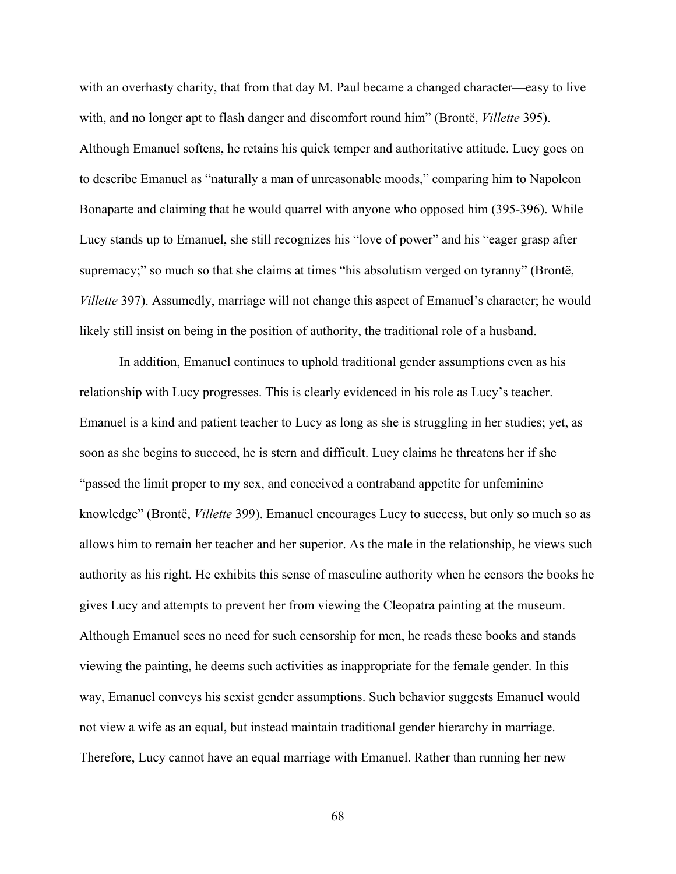with an overhasty charity, that from that day M. Paul became a changed character—easy to live with, and no longer apt to flash danger and discomfort round him" (Brontë, *Villette* 395). Although Emanuel softens, he retains his quick temper and authoritative attitude. Lucy goes on to describe Emanuel as "naturally a man of unreasonable moods," comparing him to Napoleon Bonaparte and claiming that he would quarrel with anyone who opposed him (395-396). While Lucy stands up to Emanuel, she still recognizes his "love of power" and his "eager grasp after supremacy;" so much so that she claims at times "his absolutism verged on tyranny" (Brontë, *Villette* 397). Assumedly, marriage will not change this aspect of Emanuel's character; he would likely still insist on being in the position of authority, the traditional role of a husband.

In addition, Emanuel continues to uphold traditional gender assumptions even as his relationship with Lucy progresses. This is clearly evidenced in his role as Lucy's teacher. Emanuel is a kind and patient teacher to Lucy as long as she is struggling in her studies; yet, as soon as she begins to succeed, he is stern and difficult. Lucy claims he threatens her if she "passed the limit proper to my sex, and conceived a contraband appetite for unfeminine knowledge" (Brontë, *Villette* 399). Emanuel encourages Lucy to success, but only so much so as allows him to remain her teacher and her superior. As the male in the relationship, he views such authority as his right. He exhibits this sense of masculine authority when he censors the books he gives Lucy and attempts to prevent her from viewing the Cleopatra painting at the museum. Although Emanuel sees no need for such censorship for men, he reads these books and stands viewing the painting, he deems such activities as inappropriate for the female gender. In this way, Emanuel conveys his sexist gender assumptions. Such behavior suggests Emanuel would not view a wife as an equal, but instead maintain traditional gender hierarchy in marriage. Therefore, Lucy cannot have an equal marriage with Emanuel. Rather than running her new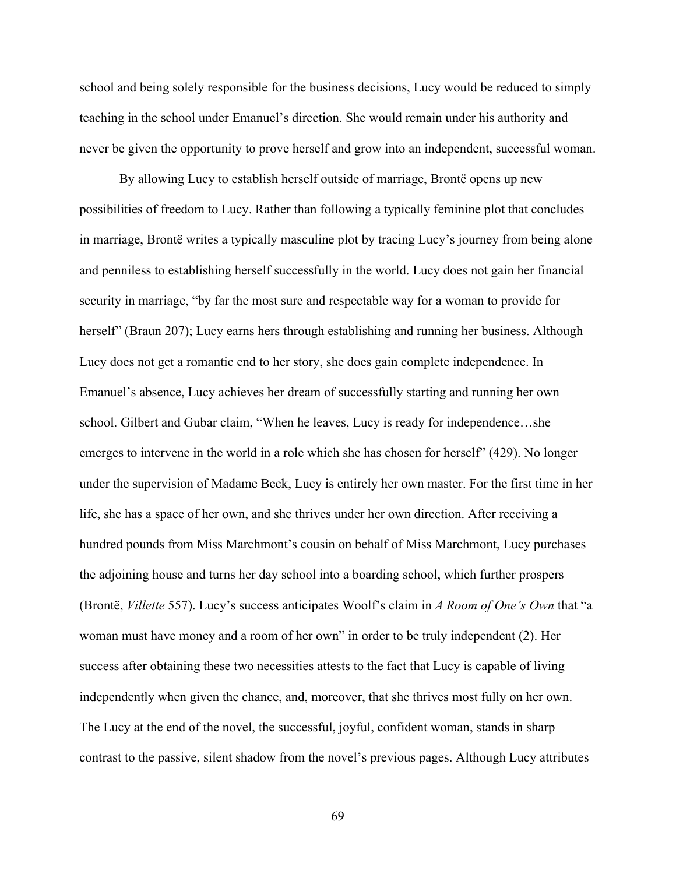school and being solely responsible for the business decisions, Lucy would be reduced to simply teaching in the school under Emanuel's direction. She would remain under his authority and never be given the opportunity to prove herself and grow into an independent, successful woman.

By allowing Lucy to establish herself outside of marriage, Brontë opens up new possibilities of freedom to Lucy. Rather than following a typically feminine plot that concludes in marriage, Brontë writes a typically masculine plot by tracing Lucy's journey from being alone and penniless to establishing herself successfully in the world. Lucy does not gain her financial security in marriage, "by far the most sure and respectable way for a woman to provide for herself" (Braun 207); Lucy earns hers through establishing and running her business. Although Lucy does not get a romantic end to her story, she does gain complete independence. In Emanuel's absence, Lucy achieves her dream of successfully starting and running her own school. Gilbert and Gubar claim, "When he leaves, Lucy is ready for independence…she emerges to intervene in the world in a role which she has chosen for herself" (429). No longer under the supervision of Madame Beck, Lucy is entirely her own master. For the first time in her life, she has a space of her own, and she thrives under her own direction. After receiving a hundred pounds from Miss Marchmont's cousin on behalf of Miss Marchmont, Lucy purchases the adjoining house and turns her day school into a boarding school, which further prospers (Brontë, *Villette* 557). Lucy's success anticipates Woolf's claim in *A Room of One's Own* that "a woman must have money and a room of her own" in order to be truly independent (2). Her success after obtaining these two necessities attests to the fact that Lucy is capable of living independently when given the chance, and, moreover, that she thrives most fully on her own. The Lucy at the end of the novel, the successful, joyful, confident woman, stands in sharp contrast to the passive, silent shadow from the novel's previous pages. Although Lucy attributes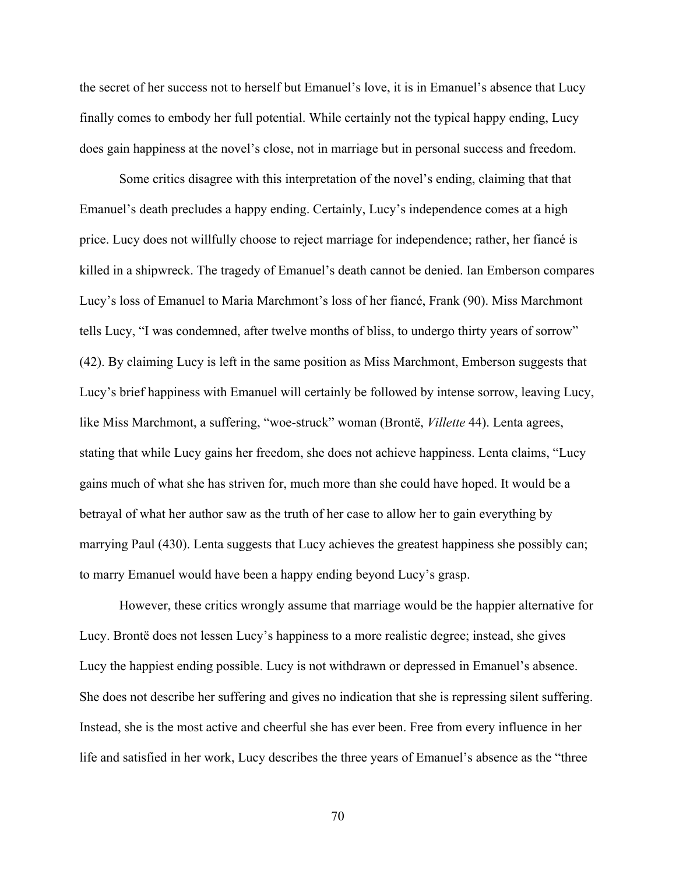the secret of her success not to herself but Emanuel's love, it is in Emanuel's absence that Lucy finally comes to embody her full potential. While certainly not the typical happy ending, Lucy does gain happiness at the novel's close, not in marriage but in personal success and freedom.

Some critics disagree with this interpretation of the novel's ending, claiming that that Emanuel's death precludes a happy ending. Certainly, Lucy's independence comes at a high price. Lucy does not willfully choose to reject marriage for independence; rather, her fiancé is killed in a shipwreck. The tragedy of Emanuel's death cannot be denied. Ian Emberson compares Lucy's loss of Emanuel to Maria Marchmont's loss of her fiancé, Frank (90). Miss Marchmont tells Lucy, "I was condemned, after twelve months of bliss, to undergo thirty years of sorrow" (42). By claiming Lucy is left in the same position as Miss Marchmont, Emberson suggests that Lucy's brief happiness with Emanuel will certainly be followed by intense sorrow, leaving Lucy, like Miss Marchmont, a suffering, "woe-struck" woman (Brontë, *Villette* 44). Lenta agrees, stating that while Lucy gains her freedom, she does not achieve happiness. Lenta claims, "Lucy gains much of what she has striven for, much more than she could have hoped. It would be a betrayal of what her author saw as the truth of her case to allow her to gain everything by marrying Paul (430). Lenta suggests that Lucy achieves the greatest happiness she possibly can; to marry Emanuel would have been a happy ending beyond Lucy's grasp.

However, these critics wrongly assume that marriage would be the happier alternative for Lucy. Brontë does not lessen Lucy's happiness to a more realistic degree; instead, she gives Lucy the happiest ending possible. Lucy is not withdrawn or depressed in Emanuel's absence. She does not describe her suffering and gives no indication that she is repressing silent suffering. Instead, she is the most active and cheerful she has ever been. Free from every influence in her life and satisfied in her work, Lucy describes the three years of Emanuel's absence as the "three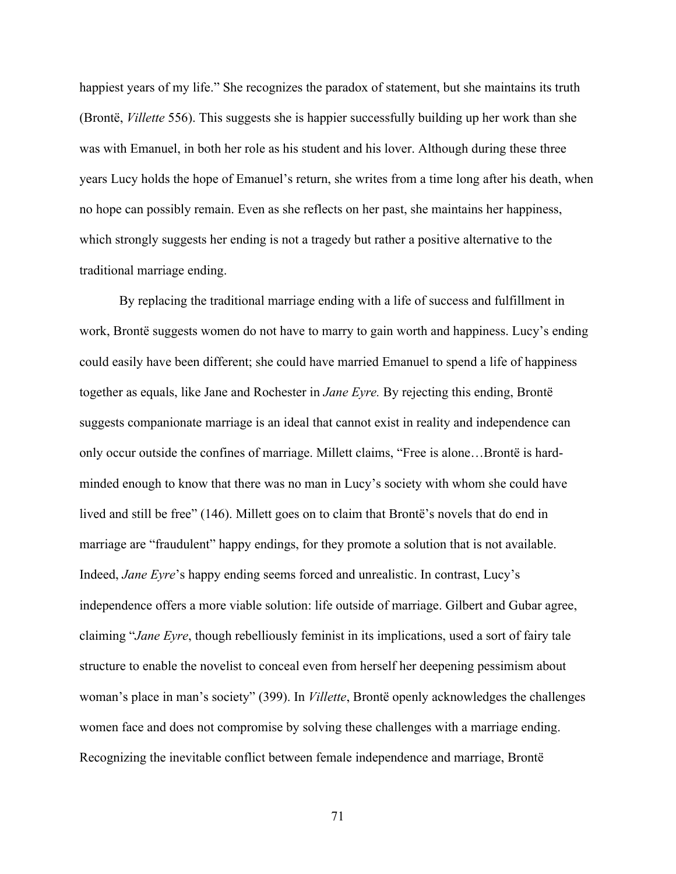happiest years of my life." She recognizes the paradox of statement, but she maintains its truth (Brontë, *Villette* 556). This suggests she is happier successfully building up her work than she was with Emanuel, in both her role as his student and his lover. Although during these three years Lucy holds the hope of Emanuel's return, she writes from a time long after his death, when no hope can possibly remain. Even as she reflects on her past, she maintains her happiness, which strongly suggests her ending is not a tragedy but rather a positive alternative to the traditional marriage ending.

By replacing the traditional marriage ending with a life of success and fulfillment in work, Brontë suggests women do not have to marry to gain worth and happiness. Lucy's ending could easily have been different; she could have married Emanuel to spend a life of happiness together as equals, like Jane and Rochester in *Jane Eyre.* By rejecting this ending, Brontë suggests companionate marriage is an ideal that cannot exist in reality and independence can only occur outside the confines of marriage. Millett claims, "Free is alone…Brontë is hardminded enough to know that there was no man in Lucy's society with whom she could have lived and still be free" (146). Millett goes on to claim that Brontë's novels that do end in marriage are "fraudulent" happy endings, for they promote a solution that is not available. Indeed, *Jane Eyre*'s happy ending seems forced and unrealistic. In contrast, Lucy's independence offers a more viable solution: life outside of marriage. Gilbert and Gubar agree, claiming "*Jane Eyre*, though rebelliously feminist in its implications, used a sort of fairy tale structure to enable the novelist to conceal even from herself her deepening pessimism about woman's place in man's society" (399). In *Villette*, Brontë openly acknowledges the challenges women face and does not compromise by solving these challenges with a marriage ending. Recognizing the inevitable conflict between female independence and marriage, Brontë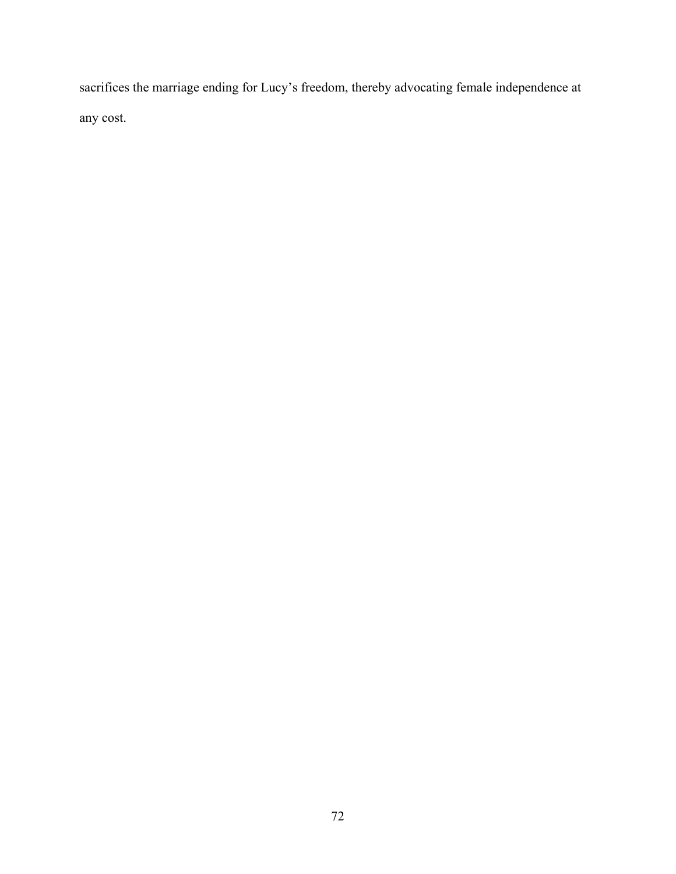sacrifices the marriage ending for Lucy's freedom, thereby advocating female independence at any cost.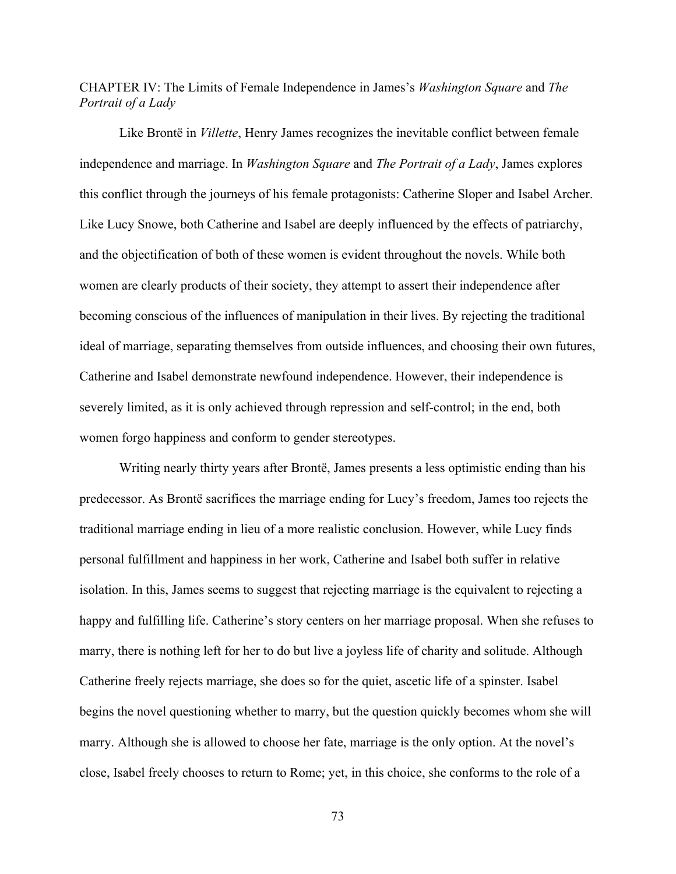CHAPTER IV: The Limits of Female Independence in James's *Washington Square* and *The Portrait of a Lady*

Like Brontë in *Villette*, Henry James recognizes the inevitable conflict between female independence and marriage. In *Washington Square* and *The Portrait of a Lady*, James explores this conflict through the journeys of his female protagonists: Catherine Sloper and Isabel Archer. Like Lucy Snowe, both Catherine and Isabel are deeply influenced by the effects of patriarchy, and the objectification of both of these women is evident throughout the novels. While both women are clearly products of their society, they attempt to assert their independence after becoming conscious of the influences of manipulation in their lives. By rejecting the traditional ideal of marriage, separating themselves from outside influences, and choosing their own futures, Catherine and Isabel demonstrate newfound independence. However, their independence is severely limited, as it is only achieved through repression and self-control; in the end, both women forgo happiness and conform to gender stereotypes.

Writing nearly thirty years after Brontë, James presents a less optimistic ending than his predecessor. As Brontë sacrifices the marriage ending for Lucy's freedom, James too rejects the traditional marriage ending in lieu of a more realistic conclusion. However, while Lucy finds personal fulfillment and happiness in her work, Catherine and Isabel both suffer in relative isolation. In this, James seems to suggest that rejecting marriage is the equivalent to rejecting a happy and fulfilling life. Catherine's story centers on her marriage proposal. When she refuses to marry, there is nothing left for her to do but live a joyless life of charity and solitude. Although Catherine freely rejects marriage, she does so for the quiet, ascetic life of a spinster. Isabel begins the novel questioning whether to marry, but the question quickly becomes whom she will marry. Although she is allowed to choose her fate, marriage is the only option. At the novel's close, Isabel freely chooses to return to Rome; yet, in this choice, she conforms to the role of a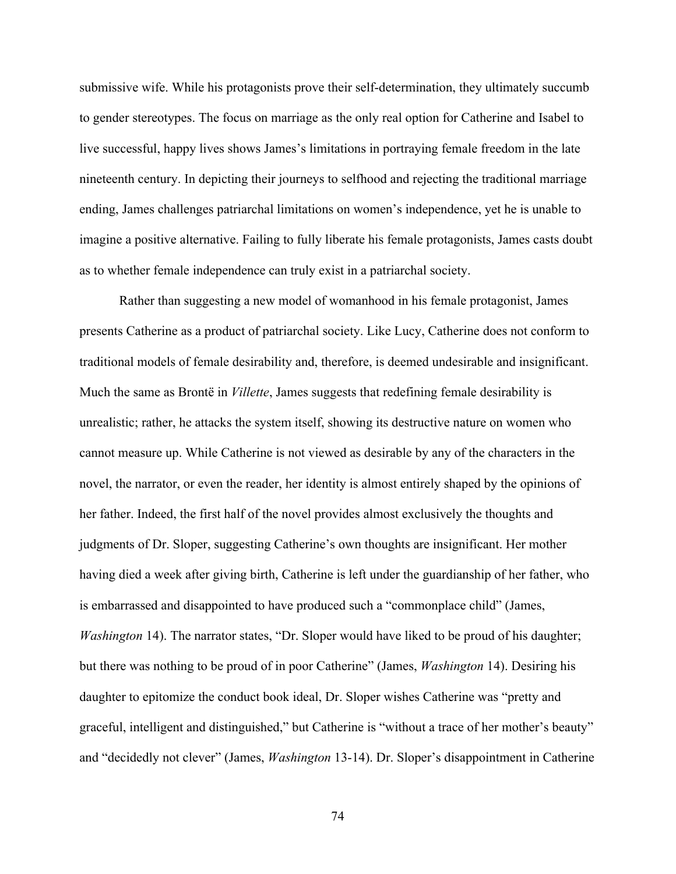submissive wife. While his protagonists prove their self-determination, they ultimately succumb to gender stereotypes. The focus on marriage as the only real option for Catherine and Isabel to live successful, happy lives shows James's limitations in portraying female freedom in the late nineteenth century. In depicting their journeys to selfhood and rejecting the traditional marriage ending, James challenges patriarchal limitations on women's independence, yet he is unable to imagine a positive alternative. Failing to fully liberate his female protagonists, James casts doubt as to whether female independence can truly exist in a patriarchal society.

Rather than suggesting a new model of womanhood in his female protagonist, James presents Catherine as a product of patriarchal society. Like Lucy, Catherine does not conform to traditional models of female desirability and, therefore, is deemed undesirable and insignificant. Much the same as Brontë in *Villette*, James suggests that redefining female desirability is unrealistic; rather, he attacks the system itself, showing its destructive nature on women who cannot measure up. While Catherine is not viewed as desirable by any of the characters in the novel, the narrator, or even the reader, her identity is almost entirely shaped by the opinions of her father. Indeed, the first half of the novel provides almost exclusively the thoughts and judgments of Dr. Sloper, suggesting Catherine's own thoughts are insignificant. Her mother having died a week after giving birth, Catherine is left under the guardianship of her father, who is embarrassed and disappointed to have produced such a "commonplace child" (James, *Washington* 14). The narrator states, "Dr. Sloper would have liked to be proud of his daughter; but there was nothing to be proud of in poor Catherine" (James, *Washington* 14). Desiring his daughter to epitomize the conduct book ideal, Dr. Sloper wishes Catherine was "pretty and graceful, intelligent and distinguished," but Catherine is "without a trace of her mother's beauty" and "decidedly not clever" (James, *Washington* 13-14). Dr. Sloper's disappointment in Catherine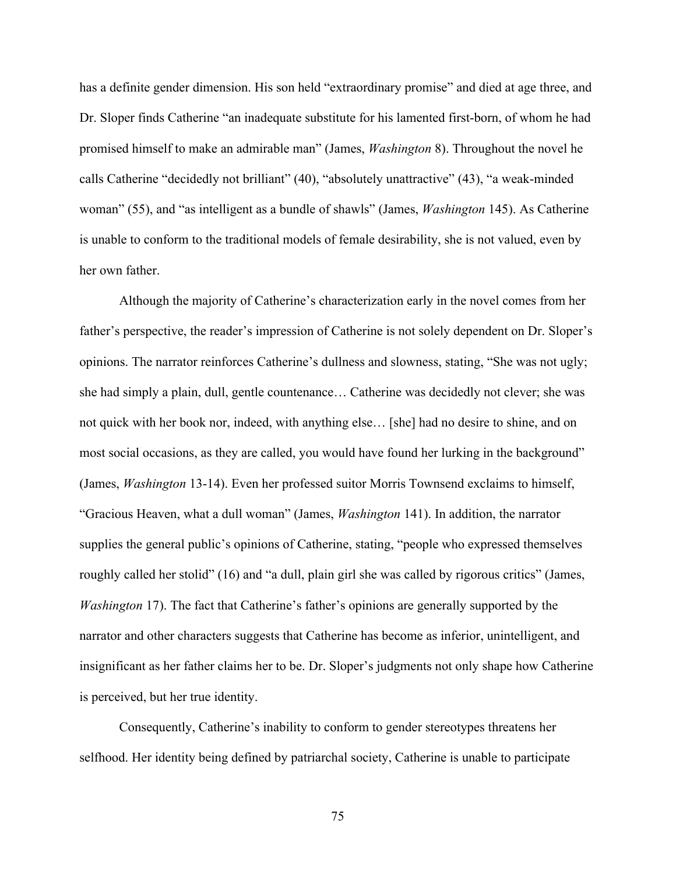has a definite gender dimension. His son held "extraordinary promise" and died at age three, and Dr. Sloper finds Catherine "an inadequate substitute for his lamented first-born, of whom he had promised himself to make an admirable man" (James, *Washington* 8). Throughout the novel he calls Catherine "decidedly not brilliant" (40), "absolutely unattractive" (43), "a weak-minded woman" (55), and "as intelligent as a bundle of shawls" (James, *Washington* 145). As Catherine is unable to conform to the traditional models of female desirability, she is not valued, even by her own father.

Although the majority of Catherine's characterization early in the novel comes from her father's perspective, the reader's impression of Catherine is not solely dependent on Dr. Sloper's opinions. The narrator reinforces Catherine's dullness and slowness, stating, "She was not ugly; she had simply a plain, dull, gentle countenance… Catherine was decidedly not clever; she was not quick with her book nor, indeed, with anything else… [she] had no desire to shine, and on most social occasions, as they are called, you would have found her lurking in the background" (James, *Washington* 13-14). Even her professed suitor Morris Townsend exclaims to himself, "Gracious Heaven, what a dull woman" (James, *Washington* 141). In addition, the narrator supplies the general public's opinions of Catherine, stating, "people who expressed themselves roughly called her stolid" (16) and "a dull, plain girl she was called by rigorous critics" (James, *Washington* 17). The fact that Catherine's father's opinions are generally supported by the narrator and other characters suggests that Catherine has become as inferior, unintelligent, and insignificant as her father claims her to be. Dr. Sloper's judgments not only shape how Catherine is perceived, but her true identity.

Consequently, Catherine's inability to conform to gender stereotypes threatens her selfhood. Her identity being defined by patriarchal society, Catherine is unable to participate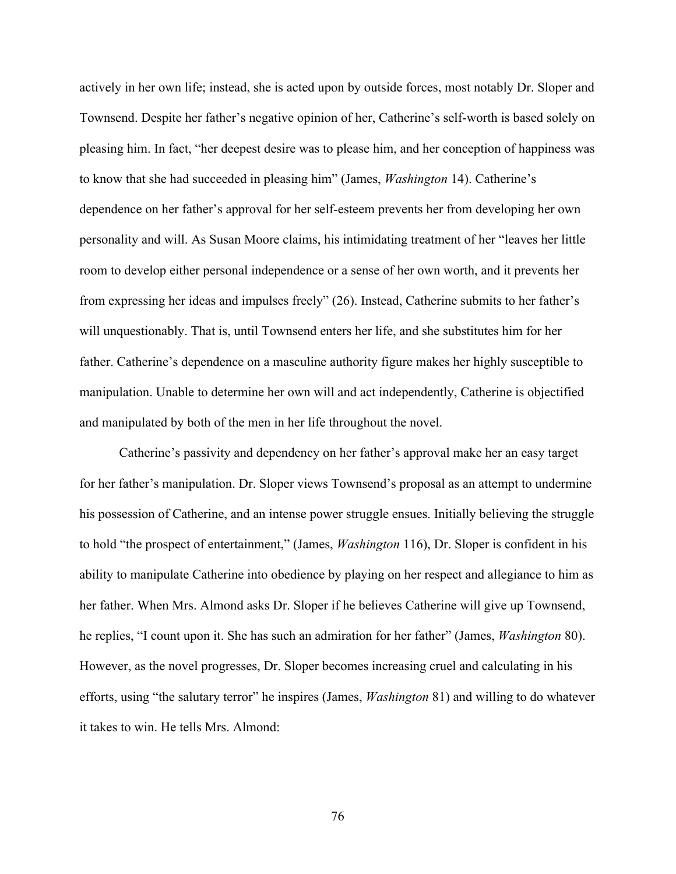actively in her own life; instead, she is acted upon by outside forces, most notably Dr. Sloper and Townsend. Despite her father's negative opinion of her, Catherine's self-worth is based solely on pleasing him. In fact, "her deepest desire was to please him, and her conception of happiness was to know that she had succeeded in pleasing him" (James, *Washington* 14). Catherine's dependence on her father's approval for her self-esteem prevents her from developing her own personality and will. As Susan Moore claims, his intimidating treatment of her "leaves her little room to develop either personal independence or a sense of her own worth, and it prevents her from expressing her ideas and impulses freely" (26). Instead, Catherine submits to her father's will unquestionably. That is, until Townsend enters her life, and she substitutes him for her father. Catherine's dependence on a masculine authority figure makes her highly susceptible to manipulation. Unable to determine her own will and act independently, Catherine is objectified and manipulated by both of the men in her life throughout the novel.

Catherine's passivity and dependency on her father's approval make her an easy target for her father's manipulation. Dr. Sloper views Townsend's proposal as an attempt to undermine his possession of Catherine, and an intense power struggle ensues. Initially believing the struggle to hold "the prospect of entertainment," (James, *Washington* 116), Dr. Sloper is confident in his ability to manipulate Catherine into obedience by playing on her respect and allegiance to him as her father. When Mrs. Almond asks Dr. Sloper if he believes Catherine will give up Townsend, he replies, "I count upon it. She has such an admiration for her father" (James, *Washington* 80). However, as the novel progresses, Dr. Sloper becomes increasing cruel and calculating in his efforts, using "the salutary terror" he inspires (James, *Washington* 81) and willing to do whatever it takes to win. He tells Mrs. Almond: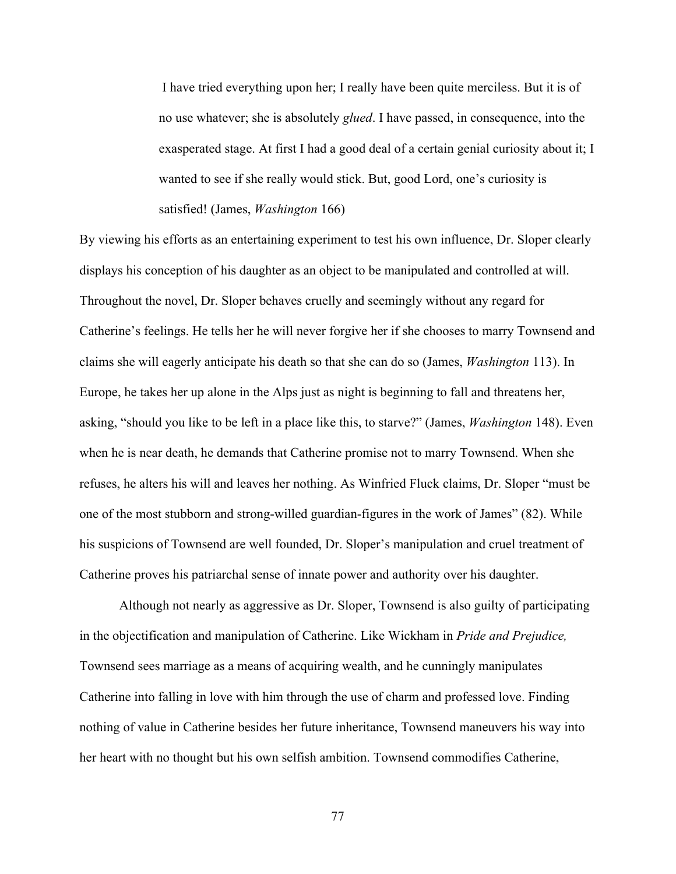I have tried everything upon her; I really have been quite merciless. But it is of no use whatever; she is absolutely *glued*. I have passed, in consequence, into the exasperated stage. At first I had a good deal of a certain genial curiosity about it; I wanted to see if she really would stick. But, good Lord, one's curiosity is satisfied! (James, *Washington* 166)

By viewing his efforts as an entertaining experiment to test his own influence, Dr. Sloper clearly displays his conception of his daughter as an object to be manipulated and controlled at will. Throughout the novel, Dr. Sloper behaves cruelly and seemingly without any regard for Catherine's feelings. He tells her he will never forgive her if she chooses to marry Townsend and claims she will eagerly anticipate his death so that she can do so (James, *Washington* 113). In Europe, he takes her up alone in the Alps just as night is beginning to fall and threatens her, asking, "should you like to be left in a place like this, to starve?" (James, *Washington* 148). Even when he is near death, he demands that Catherine promise not to marry Townsend. When she refuses, he alters his will and leaves her nothing. As Winfried Fluck claims, Dr. Sloper "must be one of the most stubborn and strong-willed guardian-figures in the work of James" (82). While his suspicions of Townsend are well founded, Dr. Sloper's manipulation and cruel treatment of Catherine proves his patriarchal sense of innate power and authority over his daughter.

Although not nearly as aggressive as Dr. Sloper, Townsend is also guilty of participating in the objectification and manipulation of Catherine. Like Wickham in *Pride and Prejudice,* Townsend sees marriage as a means of acquiring wealth, and he cunningly manipulates Catherine into falling in love with him through the use of charm and professed love. Finding nothing of value in Catherine besides her future inheritance, Townsend maneuvers his way into her heart with no thought but his own selfish ambition. Townsend commodifies Catherine,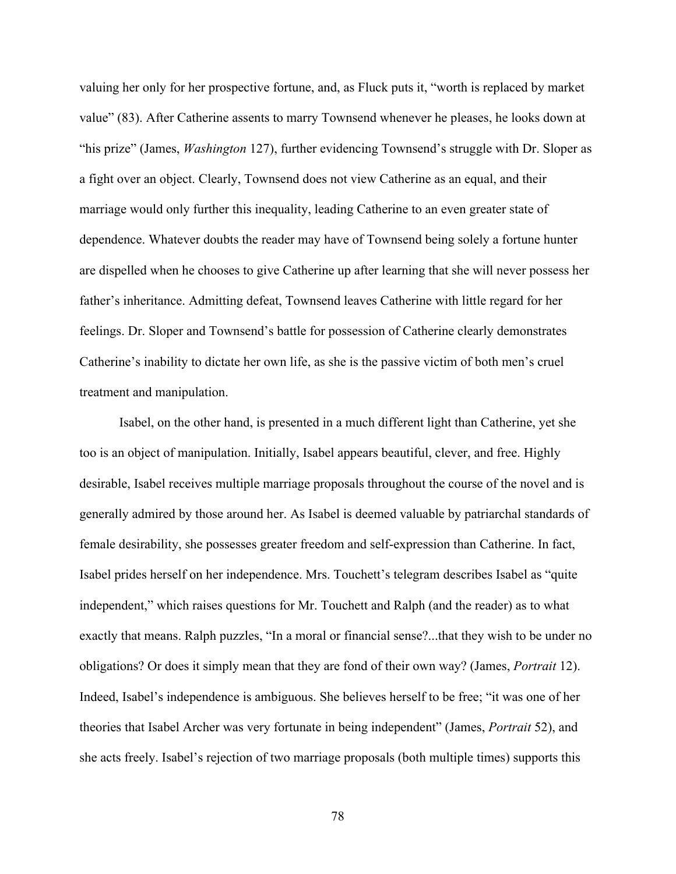valuing her only for her prospective fortune, and, as Fluck puts it, "worth is replaced by market value" (83). After Catherine assents to marry Townsend whenever he pleases, he looks down at "his prize" (James, *Washington* 127), further evidencing Townsend's struggle with Dr. Sloper as a fight over an object. Clearly, Townsend does not view Catherine as an equal, and their marriage would only further this inequality, leading Catherine to an even greater state of dependence. Whatever doubts the reader may have of Townsend being solely a fortune hunter are dispelled when he chooses to give Catherine up after learning that she will never possess her father's inheritance. Admitting defeat, Townsend leaves Catherine with little regard for her feelings. Dr. Sloper and Townsend's battle for possession of Catherine clearly demonstrates Catherine's inability to dictate her own life, as she is the passive victim of both men's cruel treatment and manipulation.

Isabel, on the other hand, is presented in a much different light than Catherine, yet she too is an object of manipulation. Initially, Isabel appears beautiful, clever, and free. Highly desirable, Isabel receives multiple marriage proposals throughout the course of the novel and is generally admired by those around her. As Isabel is deemed valuable by patriarchal standards of female desirability, she possesses greater freedom and self-expression than Catherine. In fact, Isabel prides herself on her independence. Mrs. Touchett's telegram describes Isabel as "quite independent," which raises questions for Mr. Touchett and Ralph (and the reader) as to what exactly that means. Ralph puzzles, "In a moral or financial sense?...that they wish to be under no obligations? Or does it simply mean that they are fond of their own way? (James, *Portrait* 12). Indeed, Isabel's independence is ambiguous. She believes herself to be free; "it was one of her theories that Isabel Archer was very fortunate in being independent" (James, *Portrait* 52), and she acts freely. Isabel's rejection of two marriage proposals (both multiple times) supports this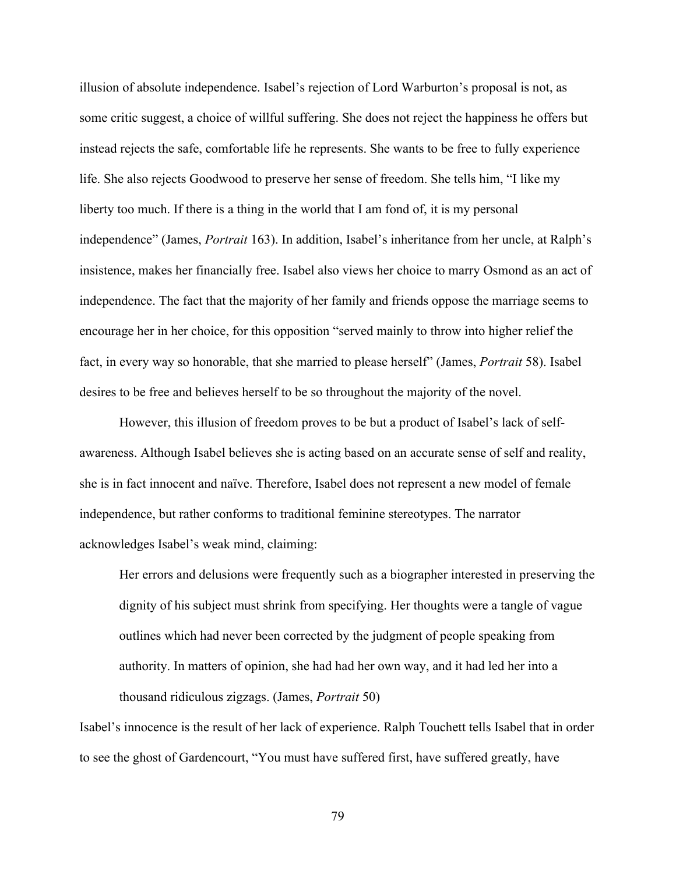illusion of absolute independence. Isabel's rejection of Lord Warburton's proposal is not, as some critic suggest, a choice of willful suffering. She does not reject the happiness he offers but instead rejects the safe, comfortable life he represents. She wants to be free to fully experience life. She also rejects Goodwood to preserve her sense of freedom. She tells him, "I like my liberty too much. If there is a thing in the world that I am fond of, it is my personal independence" (James, *Portrait* 163). In addition, Isabel's inheritance from her uncle, at Ralph's insistence, makes her financially free. Isabel also views her choice to marry Osmond as an act of independence. The fact that the majority of her family and friends oppose the marriage seems to encourage her in her choice, for this opposition "served mainly to throw into higher relief the fact, in every way so honorable, that she married to please herself" (James, *Portrait* 58). Isabel desires to be free and believes herself to be so throughout the majority of the novel.

However, this illusion of freedom proves to be but a product of Isabel's lack of selfawareness. Although Isabel believes she is acting based on an accurate sense of self and reality, she is in fact innocent and naïve. Therefore, Isabel does not represent a new model of female independence, but rather conforms to traditional feminine stereotypes. The narrator acknowledges Isabel's weak mind, claiming:

Her errors and delusions were frequently such as a biographer interested in preserving the dignity of his subject must shrink from specifying. Her thoughts were a tangle of vague outlines which had never been corrected by the judgment of people speaking from authority. In matters of opinion, she had had her own way, and it had led her into a thousand ridiculous zigzags. (James, *Portrait* 50)

Isabel's innocence is the result of her lack of experience. Ralph Touchett tells Isabel that in order to see the ghost of Gardencourt, "You must have suffered first, have suffered greatly, have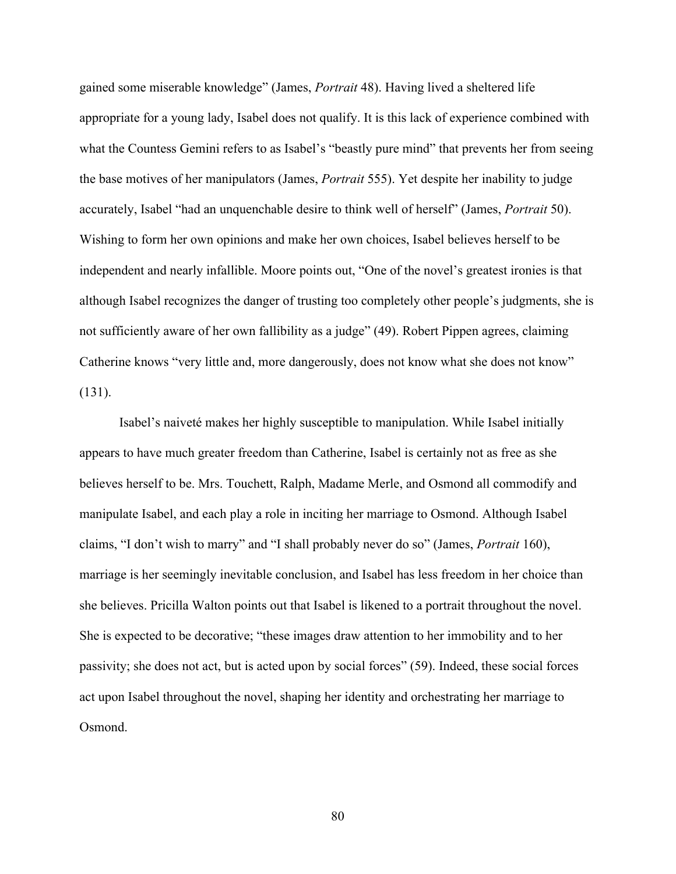gained some miserable knowledge" (James, *Portrait* 48). Having lived a sheltered life appropriate for a young lady, Isabel does not qualify. It is this lack of experience combined with what the Countess Gemini refers to as Isabel's "beastly pure mind" that prevents her from seeing the base motives of her manipulators (James, *Portrait* 555). Yet despite her inability to judge accurately, Isabel "had an unquenchable desire to think well of herself" (James, *Portrait* 50). Wishing to form her own opinions and make her own choices, Isabel believes herself to be independent and nearly infallible. Moore points out, "One of the novel's greatest ironies is that although Isabel recognizes the danger of trusting too completely other people's judgments, she is not sufficiently aware of her own fallibility as a judge" (49). Robert Pippen agrees, claiming Catherine knows "very little and, more dangerously, does not know what she does not know" (131).

Isabel's naiveté makes her highly susceptible to manipulation. While Isabel initially appears to have much greater freedom than Catherine, Isabel is certainly not as free as she believes herself to be. Mrs. Touchett, Ralph, Madame Merle, and Osmond all commodify and manipulate Isabel, and each play a role in inciting her marriage to Osmond. Although Isabel claims, "I don't wish to marry" and "I shall probably never do so" (James, *Portrait* 160), marriage is her seemingly inevitable conclusion, and Isabel has less freedom in her choice than she believes. Pricilla Walton points out that Isabel is likened to a portrait throughout the novel. She is expected to be decorative; "these images draw attention to her immobility and to her passivity; she does not act, but is acted upon by social forces" (59). Indeed, these social forces act upon Isabel throughout the novel, shaping her identity and orchestrating her marriage to Osmond.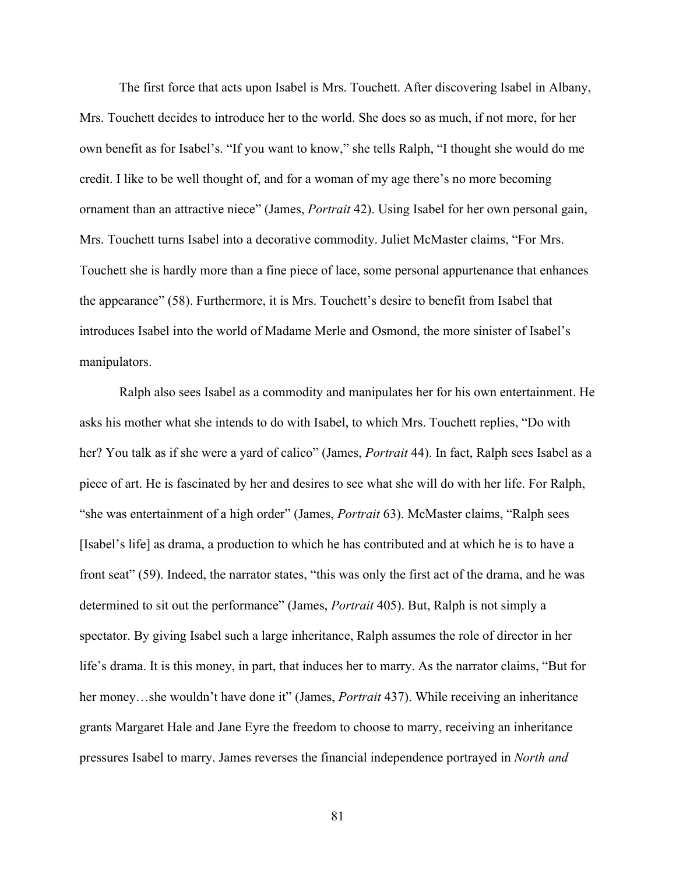The first force that acts upon Isabel is Mrs. Touchett. After discovering Isabel in Albany, Mrs. Touchett decides to introduce her to the world. She does so as much, if not more, for her own benefit as for Isabel's. "If you want to know," she tells Ralph, "I thought she would do me credit. I like to be well thought of, and for a woman of my age there's no more becoming ornament than an attractive niece" (James, *Portrait* 42). Using Isabel for her own personal gain, Mrs. Touchett turns Isabel into a decorative commodity. Juliet McMaster claims, "For Mrs. Touchett she is hardly more than a fine piece of lace, some personal appurtenance that enhances the appearance" (58). Furthermore, it is Mrs. Touchett's desire to benefit from Isabel that introduces Isabel into the world of Madame Merle and Osmond, the more sinister of Isabel's manipulators.

Ralph also sees Isabel as a commodity and manipulates her for his own entertainment. He asks his mother what she intends to do with Isabel, to which Mrs. Touchett replies, "Do with her? You talk as if she were a yard of calico" (James, *Portrait* 44). In fact, Ralph sees Isabel as a piece of art. He is fascinated by her and desires to see what she will do with her life. For Ralph, "she was entertainment of a high order" (James, *Portrait* 63). McMaster claims, "Ralph sees [Isabel's life] as drama, a production to which he has contributed and at which he is to have a front seat" (59). Indeed, the narrator states, "this was only the first act of the drama, and he was determined to sit out the performance" (James, *Portrait* 405). But, Ralph is not simply a spectator. By giving Isabel such a large inheritance, Ralph assumes the role of director in her life's drama. It is this money, in part, that induces her to marry. As the narrator claims, "But for her money…she wouldn't have done it" (James, *Portrait* 437). While receiving an inheritance grants Margaret Hale and Jane Eyre the freedom to choose to marry, receiving an inheritance pressures Isabel to marry. James reverses the financial independence portrayed in *North and*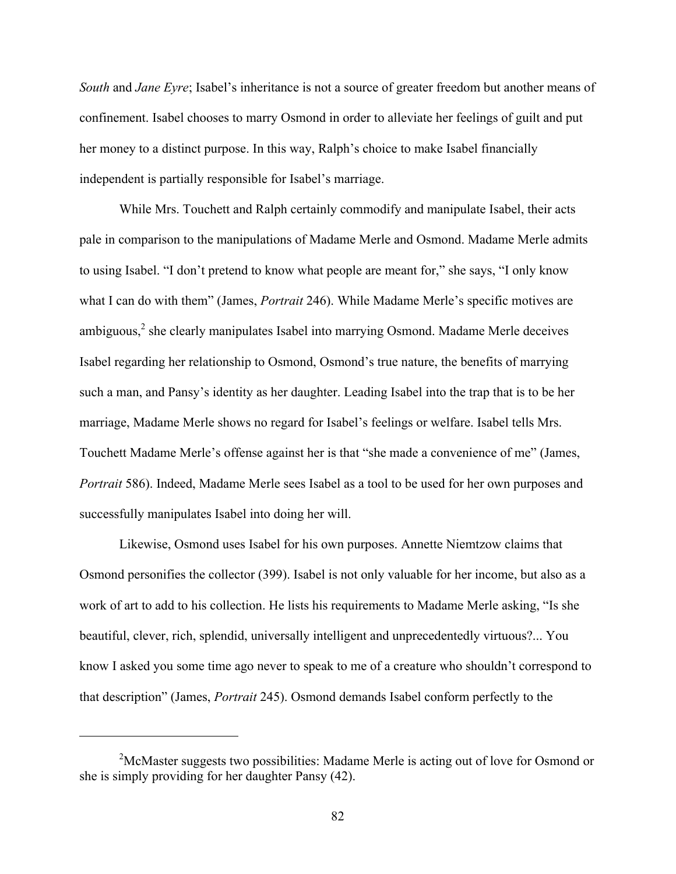*South* and *Jane Eyre*; Isabel's inheritance is not a source of greater freedom but another means of confinement. Isabel chooses to marry Osmond in order to alleviate her feelings of guilt and put her money to a distinct purpose. In this way, Ralph's choice to make Isabel financially independent is partially responsible for Isabel's marriage.

While Mrs. Touchett and Ralph certainly commodify and manipulate Isabel, their acts pale in comparison to the manipulations of Madame Merle and Osmond. Madame Merle admits to using Isabel. "I don't pretend to know what people are meant for," she says, "I only know what I can do with them" (James, *Portrait* 246). While Madame Merle's specific motives are ambiguous,<sup>2</sup> she clearly manipulates Isabel into marrying Osmond. Madame Merle deceives Isabel regarding her relationship to Osmond, Osmond's true nature, the benefits of marrying such a man, and Pansy's identity as her daughter. Leading Isabel into the trap that is to be her marriage, Madame Merle shows no regard for Isabel's feelings or welfare. Isabel tells Mrs. Touchett Madame Merle's offense against her is that "she made a convenience of me" (James, *Portrait* 586). Indeed, Madame Merle sees Isabel as a tool to be used for her own purposes and successfully manipulates Isabel into doing her will.

Likewise, Osmond uses Isabel for his own purposes. Annette Niemtzow claims that Osmond personifies the collector (399). Isabel is not only valuable for her income, but also as a work of art to add to his collection. He lists his requirements to Madame Merle asking, "Is she beautiful, clever, rich, splendid, universally intelligent and unprecedentedly virtuous?... You know I asked you some time ago never to speak to me of a creature who shouldn't correspond to that description" (James, *Portrait* 245). Osmond demands Isabel conform perfectly to the

 $\overline{a}$ 

 $2^2$ McMaster suggests two possibilities: Madame Merle is acting out of love for Osmond or she is simply providing for her daughter Pansy (42).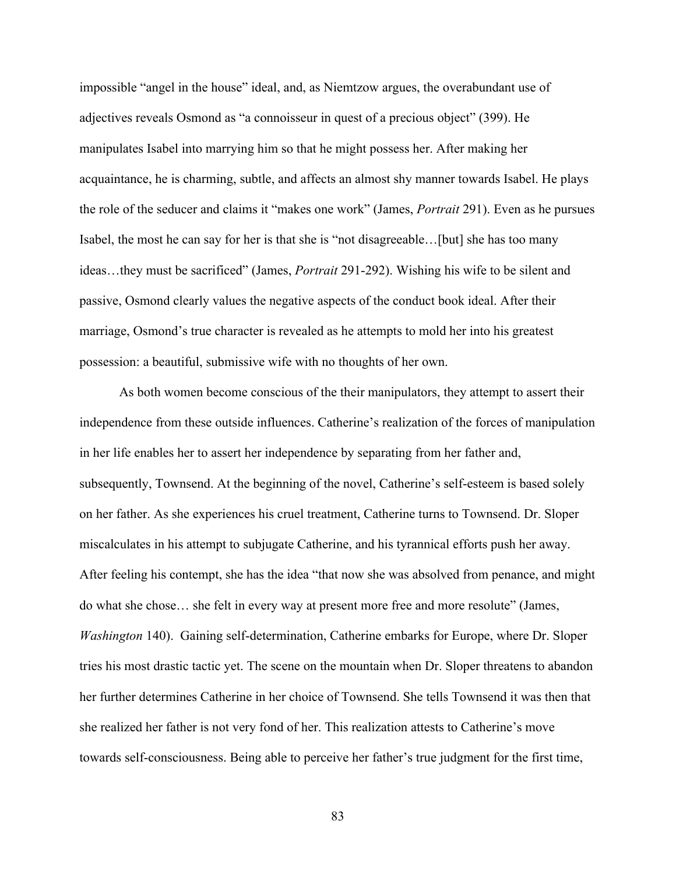impossible "angel in the house" ideal, and, as Niemtzow argues, the overabundant use of adjectives reveals Osmond as "a connoisseur in quest of a precious object" (399). He manipulates Isabel into marrying him so that he might possess her. After making her acquaintance, he is charming, subtle, and affects an almost shy manner towards Isabel. He plays the role of the seducer and claims it "makes one work" (James, *Portrait* 291). Even as he pursues Isabel, the most he can say for her is that she is "not disagreeable…[but] she has too many ideas…they must be sacrificed" (James, *Portrait* 291-292). Wishing his wife to be silent and passive, Osmond clearly values the negative aspects of the conduct book ideal. After their marriage, Osmond's true character is revealed as he attempts to mold her into his greatest possession: a beautiful, submissive wife with no thoughts of her own.

As both women become conscious of the their manipulators, they attempt to assert their independence from these outside influences. Catherine's realization of the forces of manipulation in her life enables her to assert her independence by separating from her father and, subsequently, Townsend. At the beginning of the novel, Catherine's self-esteem is based solely on her father. As she experiences his cruel treatment, Catherine turns to Townsend. Dr. Sloper miscalculates in his attempt to subjugate Catherine, and his tyrannical efforts push her away. After feeling his contempt, she has the idea "that now she was absolved from penance, and might do what she chose… she felt in every way at present more free and more resolute" (James, *Washington* 140). Gaining self-determination, Catherine embarks for Europe, where Dr. Sloper tries his most drastic tactic yet. The scene on the mountain when Dr. Sloper threatens to abandon her further determines Catherine in her choice of Townsend. She tells Townsend it was then that she realized her father is not very fond of her. This realization attests to Catherine's move towards self-consciousness. Being able to perceive her father's true judgment for the first time,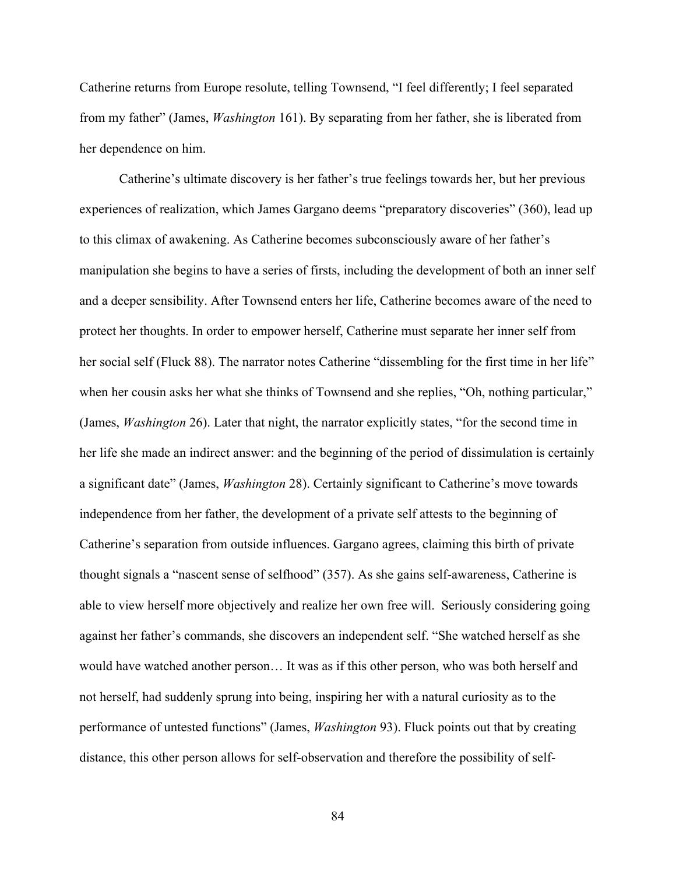Catherine returns from Europe resolute, telling Townsend, "I feel differently; I feel separated from my father" (James, *Washington* 161). By separating from her father, she is liberated from her dependence on him.

Catherine's ultimate discovery is her father's true feelings towards her, but her previous experiences of realization, which James Gargano deems "preparatory discoveries" (360), lead up to this climax of awakening. As Catherine becomes subconsciously aware of her father's manipulation she begins to have a series of firsts, including the development of both an inner self and a deeper sensibility. After Townsend enters her life, Catherine becomes aware of the need to protect her thoughts. In order to empower herself, Catherine must separate her inner self from her social self (Fluck 88). The narrator notes Catherine "dissembling for the first time in her life" when her cousin asks her what she thinks of Townsend and she replies, "Oh, nothing particular," (James, *Washington* 26). Later that night, the narrator explicitly states, "for the second time in her life she made an indirect answer: and the beginning of the period of dissimulation is certainly a significant date" (James, *Washington* 28). Certainly significant to Catherine's move towards independence from her father, the development of a private self attests to the beginning of Catherine's separation from outside influences. Gargano agrees, claiming this birth of private thought signals a "nascent sense of selfhood" (357). As she gains self-awareness, Catherine is able to view herself more objectively and realize her own free will. Seriously considering going against her father's commands, she discovers an independent self. "She watched herself as she would have watched another person… It was as if this other person, who was both herself and not herself, had suddenly sprung into being, inspiring her with a natural curiosity as to the performance of untested functions" (James, *Washington* 93). Fluck points out that by creating distance, this other person allows for self-observation and therefore the possibility of self-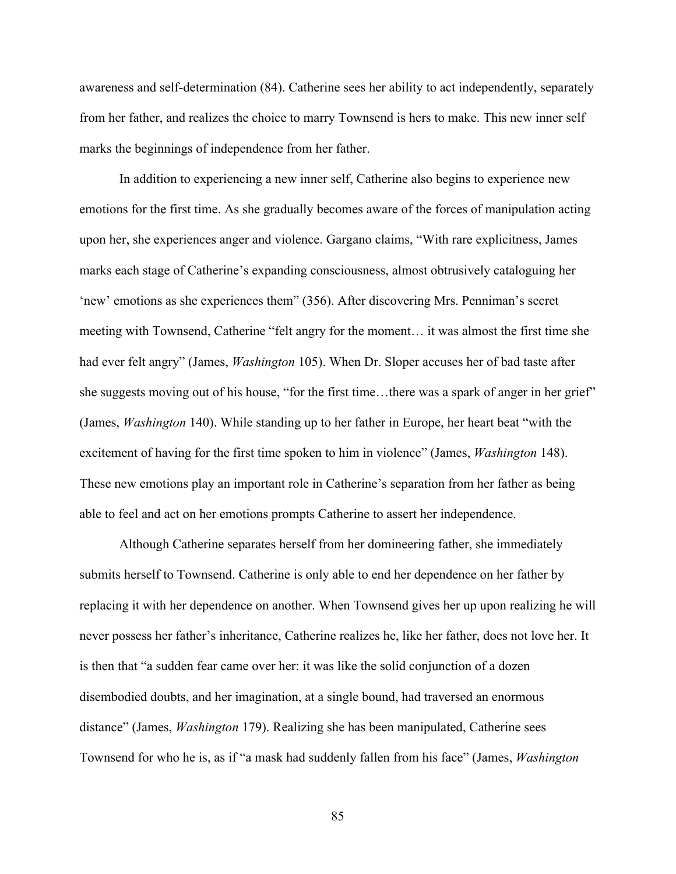awareness and self-determination (84). Catherine sees her ability to act independently, separately from her father, and realizes the choice to marry Townsend is hers to make. This new inner self marks the beginnings of independence from her father.

In addition to experiencing a new inner self, Catherine also begins to experience new emotions for the first time. As she gradually becomes aware of the forces of manipulation acting upon her, she experiences anger and violence. Gargano claims, "With rare explicitness, James marks each stage of Catherine's expanding consciousness, almost obtrusively cataloguing her 'new' emotions as she experiences them" (356). After discovering Mrs. Penniman's secret meeting with Townsend, Catherine "felt angry for the moment… it was almost the first time she had ever felt angry" (James, *Washington* 105). When Dr. Sloper accuses her of bad taste after she suggests moving out of his house, "for the first time…there was a spark of anger in her grief" (James, *Washington* 140). While standing up to her father in Europe, her heart beat "with the excitement of having for the first time spoken to him in violence" (James, *Washington* 148). These new emotions play an important role in Catherine's separation from her father as being able to feel and act on her emotions prompts Catherine to assert her independence.

Although Catherine separates herself from her domineering father, she immediately submits herself to Townsend. Catherine is only able to end her dependence on her father by replacing it with her dependence on another. When Townsend gives her up upon realizing he will never possess her father's inheritance, Catherine realizes he, like her father, does not love her. It is then that "a sudden fear came over her: it was like the solid conjunction of a dozen disembodied doubts, and her imagination, at a single bound, had traversed an enormous distance" (James, *Washington* 179). Realizing she has been manipulated, Catherine sees Townsend for who he is, as if "a mask had suddenly fallen from his face" (James, *Washington*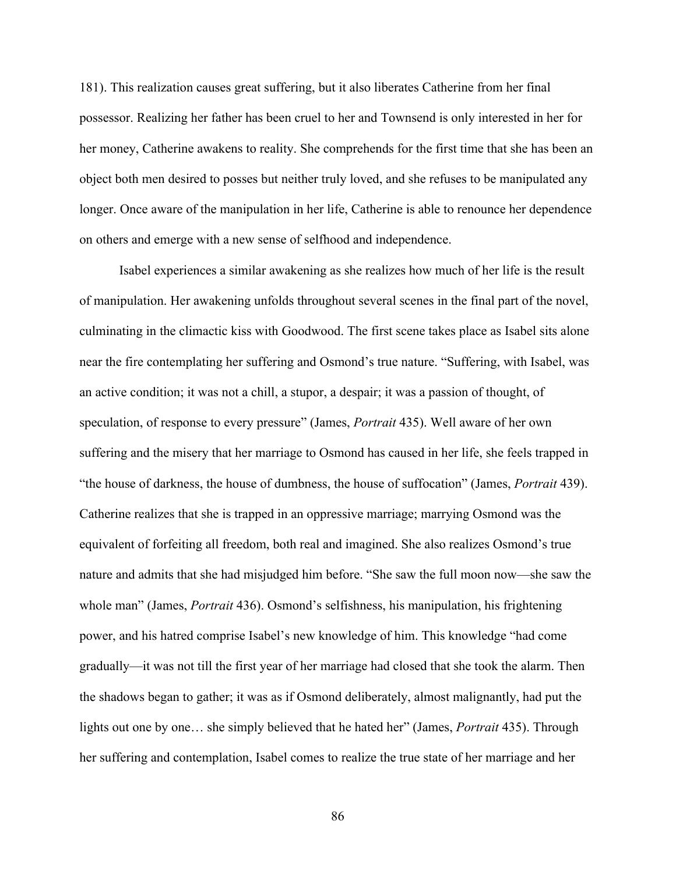181). This realization causes great suffering, but it also liberates Catherine from her final possessor. Realizing her father has been cruel to her and Townsend is only interested in her for her money, Catherine awakens to reality. She comprehends for the first time that she has been an object both men desired to posses but neither truly loved, and she refuses to be manipulated any longer. Once aware of the manipulation in her life, Catherine is able to renounce her dependence on others and emerge with a new sense of selfhood and independence.

Isabel experiences a similar awakening as she realizes how much of her life is the result of manipulation. Her awakening unfolds throughout several scenes in the final part of the novel, culminating in the climactic kiss with Goodwood. The first scene takes place as Isabel sits alone near the fire contemplating her suffering and Osmond's true nature. "Suffering, with Isabel, was an active condition; it was not a chill, a stupor, a despair; it was a passion of thought, of speculation, of response to every pressure" (James, *Portrait* 435). Well aware of her own suffering and the misery that her marriage to Osmond has caused in her life, she feels trapped in "the house of darkness, the house of dumbness, the house of suffocation" (James, *Portrait* 439). Catherine realizes that she is trapped in an oppressive marriage; marrying Osmond was the equivalent of forfeiting all freedom, both real and imagined. She also realizes Osmond's true nature and admits that she had misjudged him before. "She saw the full moon now—she saw the whole man" (James, *Portrait* 436). Osmond's selfishness, his manipulation, his frightening power, and his hatred comprise Isabel's new knowledge of him. This knowledge "had come gradually—it was not till the first year of her marriage had closed that she took the alarm. Then the shadows began to gather; it was as if Osmond deliberately, almost malignantly, had put the lights out one by one… she simply believed that he hated her" (James, *Portrait* 435). Through her suffering and contemplation, Isabel comes to realize the true state of her marriage and her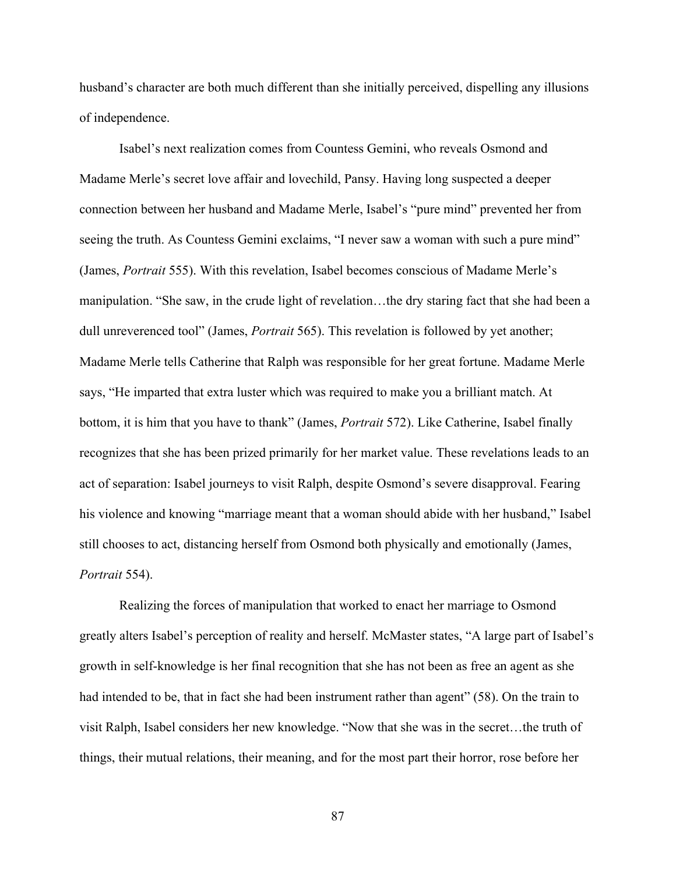husband's character are both much different than she initially perceived, dispelling any illusions of independence.

Isabel's next realization comes from Countess Gemini, who reveals Osmond and Madame Merle's secret love affair and lovechild, Pansy. Having long suspected a deeper connection between her husband and Madame Merle, Isabel's "pure mind" prevented her from seeing the truth. As Countess Gemini exclaims, "I never saw a woman with such a pure mind" (James, *Portrait* 555). With this revelation, Isabel becomes conscious of Madame Merle's manipulation. "She saw, in the crude light of revelation…the dry staring fact that she had been a dull unreverenced tool" (James, *Portrait* 565). This revelation is followed by yet another; Madame Merle tells Catherine that Ralph was responsible for her great fortune. Madame Merle says, "He imparted that extra luster which was required to make you a brilliant match. At bottom, it is him that you have to thank" (James, *Portrait* 572). Like Catherine, Isabel finally recognizes that she has been prized primarily for her market value. These revelations leads to an act of separation: Isabel journeys to visit Ralph, despite Osmond's severe disapproval. Fearing his violence and knowing "marriage meant that a woman should abide with her husband," Isabel still chooses to act, distancing herself from Osmond both physically and emotionally (James, *Portrait* 554).

Realizing the forces of manipulation that worked to enact her marriage to Osmond greatly alters Isabel's perception of reality and herself. McMaster states, "A large part of Isabel's growth in self-knowledge is her final recognition that she has not been as free an agent as she had intended to be, that in fact she had been instrument rather than agent" (58). On the train to visit Ralph, Isabel considers her new knowledge. "Now that she was in the secret…the truth of things, their mutual relations, their meaning, and for the most part their horror, rose before her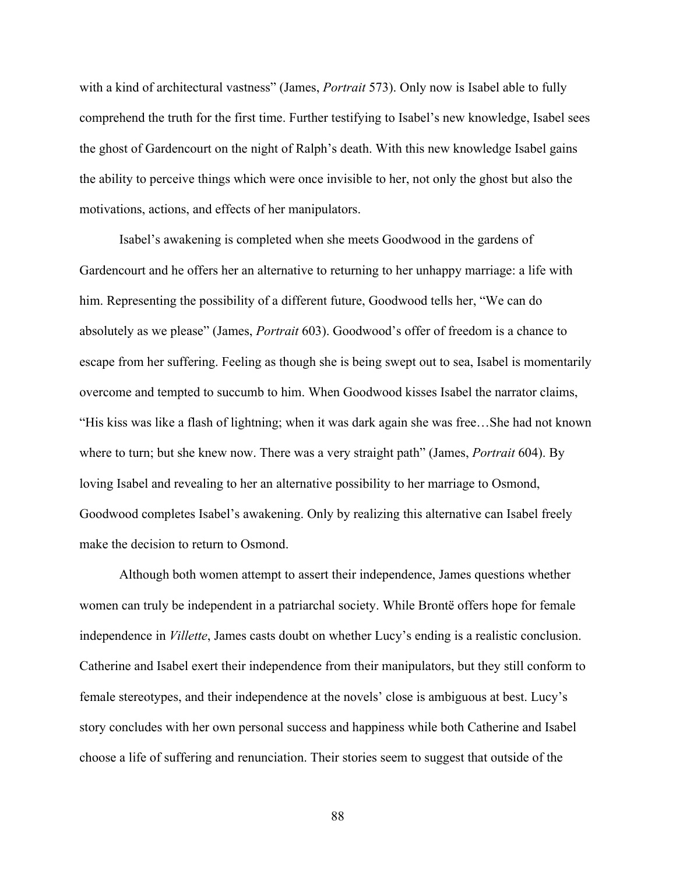with a kind of architectural vastness" (James, *Portrait* 573). Only now is Isabel able to fully comprehend the truth for the first time. Further testifying to Isabel's new knowledge, Isabel sees the ghost of Gardencourt on the night of Ralph's death. With this new knowledge Isabel gains the ability to perceive things which were once invisible to her, not only the ghost but also the motivations, actions, and effects of her manipulators.

Isabel's awakening is completed when she meets Goodwood in the gardens of Gardencourt and he offers her an alternative to returning to her unhappy marriage: a life with him. Representing the possibility of a different future, Goodwood tells her, "We can do absolutely as we please" (James, *Portrait* 603). Goodwood's offer of freedom is a chance to escape from her suffering. Feeling as though she is being swept out to sea, Isabel is momentarily overcome and tempted to succumb to him. When Goodwood kisses Isabel the narrator claims, "His kiss was like a flash of lightning; when it was dark again she was free…She had not known where to turn; but she knew now. There was a very straight path" (James, *Portrait* 604). By loving Isabel and revealing to her an alternative possibility to her marriage to Osmond, Goodwood completes Isabel's awakening. Only by realizing this alternative can Isabel freely make the decision to return to Osmond.

Although both women attempt to assert their independence, James questions whether women can truly be independent in a patriarchal society. While Brontë offers hope for female independence in *Villette*, James casts doubt on whether Lucy's ending is a realistic conclusion. Catherine and Isabel exert their independence from their manipulators, but they still conform to female stereotypes, and their independence at the novels' close is ambiguous at best. Lucy's story concludes with her own personal success and happiness while both Catherine and Isabel choose a life of suffering and renunciation. Their stories seem to suggest that outside of the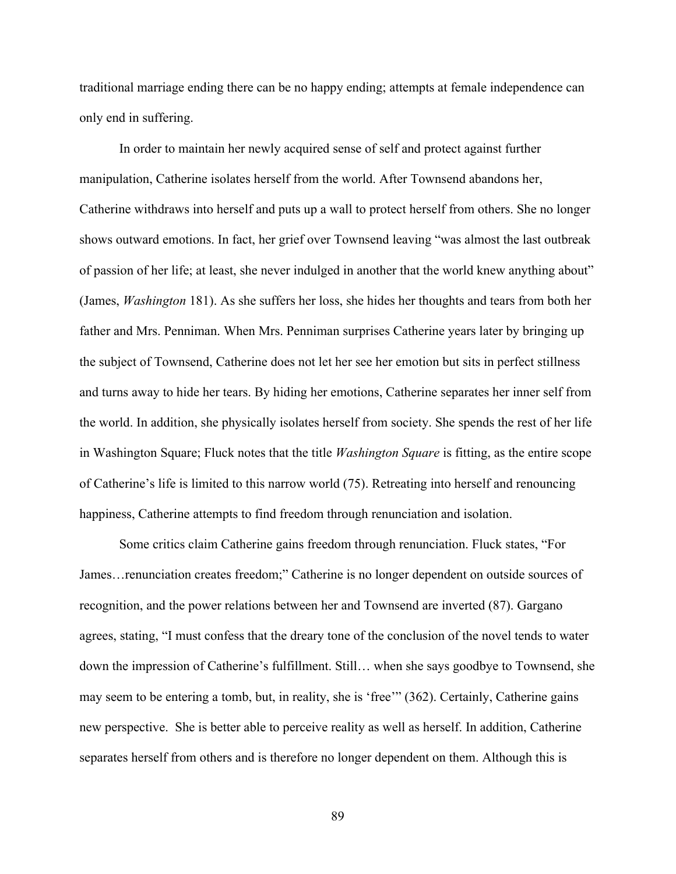traditional marriage ending there can be no happy ending; attempts at female independence can only end in suffering.

In order to maintain her newly acquired sense of self and protect against further manipulation, Catherine isolates herself from the world. After Townsend abandons her, Catherine withdraws into herself and puts up a wall to protect herself from others. She no longer shows outward emotions. In fact, her grief over Townsend leaving "was almost the last outbreak of passion of her life; at least, she never indulged in another that the world knew anything about" (James, *Washington* 181). As she suffers her loss, she hides her thoughts and tears from both her father and Mrs. Penniman. When Mrs. Penniman surprises Catherine years later by bringing up the subject of Townsend, Catherine does not let her see her emotion but sits in perfect stillness and turns away to hide her tears. By hiding her emotions, Catherine separates her inner self from the world. In addition, she physically isolates herself from society. She spends the rest of her life in Washington Square; Fluck notes that the title *Washington Square* is fitting, as the entire scope of Catherine's life is limited to this narrow world (75). Retreating into herself and renouncing happiness, Catherine attempts to find freedom through renunciation and isolation.

Some critics claim Catherine gains freedom through renunciation. Fluck states, "For James…renunciation creates freedom;" Catherine is no longer dependent on outside sources of recognition, and the power relations between her and Townsend are inverted (87). Gargano agrees, stating, "I must confess that the dreary tone of the conclusion of the novel tends to water down the impression of Catherine's fulfillment. Still… when she says goodbye to Townsend, she may seem to be entering a tomb, but, in reality, she is 'free'" (362). Certainly, Catherine gains new perspective. She is better able to perceive reality as well as herself. In addition, Catherine separates herself from others and is therefore no longer dependent on them. Although this is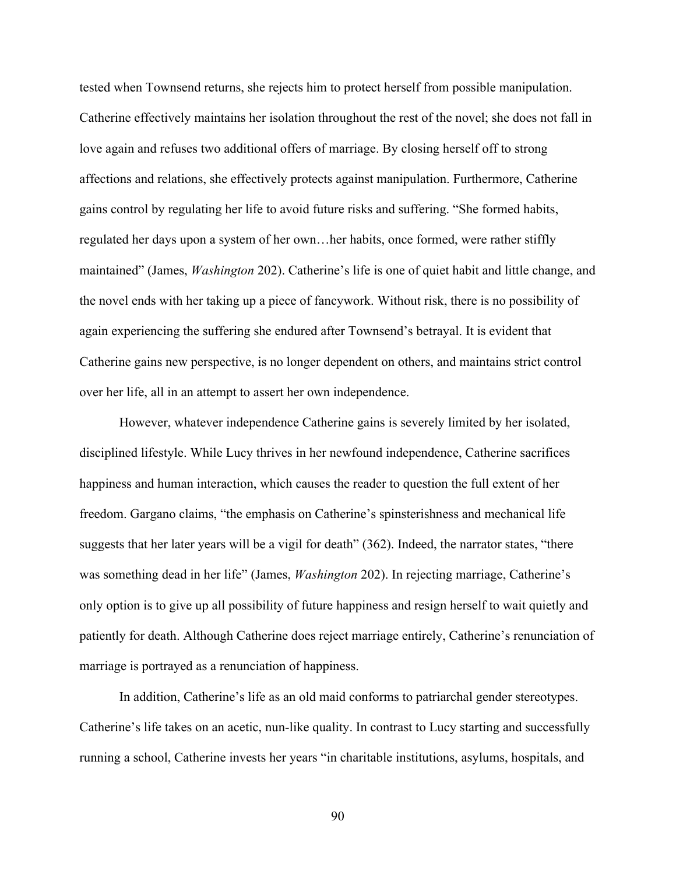tested when Townsend returns, she rejects him to protect herself from possible manipulation. Catherine effectively maintains her isolation throughout the rest of the novel; she does not fall in love again and refuses two additional offers of marriage. By closing herself off to strong affections and relations, she effectively protects against manipulation. Furthermore, Catherine gains control by regulating her life to avoid future risks and suffering. "She formed habits, regulated her days upon a system of her own…her habits, once formed, were rather stiffly maintained" (James, *Washington* 202). Catherine's life is one of quiet habit and little change, and the novel ends with her taking up a piece of fancywork. Without risk, there is no possibility of again experiencing the suffering she endured after Townsend's betrayal. It is evident that Catherine gains new perspective, is no longer dependent on others, and maintains strict control over her life, all in an attempt to assert her own independence.

However, whatever independence Catherine gains is severely limited by her isolated, disciplined lifestyle. While Lucy thrives in her newfound independence, Catherine sacrifices happiness and human interaction, which causes the reader to question the full extent of her freedom. Gargano claims, "the emphasis on Catherine's spinsterishness and mechanical life suggests that her later years will be a vigil for death" (362). Indeed, the narrator states, "there was something dead in her life" (James, *Washington* 202). In rejecting marriage, Catherine's only option is to give up all possibility of future happiness and resign herself to wait quietly and patiently for death. Although Catherine does reject marriage entirely, Catherine's renunciation of marriage is portrayed as a renunciation of happiness.

In addition, Catherine's life as an old maid conforms to patriarchal gender stereotypes. Catherine's life takes on an acetic, nun-like quality. In contrast to Lucy starting and successfully running a school, Catherine invests her years "in charitable institutions, asylums, hospitals, and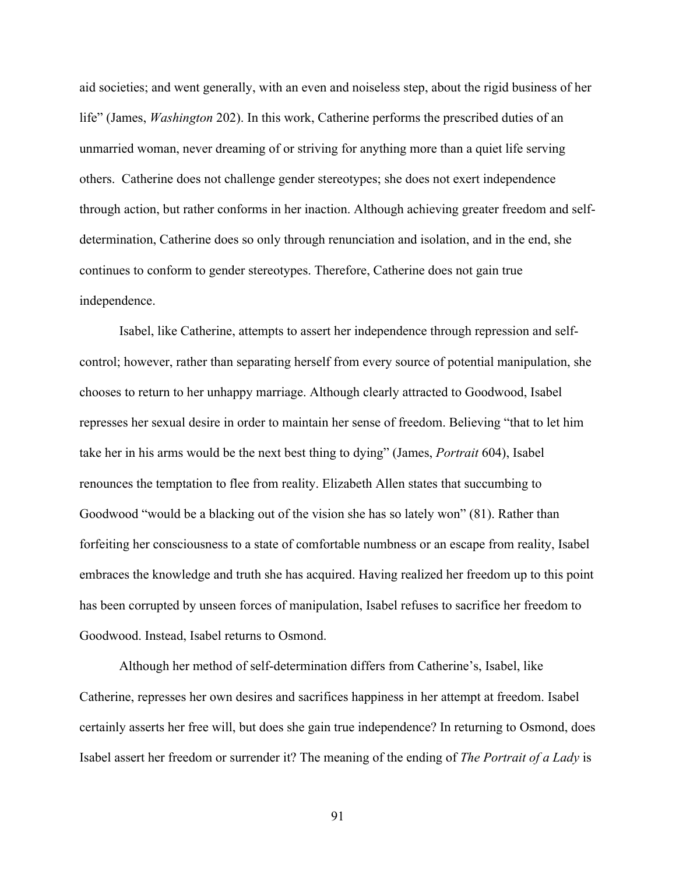aid societies; and went generally, with an even and noiseless step, about the rigid business of her life" (James, *Washington* 202). In this work, Catherine performs the prescribed duties of an unmarried woman, never dreaming of or striving for anything more than a quiet life serving others. Catherine does not challenge gender stereotypes; she does not exert independence through action, but rather conforms in her inaction. Although achieving greater freedom and selfdetermination, Catherine does so only through renunciation and isolation, and in the end, she continues to conform to gender stereotypes. Therefore, Catherine does not gain true independence.

Isabel, like Catherine, attempts to assert her independence through repression and selfcontrol; however, rather than separating herself from every source of potential manipulation, she chooses to return to her unhappy marriage. Although clearly attracted to Goodwood, Isabel represses her sexual desire in order to maintain her sense of freedom. Believing "that to let him take her in his arms would be the next best thing to dying" (James, *Portrait* 604), Isabel renounces the temptation to flee from reality. Elizabeth Allen states that succumbing to Goodwood "would be a blacking out of the vision she has so lately won" (81). Rather than forfeiting her consciousness to a state of comfortable numbness or an escape from reality, Isabel embraces the knowledge and truth she has acquired. Having realized her freedom up to this point has been corrupted by unseen forces of manipulation, Isabel refuses to sacrifice her freedom to Goodwood. Instead, Isabel returns to Osmond.

Although her method of self-determination differs from Catherine's, Isabel, like Catherine, represses her own desires and sacrifices happiness in her attempt at freedom. Isabel certainly asserts her free will, but does she gain true independence? In returning to Osmond, does Isabel assert her freedom or surrender it? The meaning of the ending of *The Portrait of a Lady* is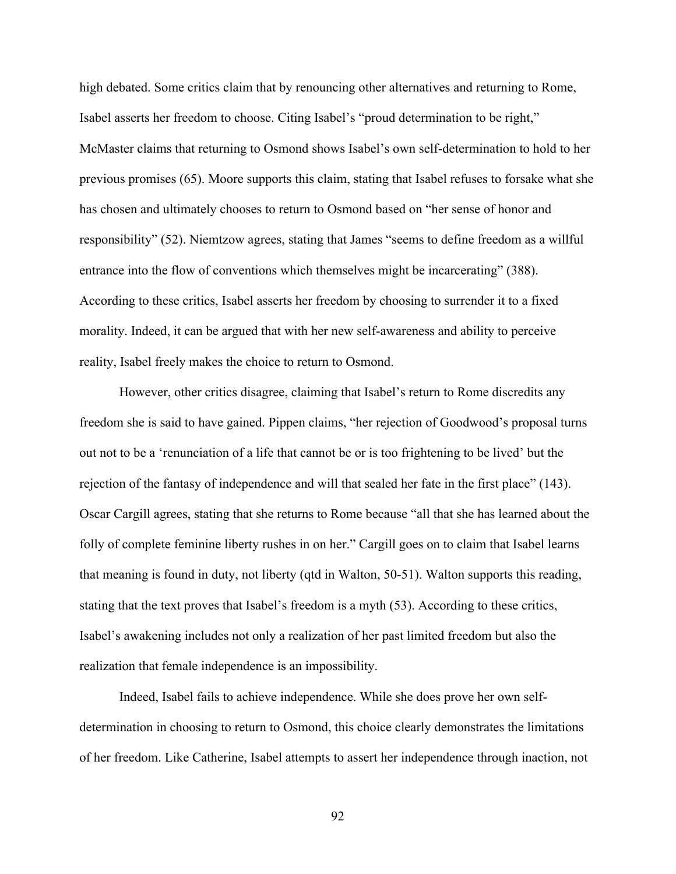high debated. Some critics claim that by renouncing other alternatives and returning to Rome, Isabel asserts her freedom to choose. Citing Isabel's "proud determination to be right," McMaster claims that returning to Osmond shows Isabel's own self-determination to hold to her previous promises (65). Moore supports this claim, stating that Isabel refuses to forsake what she has chosen and ultimately chooses to return to Osmond based on "her sense of honor and responsibility" (52). Niemtzow agrees, stating that James "seems to define freedom as a willful entrance into the flow of conventions which themselves might be incarcerating" (388). According to these critics, Isabel asserts her freedom by choosing to surrender it to a fixed morality. Indeed, it can be argued that with her new self-awareness and ability to perceive reality, Isabel freely makes the choice to return to Osmond.

However, other critics disagree, claiming that Isabel's return to Rome discredits any freedom she is said to have gained. Pippen claims, "her rejection of Goodwood's proposal turns out not to be a 'renunciation of a life that cannot be or is too frightening to be lived' but the rejection of the fantasy of independence and will that sealed her fate in the first place" (143). Oscar Cargill agrees, stating that she returns to Rome because "all that she has learned about the folly of complete feminine liberty rushes in on her." Cargill goes on to claim that Isabel learns that meaning is found in duty, not liberty (qtd in Walton, 50-51). Walton supports this reading, stating that the text proves that Isabel's freedom is a myth (53). According to these critics, Isabel's awakening includes not only a realization of her past limited freedom but also the realization that female independence is an impossibility.

Indeed, Isabel fails to achieve independence. While she does prove her own selfdetermination in choosing to return to Osmond, this choice clearly demonstrates the limitations of her freedom. Like Catherine, Isabel attempts to assert her independence through inaction, not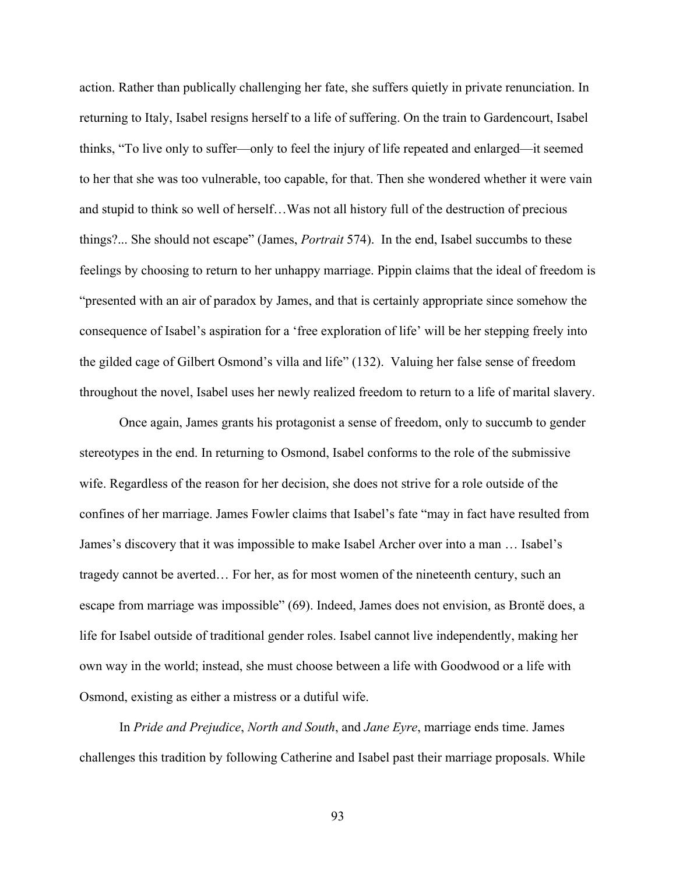action. Rather than publically challenging her fate, she suffers quietly in private renunciation. In returning to Italy, Isabel resigns herself to a life of suffering. On the train to Gardencourt, Isabel thinks, "To live only to suffer—only to feel the injury of life repeated and enlarged—it seemed to her that she was too vulnerable, too capable, for that. Then she wondered whether it were vain and stupid to think so well of herself…Was not all history full of the destruction of precious things?... She should not escape" (James, *Portrait* 574). In the end, Isabel succumbs to these feelings by choosing to return to her unhappy marriage. Pippin claims that the ideal of freedom is "presented with an air of paradox by James, and that is certainly appropriate since somehow the consequence of Isabel's aspiration for a 'free exploration of life' will be her stepping freely into the gilded cage of Gilbert Osmond's villa and life" (132). Valuing her false sense of freedom throughout the novel, Isabel uses her newly realized freedom to return to a life of marital slavery.

Once again, James grants his protagonist a sense of freedom, only to succumb to gender stereotypes in the end. In returning to Osmond, Isabel conforms to the role of the submissive wife. Regardless of the reason for her decision, she does not strive for a role outside of the confines of her marriage. James Fowler claims that Isabel's fate "may in fact have resulted from James's discovery that it was impossible to make Isabel Archer over into a man … Isabel's tragedy cannot be averted… For her, as for most women of the nineteenth century, such an escape from marriage was impossible" (69). Indeed, James does not envision, as Brontë does, a life for Isabel outside of traditional gender roles. Isabel cannot live independently, making her own way in the world; instead, she must choose between a life with Goodwood or a life with Osmond, existing as either a mistress or a dutiful wife.

In *Pride and Prejudice*, *North and South*, and *Jane Eyre*, marriage ends time. James challenges this tradition by following Catherine and Isabel past their marriage proposals. While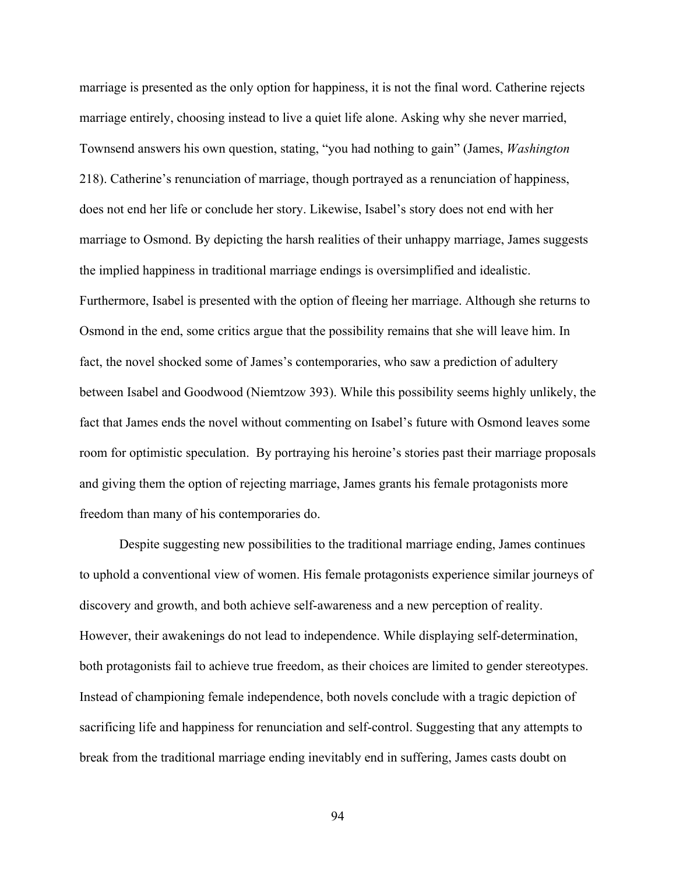marriage is presented as the only option for happiness, it is not the final word. Catherine rejects marriage entirely, choosing instead to live a quiet life alone. Asking why she never married, Townsend answers his own question, stating, "you had nothing to gain" (James, *Washington*  218). Catherine's renunciation of marriage, though portrayed as a renunciation of happiness, does not end her life or conclude her story. Likewise, Isabel's story does not end with her marriage to Osmond. By depicting the harsh realities of their unhappy marriage, James suggests the implied happiness in traditional marriage endings is oversimplified and idealistic. Furthermore, Isabel is presented with the option of fleeing her marriage. Although she returns to Osmond in the end, some critics argue that the possibility remains that she will leave him. In fact, the novel shocked some of James's contemporaries, who saw a prediction of adultery between Isabel and Goodwood (Niemtzow 393). While this possibility seems highly unlikely, the fact that James ends the novel without commenting on Isabel's future with Osmond leaves some room for optimistic speculation. By portraying his heroine's stories past their marriage proposals and giving them the option of rejecting marriage, James grants his female protagonists more freedom than many of his contemporaries do.

Despite suggesting new possibilities to the traditional marriage ending, James continues to uphold a conventional view of women. His female protagonists experience similar journeys of discovery and growth, and both achieve self-awareness and a new perception of reality. However, their awakenings do not lead to independence. While displaying self-determination, both protagonists fail to achieve true freedom, as their choices are limited to gender stereotypes. Instead of championing female independence, both novels conclude with a tragic depiction of sacrificing life and happiness for renunciation and self-control. Suggesting that any attempts to break from the traditional marriage ending inevitably end in suffering, James casts doubt on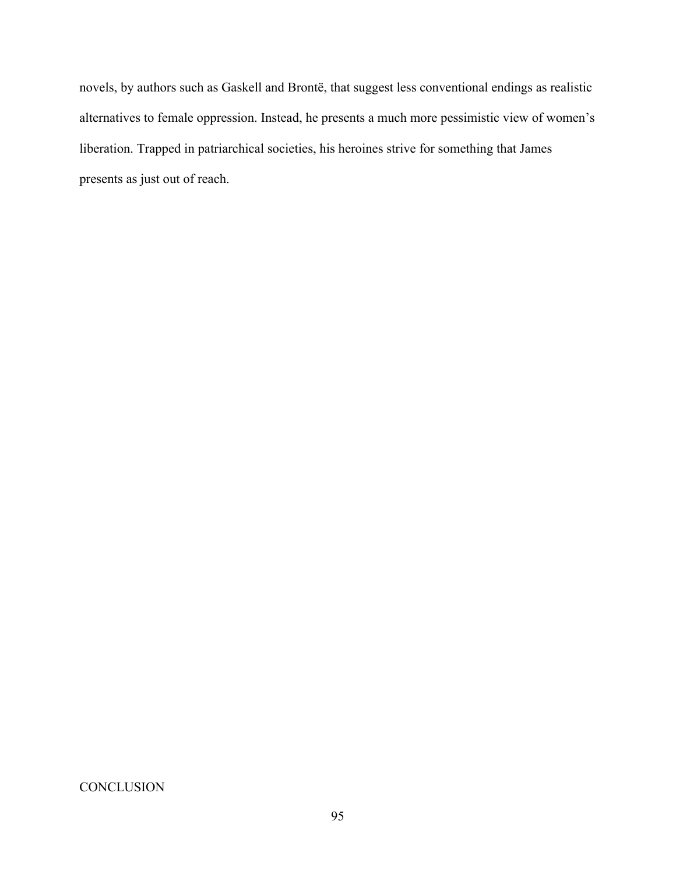novels, by authors such as Gaskell and Brontë, that suggest less conventional endings as realistic alternatives to female oppression. Instead, he presents a much more pessimistic view of women's liberation. Trapped in patriarchical societies, his heroines strive for something that James presents as just out of reach.

**CONCLUSION**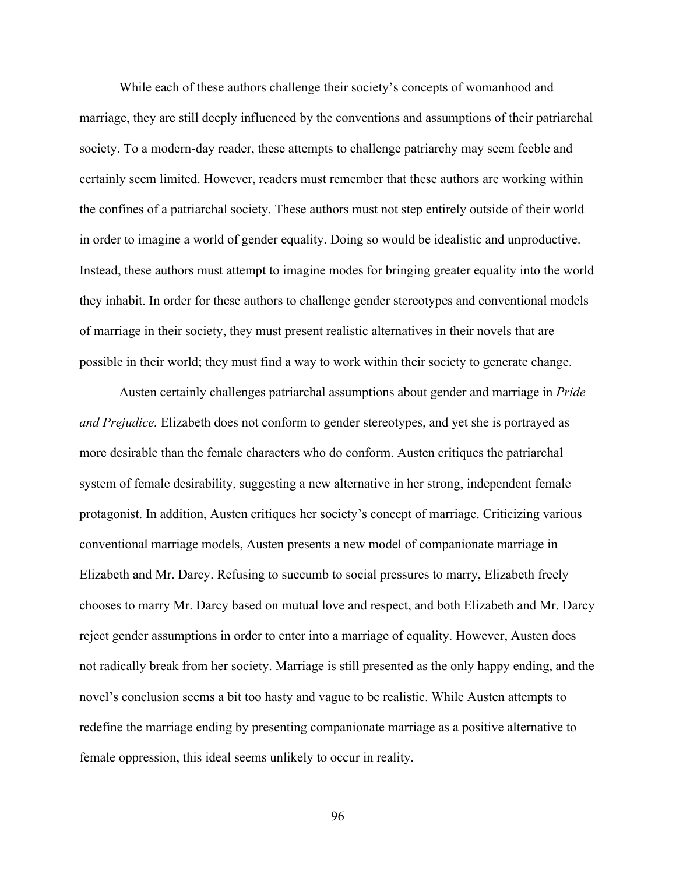While each of these authors challenge their society's concepts of womanhood and marriage, they are still deeply influenced by the conventions and assumptions of their patriarchal society. To a modern-day reader, these attempts to challenge patriarchy may seem feeble and certainly seem limited. However, readers must remember that these authors are working within the confines of a patriarchal society. These authors must not step entirely outside of their world in order to imagine a world of gender equality. Doing so would be idealistic and unproductive. Instead, these authors must attempt to imagine modes for bringing greater equality into the world they inhabit. In order for these authors to challenge gender stereotypes and conventional models of marriage in their society, they must present realistic alternatives in their novels that are possible in their world; they must find a way to work within their society to generate change.

Austen certainly challenges patriarchal assumptions about gender and marriage in *Pride and Prejudice.* Elizabeth does not conform to gender stereotypes, and yet she is portrayed as more desirable than the female characters who do conform. Austen critiques the patriarchal system of female desirability, suggesting a new alternative in her strong, independent female protagonist. In addition, Austen critiques her society's concept of marriage. Criticizing various conventional marriage models, Austen presents a new model of companionate marriage in Elizabeth and Mr. Darcy. Refusing to succumb to social pressures to marry, Elizabeth freely chooses to marry Mr. Darcy based on mutual love and respect, and both Elizabeth and Mr. Darcy reject gender assumptions in order to enter into a marriage of equality. However, Austen does not radically break from her society. Marriage is still presented as the only happy ending, and the novel's conclusion seems a bit too hasty and vague to be realistic. While Austen attempts to redefine the marriage ending by presenting companionate marriage as a positive alternative to female oppression, this ideal seems unlikely to occur in reality.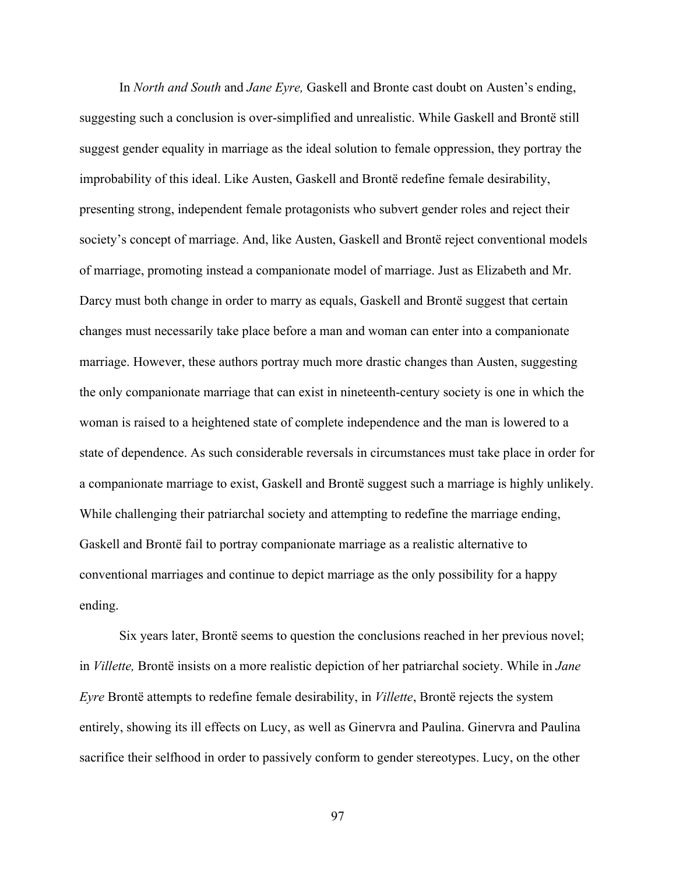In *North and South* and *Jane Eyre,* Gaskell and Bronte cast doubt on Austen's ending, suggesting such a conclusion is over-simplified and unrealistic. While Gaskell and Brontë still suggest gender equality in marriage as the ideal solution to female oppression, they portray the improbability of this ideal. Like Austen, Gaskell and Brontë redefine female desirability, presenting strong, independent female protagonists who subvert gender roles and reject their society's concept of marriage. And, like Austen, Gaskell and Brontë reject conventional models of marriage, promoting instead a companionate model of marriage. Just as Elizabeth and Mr. Darcy must both change in order to marry as equals, Gaskell and Brontë suggest that certain changes must necessarily take place before a man and woman can enter into a companionate marriage. However, these authors portray much more drastic changes than Austen, suggesting the only companionate marriage that can exist in nineteenth-century society is one in which the woman is raised to a heightened state of complete independence and the man is lowered to a state of dependence. As such considerable reversals in circumstances must take place in order for a companionate marriage to exist, Gaskell and Brontë suggest such a marriage is highly unlikely. While challenging their patriarchal society and attempting to redefine the marriage ending, Gaskell and Brontë fail to portray companionate marriage as a realistic alternative to conventional marriages and continue to depict marriage as the only possibility for a happy ending.

Six years later, Brontë seems to question the conclusions reached in her previous novel; in *Villette,* Brontë insists on a more realistic depiction of her patriarchal society. While in *Jane Eyre* Brontë attempts to redefine female desirability, in *Villette*, Brontë rejects the system entirely, showing its ill effects on Lucy, as well as Ginervra and Paulina. Ginervra and Paulina sacrifice their selfhood in order to passively conform to gender stereotypes. Lucy, on the other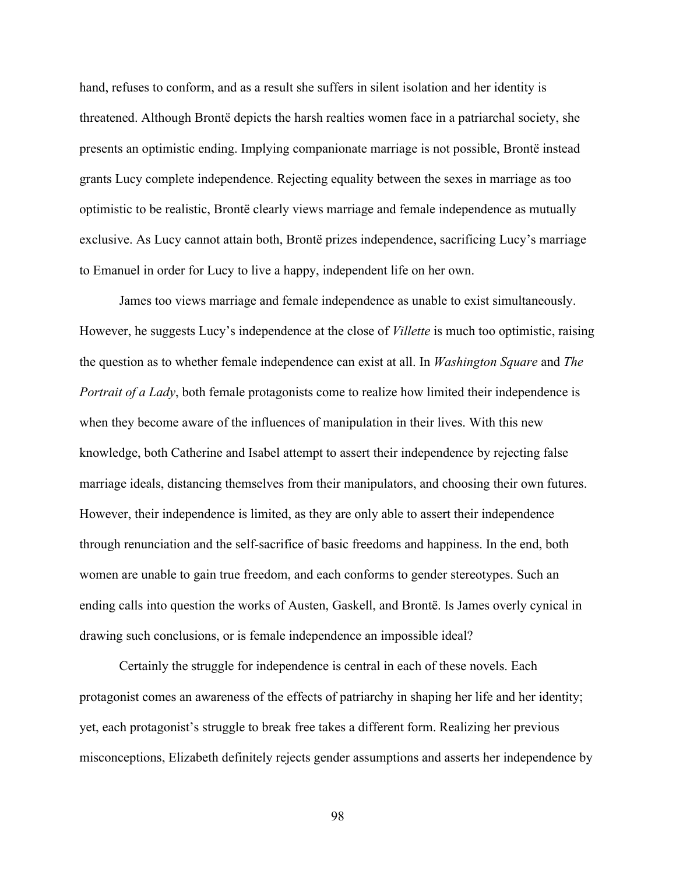hand, refuses to conform, and as a result she suffers in silent isolation and her identity is threatened. Although Brontë depicts the harsh realties women face in a patriarchal society, she presents an optimistic ending. Implying companionate marriage is not possible, Brontë instead grants Lucy complete independence. Rejecting equality between the sexes in marriage as too optimistic to be realistic, Brontë clearly views marriage and female independence as mutually exclusive. As Lucy cannot attain both, Brontë prizes independence, sacrificing Lucy's marriage to Emanuel in order for Lucy to live a happy, independent life on her own.

James too views marriage and female independence as unable to exist simultaneously. However, he suggests Lucy's independence at the close of *Villette* is much too optimistic, raising the question as to whether female independence can exist at all. In *Washington Square* and *The Portrait of a Lady*, both female protagonists come to realize how limited their independence is when they become aware of the influences of manipulation in their lives. With this new knowledge, both Catherine and Isabel attempt to assert their independence by rejecting false marriage ideals, distancing themselves from their manipulators, and choosing their own futures. However, their independence is limited, as they are only able to assert their independence through renunciation and the self-sacrifice of basic freedoms and happiness. In the end, both women are unable to gain true freedom, and each conforms to gender stereotypes. Such an ending calls into question the works of Austen, Gaskell, and Brontë. Is James overly cynical in drawing such conclusions, or is female independence an impossible ideal?

Certainly the struggle for independence is central in each of these novels. Each protagonist comes an awareness of the effects of patriarchy in shaping her life and her identity; yet, each protagonist's struggle to break free takes a different form. Realizing her previous misconceptions, Elizabeth definitely rejects gender assumptions and asserts her independence by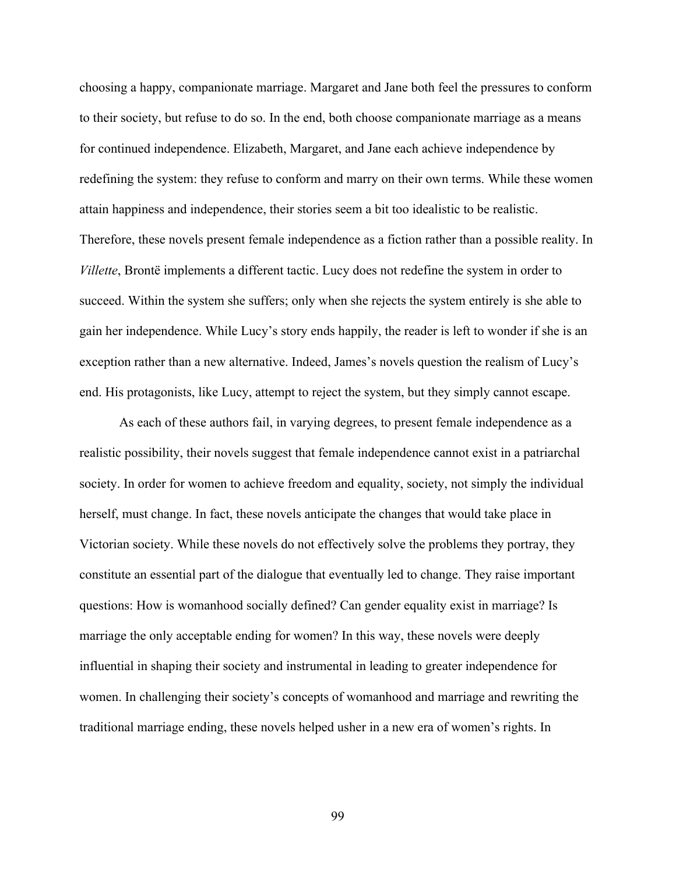choosing a happy, companionate marriage. Margaret and Jane both feel the pressures to conform to their society, but refuse to do so. In the end, both choose companionate marriage as a means for continued independence. Elizabeth, Margaret, and Jane each achieve independence by redefining the system: they refuse to conform and marry on their own terms. While these women attain happiness and independence, their stories seem a bit too idealistic to be realistic. Therefore, these novels present female independence as a fiction rather than a possible reality. In *Villette*, Brontë implements a different tactic. Lucy does not redefine the system in order to succeed. Within the system she suffers; only when she rejects the system entirely is she able to gain her independence. While Lucy's story ends happily, the reader is left to wonder if she is an exception rather than a new alternative. Indeed, James's novels question the realism of Lucy's end. His protagonists, like Lucy, attempt to reject the system, but they simply cannot escape.

As each of these authors fail, in varying degrees, to present female independence as a realistic possibility, their novels suggest that female independence cannot exist in a patriarchal society. In order for women to achieve freedom and equality, society, not simply the individual herself, must change. In fact, these novels anticipate the changes that would take place in Victorian society. While these novels do not effectively solve the problems they portray, they constitute an essential part of the dialogue that eventually led to change. They raise important questions: How is womanhood socially defined? Can gender equality exist in marriage? Is marriage the only acceptable ending for women? In this way, these novels were deeply influential in shaping their society and instrumental in leading to greater independence for women. In challenging their society's concepts of womanhood and marriage and rewriting the traditional marriage ending, these novels helped usher in a new era of women's rights. In

99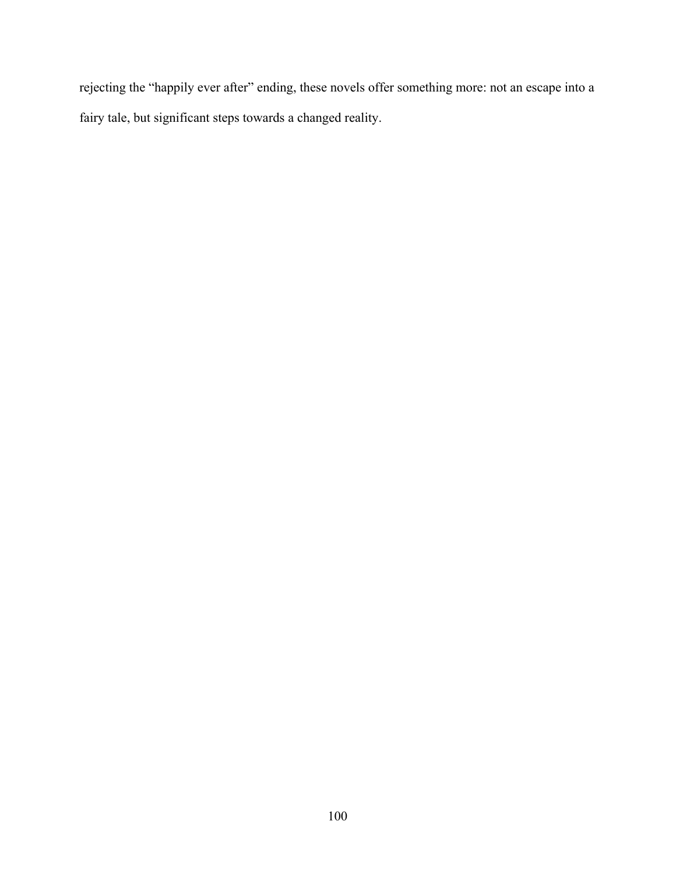rejecting the "happily ever after" ending, these novels offer something more: not an escape into a fairy tale, but significant steps towards a changed reality.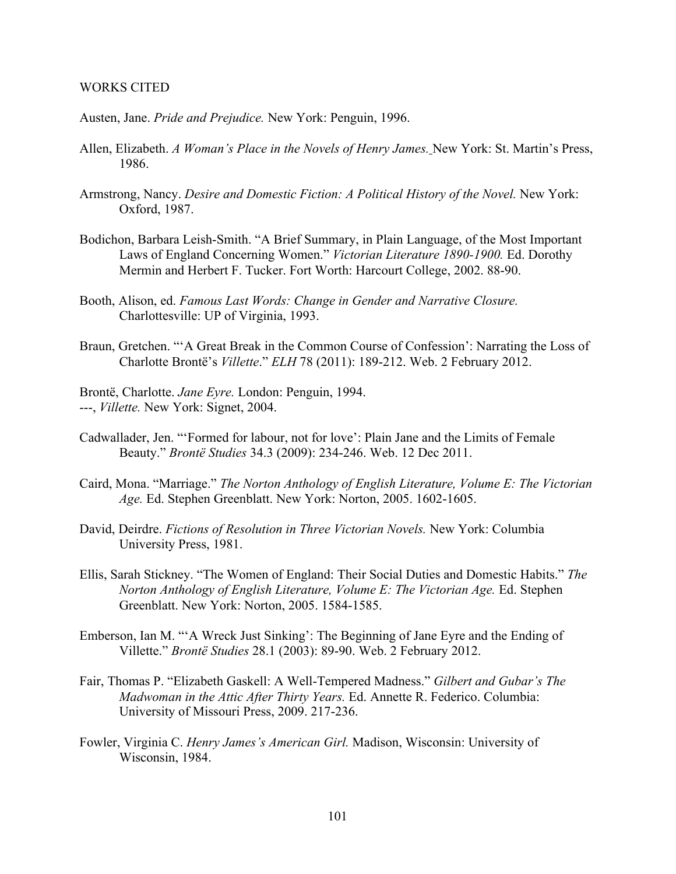## WORKS CITED

Austen, Jane. *Pride and Prejudice.* New York: Penguin, 1996.

- Allen, Elizabeth. *A Woman's Place in the Novels of Henry James.* New York: St. Martin's Press, 1986.
- Armstrong, Nancy. *Desire and Domestic Fiction: A Political History of the Novel.* New York: Oxford, 1987.
- Bodichon, Barbara Leish-Smith. "A Brief Summary, in Plain Language, of the Most Important Laws of England Concerning Women." *Victorian Literature 1890-1900.* Ed. Dorothy Mermin and Herbert F. Tucker. Fort Worth: Harcourt College, 2002. 88-90.
- Booth, Alison, ed. *Famous Last Words: Change in Gender and Narrative Closure.* Charlottesville: UP of Virginia, 1993.
- Braun, Gretchen. "'A Great Break in the Common Course of Confession': Narrating the Loss of Charlotte Brontë's *Villette*." *ELH* 78 (2011): 189-212. Web. 2 February 2012.
- Brontë, Charlotte. *Jane Eyre.* London: Penguin, 1994. ---, *Villette.* New York: Signet, 2004.
- Cadwallader, Jen. "'Formed for labour, not for love': Plain Jane and the Limits of Female Beauty." *Brontë Studies* 34.3 (2009): 234-246. Web. 12 Dec 2011.
- Caird, Mona. "Marriage." *The Norton Anthology of English Literature, Volume E: The Victorian Age.* Ed. Stephen Greenblatt. New York: Norton, 2005. 1602-1605.
- David, Deirdre. *Fictions of Resolution in Three Victorian Novels.* New York: Columbia University Press, 1981.
- Ellis, Sarah Stickney. "The Women of England: Their Social Duties and Domestic Habits." *The Norton Anthology of English Literature, Volume E: The Victorian Age.* Ed. Stephen Greenblatt. New York: Norton, 2005. 1584-1585.
- Emberson, Ian M. "'A Wreck Just Sinking': The Beginning of Jane Eyre and the Ending of Villette." *Brontë Studies* 28.1 (2003): 89-90. Web. 2 February 2012.
- Fair, Thomas P. "Elizabeth Gaskell: A Well-Tempered Madness." *Gilbert and Gubar's The Madwoman in the Attic After Thirty Years.* Ed. Annette R. Federico. Columbia: University of Missouri Press, 2009. 217-236.
- Fowler, Virginia C. *Henry James's American Girl.* Madison, Wisconsin: University of Wisconsin, 1984.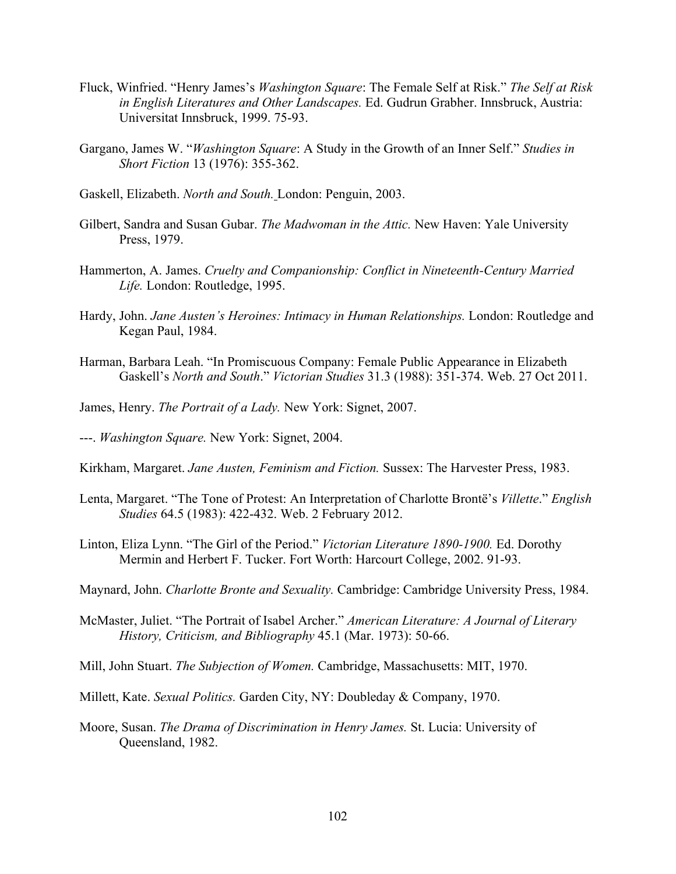- Fluck, Winfried. "Henry James's *Washington Square*: The Female Self at Risk." *The Self at Risk in English Literatures and Other Landscapes.* Ed. Gudrun Grabher. Innsbruck, Austria: Universitat Innsbruck, 1999. 75-93.
- Gargano, James W. "*Washington Square*: A Study in the Growth of an Inner Self." *Studies in Short Fiction* 13 (1976): 355-362.
- Gaskell, Elizabeth. *North and South.* London: Penguin, 2003.
- Gilbert, Sandra and Susan Gubar. *The Madwoman in the Attic.* New Haven: Yale University Press, 1979.
- Hammerton, A. James. *Cruelty and Companionship: Conflict in Nineteenth-Century Married Life.* London: Routledge, 1995.
- Hardy, John. *Jane Austen's Heroines: Intimacy in Human Relationships.* London: Routledge and Kegan Paul, 1984.
- Harman, Barbara Leah. "In Promiscuous Company: Female Public Appearance in Elizabeth Gaskell's *North and South*." *Victorian Studies* 31.3 (1988): 351-374. Web. 27 Oct 2011.
- James, Henry. *The Portrait of a Lady.* New York: Signet, 2007.
- ---. *Washington Square.* New York: Signet, 2004.
- Kirkham, Margaret. *Jane Austen, Feminism and Fiction.* Sussex: The Harvester Press, 1983.
- Lenta, Margaret. "The Tone of Protest: An Interpretation of Charlotte Brontë's *Villette*." *English Studies* 64.5 (1983): 422-432. Web. 2 February 2012.
- Linton, Eliza Lynn. "The Girl of the Period." *Victorian Literature 1890-1900.* Ed. Dorothy Mermin and Herbert F. Tucker. Fort Worth: Harcourt College, 2002. 91-93.
- Maynard, John. *Charlotte Bronte and Sexuality.* Cambridge: Cambridge University Press, 1984.
- McMaster, Juliet. "The Portrait of Isabel Archer." *American Literature: A Journal of Literary History, Criticism, and Bibliography* 45.1 (Mar. 1973): 50-66.
- Mill, John Stuart. *The Subjection of Women.* Cambridge, Massachusetts: MIT, 1970.
- Millett, Kate. *Sexual Politics.* Garden City, NY: Doubleday & Company, 1970.
- Moore, Susan. *The Drama of Discrimination in Henry James.* St. Lucia: University of Queensland, 1982.